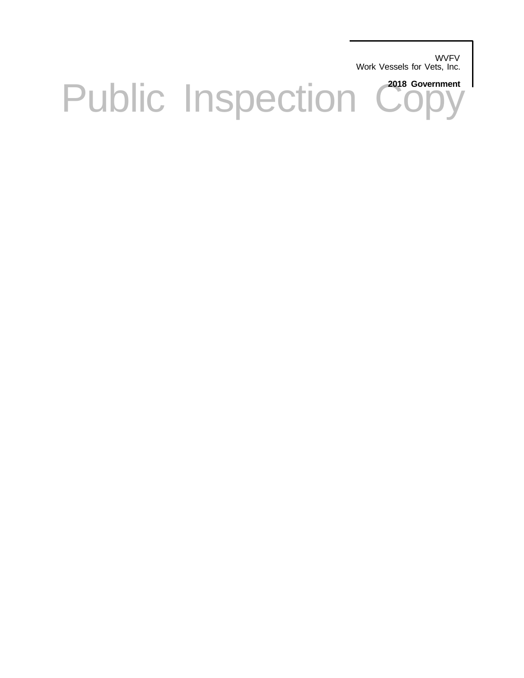**WVFV** Work Vessels for Vets, Inc.

Public Inspection Copy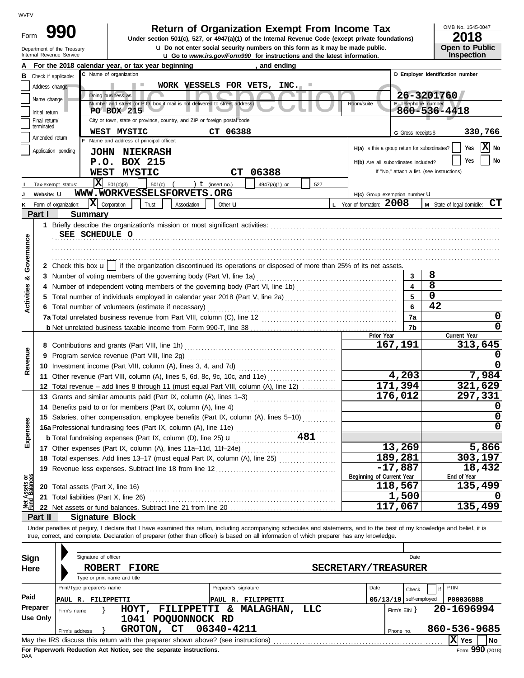| Form | 990                        |
|------|----------------------------|
|      | Department of the Treasury |

# **Return of Organization Exempt From Income Tax**

u **Do not enter social security numbers on this form as it may be made public. Open to Public Under section 501(c), 527, or 4947(a)(1) of the Internal Revenue Code (except private foundations)**

OMB No. 1545-0047

| ZU18                  |  |
|-----------------------|--|
| <b>Open to Public</b> |  |
| Incrootion            |  |

|                                                                                                                          | Internal Revenue Service                                                                                                                                                   |                            |                                          |        | <b>u</b> Go to <i>www.irs.gov/Form990</i> for instructions and the latest information.                                                                                                                                               |                      |           |                 |     |                                               |                                            |             | <b>Inspection</b>                |
|--------------------------------------------------------------------------------------------------------------------------|----------------------------------------------------------------------------------------------------------------------------------------------------------------------------|----------------------------|------------------------------------------|--------|--------------------------------------------------------------------------------------------------------------------------------------------------------------------------------------------------------------------------------------|----------------------|-----------|-----------------|-----|-----------------------------------------------|--------------------------------------------|-------------|----------------------------------|
|                                                                                                                          | For the 2018 calendar year, or tax year beginning                                                                                                                          |                            |                                          |        |                                                                                                                                                                                                                                      |                      |           | , and ending    |     |                                               |                                            |             |                                  |
| В                                                                                                                        | Check if applicable:                                                                                                                                                       |                            | C Name of organization                   |        |                                                                                                                                                                                                                                      |                      |           |                 |     |                                               |                                            |             | D Employer identification number |
|                                                                                                                          | Address change                                                                                                                                                             |                            |                                          |        | WORK VESSELS FOR VETS, INC.                                                                                                                                                                                                          |                      |           |                 |     |                                               |                                            |             |                                  |
|                                                                                                                          | Name change                                                                                                                                                                |                            | Doing business as                        |        |                                                                                                                                                                                                                                      |                      |           |                 |     |                                               |                                            | 26-3201760  |                                  |
|                                                                                                                          |                                                                                                                                                                            |                            |                                          |        | Number and street (or P.O. box if mail is not delivered to street address)                                                                                                                                                           |                      |           |                 |     | Room/suite                                    | E Telephone number                         |             |                                  |
| 860-536-4418<br>PO BOX 215<br>Initial return<br>City or town, state or province, country, and ZIP or foreign postal code |                                                                                                                                                                            |                            |                                          |        |                                                                                                                                                                                                                                      |                      |           |                 |     |                                               |                                            |             |                                  |
|                                                                                                                          | Final return/<br>terminated                                                                                                                                                |                            |                                          |        |                                                                                                                                                                                                                                      |                      |           |                 |     |                                               |                                            |             |                                  |
|                                                                                                                          |                                                                                                                                                                            |                            | WEST MYSTIC                              |        |                                                                                                                                                                                                                                      | CT 06388             |           |                 |     |                                               | G Gross receipts \$                        |             | 330,766                          |
|                                                                                                                          | Amended return                                                                                                                                                             |                            | F Name and address of principal officer: |        |                                                                                                                                                                                                                                      |                      |           |                 |     |                                               |                                            |             | X No                             |
|                                                                                                                          | Application pending                                                                                                                                                        |                            | <b>JOHN NIEKRASH</b>                     |        |                                                                                                                                                                                                                                      |                      |           |                 |     | H(a) Is this a group return for subordinates? |                                            |             | Yes                              |
|                                                                                                                          |                                                                                                                                                                            |                            | P.O. BOX 215                             |        |                                                                                                                                                                                                                                      |                      |           |                 |     | H(b) Are all subordinates included?           |                                            |             | Yes<br>No                        |
|                                                                                                                          |                                                                                                                                                                            |                            | WEST MYSTIC                              |        |                                                                                                                                                                                                                                      |                      | <b>CT</b> | 06388           |     |                                               | If "No," attach a list. (see instructions) |             |                                  |
|                                                                                                                          | Tax-exempt status:                                                                                                                                                         |                            | $X = 501(c)(3)$                          | 501(c) |                                                                                                                                                                                                                                      | ) $t$ (insert no.)   |           | $4947(a)(1)$ or | 527 |                                               |                                            |             |                                  |
|                                                                                                                          | Website: U                                                                                                                                                                 |                            |                                          |        | WWW.WORKVESSELSFORVETS.ORG                                                                                                                                                                                                           |                      |           |                 |     | H(c) Group exemption number LI                |                                            |             |                                  |
| ĸ                                                                                                                        | Form of organization:                                                                                                                                                      |                            | $ \mathbf{X} $ Corporation               | Trust  | Association                                                                                                                                                                                                                          | Other <b>u</b>       |           |                 |     | L Year of formation: 2008                     |                                            |             | M State of legal domicile: CT    |
|                                                                                                                          | Part I                                                                                                                                                                     | <b>Summary</b>             |                                          |        |                                                                                                                                                                                                                                      |                      |           |                 |     |                                               |                                            |             |                                  |
|                                                                                                                          |                                                                                                                                                                            |                            |                                          |        |                                                                                                                                                                                                                                      |                      |           |                 |     |                                               |                                            |             |                                  |
|                                                                                                                          |                                                                                                                                                                            |                            |                                          |        |                                                                                                                                                                                                                                      |                      |           |                 |     |                                               |                                            |             |                                  |
|                                                                                                                          |                                                                                                                                                                            | SEE SCHEDULE O             |                                          |        |                                                                                                                                                                                                                                      |                      |           |                 |     |                                               |                                            |             |                                  |
| Governance                                                                                                               |                                                                                                                                                                            |                            |                                          |        |                                                                                                                                                                                                                                      |                      |           |                 |     |                                               |                                            |             |                                  |
|                                                                                                                          |                                                                                                                                                                            |                            |                                          |        |                                                                                                                                                                                                                                      |                      |           |                 |     |                                               |                                            |             |                                  |
|                                                                                                                          |                                                                                                                                                                            |                            |                                          |        | 2 Check this box $\mathbf{u}$   if the organization discontinued its operations or disposed of more than 25% of its net assets.                                                                                                      |                      |           |                 |     |                                               |                                            |             |                                  |
| ಳ                                                                                                                        |                                                                                                                                                                            |                            |                                          |        |                                                                                                                                                                                                                                      |                      |           |                 |     |                                               | 3                                          | 8           |                                  |
|                                                                                                                          |                                                                                                                                                                            |                            |                                          |        |                                                                                                                                                                                                                                      |                      |           |                 |     |                                               | 4                                          | 8           |                                  |
| Activities                                                                                                               |                                                                                                                                                                            |                            |                                          |        |                                                                                                                                                                                                                                      |                      |           |                 |     |                                               | 5                                          | $\mathbf 0$ |                                  |
|                                                                                                                          |                                                                                                                                                                            |                            |                                          |        | 6 Total number of volunteers (estimate if necessary)                                                                                                                                                                                 |                      |           |                 |     |                                               | 6                                          | 42          |                                  |
|                                                                                                                          |                                                                                                                                                                            |                            |                                          |        |                                                                                                                                                                                                                                      |                      |           |                 |     |                                               | 7a                                         |             | 0                                |
|                                                                                                                          |                                                                                                                                                                            |                            |                                          |        |                                                                                                                                                                                                                                      |                      |           |                 |     |                                               | 7b                                         |             | 0                                |
|                                                                                                                          |                                                                                                                                                                            |                            |                                          |        |                                                                                                                                                                                                                                      |                      |           |                 |     | Prior Year                                    |                                            |             | Current Year                     |
|                                                                                                                          |                                                                                                                                                                            |                            |                                          |        |                                                                                                                                                                                                                                      |                      |           |                 |     |                                               | 167,191                                    |             | 313,645                          |
|                                                                                                                          |                                                                                                                                                                            |                            |                                          |        |                                                                                                                                                                                                                                      |                      |           |                 |     |                                               |                                            |             |                                  |
| Revenue                                                                                                                  |                                                                                                                                                                            |                            |                                          |        |                                                                                                                                                                                                                                      |                      |           |                 |     |                                               | 0                                          |             |                                  |
|                                                                                                                          | 11 Other revenue (Part VIII, column (A), lines 5, 6d, 8c, 9c, 10c, and 11e)                                                                                                |                            |                                          |        |                                                                                                                                                                                                                                      |                      |           |                 |     | 4,203                                         |                                            | 7,984       |                                  |
|                                                                                                                          |                                                                                                                                                                            |                            |                                          |        |                                                                                                                                                                                                                                      |                      |           |                 |     |                                               | 171,394                                    |             | 321,629                          |
|                                                                                                                          |                                                                                                                                                                            |                            |                                          |        | 12 Total revenue - add lines 8 through 11 (must equal Part VIII, column (A), line 12)                                                                                                                                                |                      |           |                 |     |                                               | 176,012                                    |             | 297,331                          |
|                                                                                                                          |                                                                                                                                                                            |                            |                                          |        | 13 Grants and similar amounts paid (Part IX, column (A), lines 1-3)                                                                                                                                                                  |                      |           |                 |     |                                               |                                            |             |                                  |
|                                                                                                                          |                                                                                                                                                                            |                            |                                          |        | 14 Benefits paid to or for members (Part IX, column (A), line 4)                                                                                                                                                                     |                      |           |                 |     |                                               |                                            |             |                                  |
|                                                                                                                          |                                                                                                                                                                            |                            |                                          |        | 15 Salaries, other compensation, employee benefits (Part IX, column (A), lines 5-10)                                                                                                                                                 |                      |           |                 |     |                                               |                                            |             | $\mathbf 0$                      |
| enses                                                                                                                    |                                                                                                                                                                            |                            |                                          |        |                                                                                                                                                                                                                                      |                      |           |                 |     |                                               |                                            |             | 0                                |
| Exp                                                                                                                      |                                                                                                                                                                            |                            |                                          |        | <b>b</b> Total fundraising expenses (Part IX, column (D), line 25) <b>u</b>                                                                                                                                                          |                      |           | 481             |     |                                               |                                            |             |                                  |
|                                                                                                                          |                                                                                                                                                                            |                            |                                          |        | 17 Other expenses (Part IX, column (A), lines 11a-11d, 11f-24e)                                                                                                                                                                      |                      |           |                 |     |                                               | 13,269                                     |             | 5,866                            |
|                                                                                                                          |                                                                                                                                                                            |                            |                                          |        | 18 Total expenses. Add lines 13-17 (must equal Part IX, column (A), line 25)                                                                                                                                                         |                      |           |                 |     |                                               | 189,281                                    |             | 303,197                          |
|                                                                                                                          |                                                                                                                                                                            |                            |                                          |        | 19 Revenue less expenses. Subtract line 18 from line 12                                                                                                                                                                              |                      |           |                 |     |                                               | $-17,887$                                  |             | 18,432                           |
|                                                                                                                          |                                                                                                                                                                            |                            |                                          |        |                                                                                                                                                                                                                                      |                      |           |                 |     | Beginning of Current Year                     |                                            |             | End of Year                      |
| Assets or<br>  Balances                                                                                                  |                                                                                                                                                                            |                            |                                          |        | 20 Total assets (Part X, line 16) <b>Constant Constant Constant Constant Constant Constant Constant Constant Constant Constant Constant Constant Constant Constant Constant Constant Constant Constant Constant Constant Constan</b> |                      |           |                 |     |                                               | 118,567                                    |             | 135,499                          |
|                                                                                                                          |                                                                                                                                                                            |                            |                                          |        |                                                                                                                                                                                                                                      |                      |           |                 |     |                                               | 1,500                                      |             |                                  |
|                                                                                                                          |                                                                                                                                                                            |                            |                                          |        | 22 Net assets or fund balances. Subtract line 21 from line 20                                                                                                                                                                        |                      |           |                 |     |                                               | 117,067                                    |             | 135,499                          |
|                                                                                                                          | Part II                                                                                                                                                                    |                            | <b>Signature Block</b>                   |        |                                                                                                                                                                                                                                      |                      |           |                 |     |                                               |                                            |             |                                  |
|                                                                                                                          | Under penalties of perjury, I declare that I have examined this return, including accompanying schedules and statements, and to the best of my knowledge and belief, it is |                            |                                          |        |                                                                                                                                                                                                                                      |                      |           |                 |     |                                               |                                            |             |                                  |
|                                                                                                                          | true, correct, and complete. Declaration of preparer (other than officer) is based on all information of which preparer has any knowledge.                                 |                            |                                          |        |                                                                                                                                                                                                                                      |                      |           |                 |     |                                               |                                            |             |                                  |
|                                                                                                                          |                                                                                                                                                                            |                            |                                          |        |                                                                                                                                                                                                                                      |                      |           |                 |     |                                               |                                            |             |                                  |
| Signature of officer<br>Sign<br>Date                                                                                     |                                                                                                                                                                            |                            |                                          |        |                                                                                                                                                                                                                                      |                      |           |                 |     |                                               |                                            |             |                                  |
|                                                                                                                          |                                                                                                                                                                            |                            |                                          |        |                                                                                                                                                                                                                                      |                      |           |                 |     |                                               |                                            |             |                                  |
| <b>SECRETARY/TREASURER</b><br>Here<br><b>ROBERT</b><br><b>FIORE</b><br>Type or print name and title                      |                                                                                                                                                                            |                            |                                          |        |                                                                                                                                                                                                                                      |                      |           |                 |     |                                               |                                            |             |                                  |
|                                                                                                                          |                                                                                                                                                                            |                            |                                          |        |                                                                                                                                                                                                                                      |                      |           |                 |     |                                               |                                            |             |                                  |
|                                                                                                                          |                                                                                                                                                                            | Print/Type preparer's name |                                          |        |                                                                                                                                                                                                                                      | Preparer's signature |           |                 |     | Date                                          | Check                                      |             | <b>PTIN</b>                      |
| Paid                                                                                                                     |                                                                                                                                                                            | PAUL R. FILIPPETTI         |                                          |        |                                                                                                                                                                                                                                      | PAUL R. FILIPPETTI   |           |                 |     |                                               | $05/13/19$ self-employed                   |             | P00036888                        |
|                                                                                                                          | Preparer<br>Firm's name                                                                                                                                                    |                            |                                          |        | HOYT, FILIPPETTI & MALAGHAN,                                                                                                                                                                                                         |                      |           |                 | LLC |                                               | Firm's EIN }                               |             | 20-1696994                       |
|                                                                                                                          | Use Only                                                                                                                                                                   |                            |                                          |        | 1041 POQUONNOCK RD                                                                                                                                                                                                                   |                      |           |                 |     |                                               |                                            |             |                                  |
|                                                                                                                          | Firm's address                                                                                                                                                             |                            | GROTON, CT                               |        |                                                                                                                                                                                                                                      | 06340-4211           |           |                 |     |                                               | Phone no.                                  |             | 860-536-9685                     |
|                                                                                                                          |                                                                                                                                                                            |                            |                                          |        |                                                                                                                                                                                                                                      |                      |           |                 |     |                                               |                                            |             | $ X $ Yes<br><b>No</b>           |

| Sign     |             |                | Signature of officer         |              |               |                        |                            |      |            | Date                     |              |
|----------|-------------|----------------|------------------------------|--------------|---------------|------------------------|----------------------------|------|------------|--------------------------|--------------|
| Here     |             |                | <b>ROBERT</b>                | <b>FIORE</b> |               |                        | <b>SECRETARY/TREASURER</b> |      |            |                          |              |
|          |             |                | Type or print name and title |              |               |                        |                            |      |            |                          |              |
|          |             |                | Print/Type preparer's name   |              |               | Preparer's signature   |                            | Date |            | Check                    | <b>PTIN</b>  |
| Paid     |             |                | PAUL R. FILIPPETTI           |              |               | FILIPPETTI<br>PAUL R.  |                            |      |            | $05/13/19$ self-employed | P00036888    |
| Preparer | Firm's name |                |                              | HOYT,        | FILIPPETTI    | <b>MALAGHAN,</b><br>&. | LLC                        |      | Firm's EIN |                          | 20-1696994   |
| Use Only |             |                |                              | 1041         | POQUONNOCK RD |                        |                            |      |            |                          |              |
|          |             | Firm's address |                              | GROTON,      | СT            | 06340-4211             |                            |      | Phone no.  |                          | 860-536-9685 |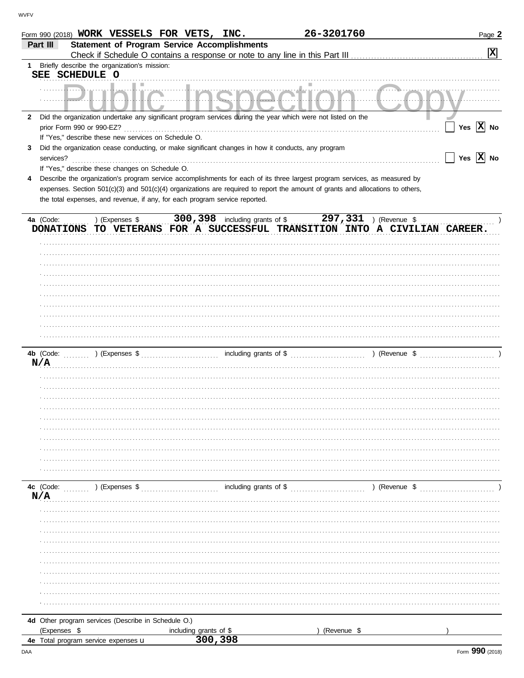|                  | Form 990 (2018) WORK VESSELS FOR VETS, INC.                                                                                    |                                   | 26-3201760                                                                                             |               | Page 2                                                                    |
|------------------|--------------------------------------------------------------------------------------------------------------------------------|-----------------------------------|--------------------------------------------------------------------------------------------------------|---------------|---------------------------------------------------------------------------|
| Part III         | <b>Statement of Program Service Accomplishments</b>                                                                            |                                   |                                                                                                        |               |                                                                           |
|                  |                                                                                                                                |                                   |                                                                                                        |               | $\boxed{\mathbf{x}}$                                                      |
| SEE SCHEDULE O   | 1 Briefly describe the organization's mission:                                                                                 |                                   |                                                                                                        |               |                                                                           |
|                  |                                                                                                                                |                                   |                                                                                                        |               |                                                                           |
|                  |                                                                                                                                |                                   |                                                                                                        |               |                                                                           |
| $\mathbf{2}$     | Did the organization undertake any significant program services during the year which were not listed on the                   |                                   |                                                                                                        |               |                                                                           |
|                  | prior Form 990 or 990-EZ?<br>If "Yes," describe these new services on Schedule O.                                              |                                   |                                                                                                        |               | Yes $\overline{X}$ No                                                     |
| 3                | Did the organization cease conducting, or make significant changes in how it conducts, any program                             |                                   |                                                                                                        |               |                                                                           |
| services?        |                                                                                                                                |                                   |                                                                                                        |               | Yes $\overline{X}$ No                                                     |
|                  | If "Yes," describe these changes on Schedule O.                                                                                |                                   |                                                                                                        |               |                                                                           |
| 4                | Describe the organization's program service accomplishments for each of its three largest program services, as measured by     |                                   |                                                                                                        |               |                                                                           |
|                  | expenses. Section 501(c)(3) and 501(c)(4) organizations are required to report the amount of grants and allocations to others, |                                   |                                                                                                        |               |                                                                           |
|                  | the total expenses, and revenue, if any, for each program service reported.                                                    |                                   |                                                                                                        |               |                                                                           |
|                  |                                                                                                                                |                                   |                                                                                                        |               |                                                                           |
| 4a (Code:        |                                                                                                                                |                                   | ) (Expenses $\frac{1}{2}$ 300, 398 including grants of $\frac{1}{2}$ 297, 331 ) (Revenue $\frac{1}{2}$ |               | DONATIONS TO VETERANS FOR A SUCCESSFUL TRANSITION INTO A CIVILIAN CAREER. |
|                  |                                                                                                                                |                                   |                                                                                                        |               |                                                                           |
|                  |                                                                                                                                |                                   |                                                                                                        |               |                                                                           |
|                  |                                                                                                                                |                                   |                                                                                                        |               |                                                                           |
|                  |                                                                                                                                |                                   |                                                                                                        |               |                                                                           |
|                  |                                                                                                                                |                                   |                                                                                                        |               |                                                                           |
|                  |                                                                                                                                |                                   |                                                                                                        |               |                                                                           |
|                  |                                                                                                                                |                                   |                                                                                                        |               |                                                                           |
|                  |                                                                                                                                |                                   |                                                                                                        |               |                                                                           |
|                  |                                                                                                                                |                                   |                                                                                                        |               |                                                                           |
|                  |                                                                                                                                |                                   |                                                                                                        |               |                                                                           |
|                  |                                                                                                                                |                                   |                                                                                                        |               |                                                                           |
| N/A              |                                                                                                                                |                                   |                                                                                                        |               |                                                                           |
|                  |                                                                                                                                |                                   |                                                                                                        |               |                                                                           |
|                  |                                                                                                                                |                                   |                                                                                                        |               |                                                                           |
|                  |                                                                                                                                |                                   |                                                                                                        |               |                                                                           |
|                  |                                                                                                                                |                                   |                                                                                                        |               |                                                                           |
|                  |                                                                                                                                |                                   |                                                                                                        |               |                                                                           |
|                  |                                                                                                                                |                                   |                                                                                                        |               |                                                                           |
|                  |                                                                                                                                |                                   |                                                                                                        |               |                                                                           |
|                  |                                                                                                                                |                                   |                                                                                                        |               |                                                                           |
|                  |                                                                                                                                |                                   |                                                                                                        |               |                                                                           |
|                  |                                                                                                                                |                                   |                                                                                                        |               |                                                                           |
|                  |                                                                                                                                |                                   |                                                                                                        |               |                                                                           |
| 4c (Code:<br>N/A | ) (Expenses \$                                                                                                                 |                                   |                                                                                                        | ) (Revenue \$ |                                                                           |
|                  |                                                                                                                                |                                   |                                                                                                        |               |                                                                           |
|                  |                                                                                                                                |                                   |                                                                                                        |               |                                                                           |
|                  |                                                                                                                                |                                   |                                                                                                        |               |                                                                           |
|                  |                                                                                                                                |                                   |                                                                                                        |               |                                                                           |
|                  |                                                                                                                                |                                   |                                                                                                        |               |                                                                           |
|                  |                                                                                                                                |                                   |                                                                                                        |               |                                                                           |
|                  |                                                                                                                                |                                   |                                                                                                        |               |                                                                           |
|                  |                                                                                                                                |                                   |                                                                                                        |               |                                                                           |
|                  |                                                                                                                                |                                   |                                                                                                        |               |                                                                           |
|                  |                                                                                                                                |                                   |                                                                                                        |               |                                                                           |
|                  |                                                                                                                                |                                   |                                                                                                        |               |                                                                           |
|                  | 4d Other program services (Describe in Schedule O.)                                                                            |                                   |                                                                                                        |               |                                                                           |
| (Expenses \$     | 4e Total program service expenses u                                                                                            | including grants of \$<br>300,398 |                                                                                                        | (Revenue \$   |                                                                           |
|                  |                                                                                                                                |                                   |                                                                                                        |               |                                                                           |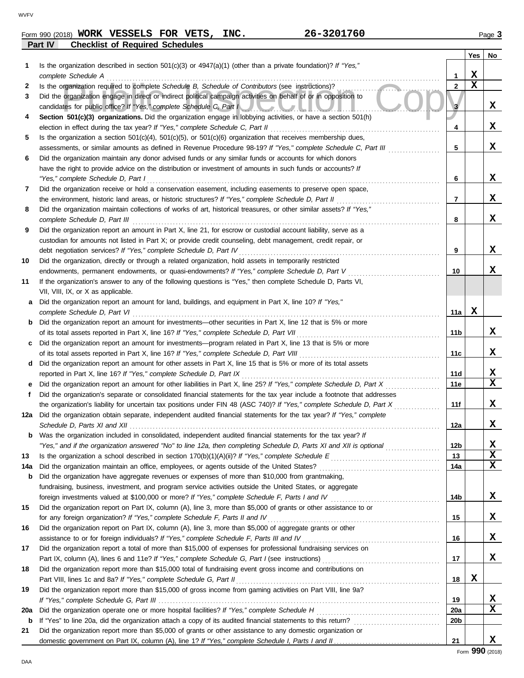| Form 990 (2018) | WORK<br>VESSELS.                       | <b>FOR</b> | <b>VETS</b> | INC. | 3201760<br>26– | Page |
|-----------------|----------------------------------------|------------|-------------|------|----------------|------|
| Part IV         | <b>Checklist of Required Schedules</b> |            |             |      |                |      |

|     |                                                                                                                                                                                                   |                 | Yes         | No          |
|-----|---------------------------------------------------------------------------------------------------------------------------------------------------------------------------------------------------|-----------------|-------------|-------------|
| 1   | Is the organization described in section $501(c)(3)$ or $4947(a)(1)$ (other than a private foundation)? If "Yes,"                                                                                 |                 |             |             |
|     | complete Schedule A                                                                                                                                                                               | 1               | X           |             |
| 2   | Is the organization required to complete Schedule B, Schedule of Contributors (see instructions)?                                                                                                 | $\mathbf{2}$    | $\mathbf x$ |             |
| 3   | Did the organization engage in direct or indirect political campaign activities on behalf of or in opposition to<br>candidates for public office? If "Yes," complete Schedule C, Part I           | 3               |             | X           |
| 4   | Section 501(c)(3) organizations. Did the organization engage in lobbying activities, or have a section 501(h)                                                                                     |                 |             |             |
|     |                                                                                                                                                                                                   | 4               |             | X           |
| 5   | Is the organization a section $501(c)(4)$ , $501(c)(5)$ , or $501(c)(6)$ organization that receives membership dues,                                                                              |                 |             |             |
|     | assessments, or similar amounts as defined in Revenue Procedure 98-19? If "Yes," complete Schedule C, Part III                                                                                    | 5               |             | X           |
| 6   | Did the organization maintain any donor advised funds or any similar funds or accounts for which donors                                                                                           |                 |             |             |
|     | have the right to provide advice on the distribution or investment of amounts in such funds or accounts? If                                                                                       |                 |             |             |
|     | "Yes," complete Schedule D, Part I                                                                                                                                                                | 6               |             | X           |
| 7   | Did the organization receive or hold a conservation easement, including easements to preserve open space,                                                                                         |                 |             |             |
|     | the environment, historic land areas, or historic structures? If "Yes," complete Schedule D, Part II                                                                                              | 7               |             | X           |
| 8   | Did the organization maintain collections of works of art, historical treasures, or other similar assets? If "Yes,"<br>complete Schedule D, Part III                                              | 8               |             | X           |
| 9   | Did the organization report an amount in Part X, line 21, for escrow or custodial account liability, serve as a                                                                                   |                 |             |             |
|     | custodian for amounts not listed in Part X; or provide credit counseling, debt management, credit repair, or                                                                                      |                 |             |             |
|     | debt negotiation services? If "Yes," complete Schedule D, Part IV                                                                                                                                 | 9               |             | x           |
| 10  | Did the organization, directly or through a related organization, hold assets in temporarily restricted                                                                                           |                 |             |             |
|     | endowments, permanent endowments, or quasi-endowments? If "Yes," complete Schedule D, Part V                                                                                                      | 10              |             | x           |
| 11  | If the organization's answer to any of the following questions is "Yes," then complete Schedule D, Parts VI,                                                                                      |                 |             |             |
|     | VII, VIII, IX, or X as applicable.                                                                                                                                                                |                 |             |             |
| a   | Did the organization report an amount for land, buildings, and equipment in Part X, line 10? If "Yes,"                                                                                            | 11a             | х           |             |
| b   | complete Schedule D, Part VI<br>Did the organization report an amount for investments—other securities in Part X, line 12 that is 5% or more                                                      |                 |             |             |
|     |                                                                                                                                                                                                   | 11b             |             | x           |
| C   | Did the organization report an amount for investments—program related in Part X, line 13 that is 5% or more                                                                                       |                 |             |             |
|     |                                                                                                                                                                                                   | 11c             |             | x           |
| d   | Did the organization report an amount for other assets in Part X, line 15 that is 5% or more of its total assets                                                                                  |                 |             |             |
|     | reported in Part X, line 16? If "Yes," complete Schedule D, Part IX                                                                                                                               | 11d             |             | X           |
| е   | Did the organization report an amount for other liabilities in Part X, line 25? If "Yes," complete Schedule D, Part X                                                                             | 11e             |             | $\mathbf x$ |
| f   | Did the organization's separate or consolidated financial statements for the tax year include a footnote that addresses                                                                           |                 |             |             |
|     | the organization's liability for uncertain tax positions under FIN 48 (ASC 740)? If "Yes," complete Schedule D, Part X                                                                            | 11f             |             | x           |
| 12a | Did the organization obtain separate, independent audited financial statements for the tax year? If "Yes," complete                                                                               | 12a             |             | X           |
| b   | Was the organization included in consolidated, independent audited financial statements for the tax year? If                                                                                      |                 |             |             |
|     | "Yes," and if the organization answered "No" to line 12a, then completing Schedule D, Parts XI and XII is optional                                                                                | 12 <sub>b</sub> |             | х           |
| 13  |                                                                                                                                                                                                   | 13              |             | $\mathbf x$ |
| 14a |                                                                                                                                                                                                   | 14a             |             | $\mathbf x$ |
| b   | Did the organization have aggregate revenues or expenses of more than \$10,000 from grantmaking,                                                                                                  |                 |             |             |
|     | fundraising, business, investment, and program service activities outside the United States, or aggregate                                                                                         |                 |             |             |
|     |                                                                                                                                                                                                   | 14b             |             | X           |
| 15  | Did the organization report on Part IX, column (A), line 3, more than \$5,000 of grants or other assistance to or<br>for any foreign organization? If "Yes," complete Schedule F, Parts II and IV |                 |             | X           |
| 16  | Did the organization report on Part IX, column (A), line 3, more than \$5,000 of aggregate grants or other                                                                                        | 15              |             |             |
|     | assistance to or for foreign individuals? If "Yes," complete Schedule F, Parts III and IV [[[[[[[[[[[[[[[[[[[                                                                                     | 16              |             | X           |
| 17  | Did the organization report a total of more than \$15,000 of expenses for professional fundraising services on                                                                                    |                 |             |             |
|     |                                                                                                                                                                                                   | 17              |             | X           |
| 18  | Did the organization report more than \$15,000 total of fundraising event gross income and contributions on                                                                                       |                 |             |             |
|     |                                                                                                                                                                                                   | 18              | X           |             |
| 19  | Did the organization report more than \$15,000 of gross income from gaming activities on Part VIII, line 9a?                                                                                      |                 |             |             |
|     |                                                                                                                                                                                                   | 19              |             | х           |
| 20a |                                                                                                                                                                                                   | <b>20a</b>      |             | $\mathbf x$ |
| b   |                                                                                                                                                                                                   | 20 <sub>b</sub> |             |             |
| 21  | Did the organization report more than \$5,000 of grants or other assistance to any domestic organization or                                                                                       |                 |             |             |
|     |                                                                                                                                                                                                   | 21              |             | X           |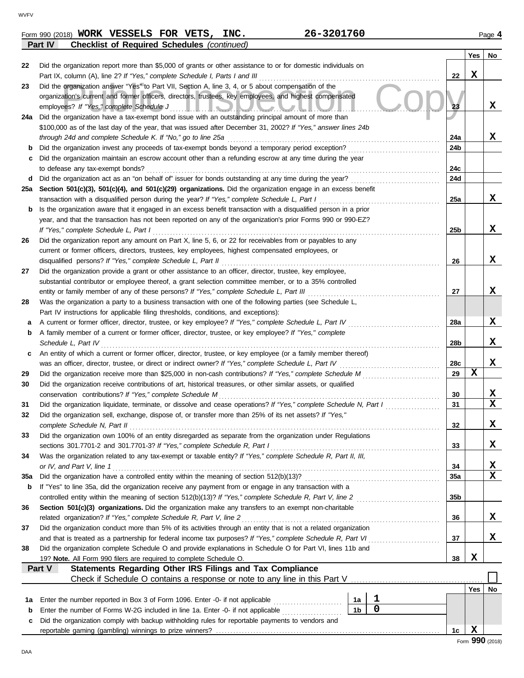|     | Part IV<br><b>Checklist of Required Schedules</b> (continued)                                                                                                                                                        |     |     |                  |
|-----|----------------------------------------------------------------------------------------------------------------------------------------------------------------------------------------------------------------------|-----|-----|------------------|
|     |                                                                                                                                                                                                                      |     | Yes | No               |
| 22  | Did the organization report more than \$5,000 of grants or other assistance to or for domestic individuals on                                                                                                        |     |     |                  |
|     | Part IX, column (A), line 2? If "Yes," complete Schedule I, Parts I and III                                                                                                                                          | 22  | X   |                  |
| 23  | Did the organization answer "Yes" to Part VII, Section A, line 3, 4, or 5 about compensation of the                                                                                                                  |     |     |                  |
|     | organization's current and former officers, directors, trustees, key employees, and highest compensated                                                                                                              |     |     |                  |
|     | employees? If "Yes," complete Schedule J<br><u>I IUMULI</u>                                                                                                                                                          | 23  |     | X                |
| 24a | Did the organization have a tax-exempt bond issue with an outstanding principal amount of more than                                                                                                                  |     |     |                  |
|     | \$100,000 as of the last day of the year, that was issued after December 31, 2002? If "Yes," answer lines 24b                                                                                                        |     |     |                  |
|     | through 24d and complete Schedule K. If "No," go to line 25a                                                                                                                                                         | 24a |     | x                |
| b   | Did the organization invest any proceeds of tax-exempt bonds beyond a temporary period exception?                                                                                                                    | 24b |     |                  |
| c   | Did the organization maintain an escrow account other than a refunding escrow at any time during the year<br>to defease any tax-exempt bonds?                                                                        | 24c |     |                  |
| d   | Did the organization act as an "on behalf of" issuer for bonds outstanding at any time during the year?                                                                                                              | 24d |     |                  |
| 25a | Section 501(c)(3), 501(c)(4), and 501(c)(29) organizations. Did the organization engage in an excess benefit                                                                                                         |     |     |                  |
|     | transaction with a disqualified person during the year? If "Yes," complete Schedule L, Part I                                                                                                                        | 25a |     | x                |
| b   | Is the organization aware that it engaged in an excess benefit transaction with a disqualified person in a prior                                                                                                     |     |     |                  |
|     | year, and that the transaction has not been reported on any of the organization's prior Forms 990 or 990-EZ?                                                                                                         |     |     |                  |
|     | If "Yes," complete Schedule L, Part I                                                                                                                                                                                | 25b |     | X                |
| 26  | Did the organization report any amount on Part X, line 5, 6, or 22 for receivables from or payables to any                                                                                                           |     |     |                  |
|     | current or former officers, directors, trustees, key employees, highest compensated employees, or                                                                                                                    |     |     |                  |
|     | disqualified persons? If "Yes," complete Schedule L, Part II                                                                                                                                                         | 26  |     | x                |
| 27  | Did the organization provide a grant or other assistance to an officer, director, trustee, key employee,                                                                                                             |     |     |                  |
|     | substantial contributor or employee thereof, a grant selection committee member, or to a 35% controlled                                                                                                              |     |     |                  |
|     | entity or family member of any of these persons? If "Yes," complete Schedule L, Part III                                                                                                                             | 27  |     | х                |
| 28  | Was the organization a party to a business transaction with one of the following parties (see Schedule L,                                                                                                            |     |     |                  |
|     | Part IV instructions for applicable filing thresholds, conditions, and exceptions):                                                                                                                                  |     |     |                  |
| а   | A current or former officer, director, trustee, or key employee? If "Yes," complete Schedule L, Part IV                                                                                                              | 28a |     | X                |
| b   | A family member of a current or former officer, director, trustee, or key employee? If "Yes," complete                                                                                                               |     |     |                  |
|     | Schedule L, Part IV                                                                                                                                                                                                  | 28b |     | x                |
| с   | An entity of which a current or former officer, director, trustee, or key employee (or a family member thereof)                                                                                                      |     |     |                  |
|     | was an officer, director, trustee, or direct or indirect owner? If "Yes," complete Schedule L, Part IV                                                                                                               | 28c |     | x                |
| 29  | Did the organization receive more than \$25,000 in non-cash contributions? If "Yes," complete Schedule M                                                                                                             | 29  | X   |                  |
| 30  | Did the organization receive contributions of art, historical treasures, or other similar assets, or qualified                                                                                                       |     |     |                  |
|     | conservation contributions? If "Yes," complete Schedule M                                                                                                                                                            | 30  |     | x                |
| 31  | Did the organization liquidate, terminate, or dissolve and cease operations? If "Yes," complete Schedule N, Part I                                                                                                   | 31  |     | $\mathbf x$      |
| 32  | Did the organization sell, exchange, dispose of, or transfer more than 25% of its net assets? If "Yes,"                                                                                                              |     |     |                  |
|     | complete Schedule N, Part II                                                                                                                                                                                         | 32  |     | х                |
| 33  | Did the organization own 100% of an entity disregarded as separate from the organization under Regulations                                                                                                           |     |     |                  |
|     | sections 301.7701-2 and 301.7701-3? If "Yes," complete Schedule R, Part I                                                                                                                                            | 33  |     | x                |
| 34  | Was the organization related to any tax-exempt or taxable entity? If "Yes," complete Schedule R, Part II, III,                                                                                                       |     |     |                  |
|     | or IV, and Part V, line 1                                                                                                                                                                                            | 34  |     | x<br>$\mathbf x$ |
| 35а | Did the organization have a controlled entity within the meaning of section 512(b)(13)?                                                                                                                              | 35а |     |                  |
| b   | If "Yes" to line 35a, did the organization receive any payment from or engage in any transaction with a<br>controlled entity within the meaning of section 512(b)(13)? If "Yes," complete Schedule R, Part V, line 2 | 35b |     |                  |
| 36  | Section 501(c)(3) organizations. Did the organization make any transfers to an exempt non-charitable                                                                                                                 |     |     |                  |
|     | related organization? If "Yes," complete Schedule R, Part V, line 2                                                                                                                                                  | 36  |     | X                |
| 37  | Did the organization conduct more than 5% of its activities through an entity that is not a related organization                                                                                                     |     |     |                  |
|     | and that is treated as a partnership for federal income tax purposes? If "Yes," complete Schedule R, Part VI                                                                                                         | 37  |     | X                |
| 38  | Did the organization complete Schedule O and provide explanations in Schedule O for Part VI, lines 11b and                                                                                                           |     |     |                  |
|     | 19? Note. All Form 990 filers are required to complete Schedule O.                                                                                                                                                   | 38  | X   |                  |
|     | Statements Regarding Other IRS Filings and Tax Compliance<br>Part V                                                                                                                                                  |     |     |                  |
|     |                                                                                                                                                                                                                      |     |     |                  |
|     |                                                                                                                                                                                                                      |     | Yes | No               |
| 1а  | 1<br>Enter the number reported in Box 3 of Form 1096. Enter -0- if not applicable<br>1a                                                                                                                              |     |     |                  |
| b   | $\mathbf 0$<br>1 <sub>b</sub><br>Enter the number of Forms W-2G included in line 1a. Enter -0- if not applicable                                                                                                     |     |     |                  |
| c   | Did the organization comply with backup withholding rules for reportable payments to vendors and                                                                                                                     |     |     |                  |
|     |                                                                                                                                                                                                                      | 1c  | X   |                  |
|     |                                                                                                                                                                                                                      |     |     | Form 990 (2018)  |

**WORK VESSELS FOR VETS, INC. 26-3201760**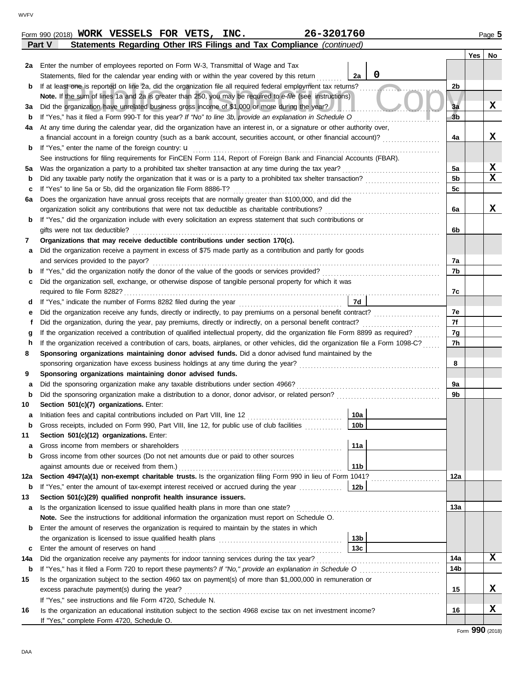|             | comonto reguranty outer neo runtyo and rax compliance foot                                                                                   |                 |                | Yes | No                      |
|-------------|----------------------------------------------------------------------------------------------------------------------------------------------|-----------------|----------------|-----|-------------------------|
| 2a          | Enter the number of employees reported on Form W-3, Transmittal of Wage and Tax                                                              |                 |                |     |                         |
|             | Statements, filed for the calendar year ending with or within the year covered by this return                                                | 0<br>2a         |                |     |                         |
| b           | If at least one is reported on line 2a, did the organization file all required federal employment tax returns?                               |                 | 2b             |     |                         |
|             | Note. If the sum of lines 1a and 2a is greater than 250, you may be required to e-file (see instructions)                                    |                 |                |     |                         |
| За          | Did the organization have unrelated business gross income of \$1,000 or more during the year?                                                |                 | 3a             |     | X                       |
| b           | If "Yes," has it filed a Form 990-T for this year? If "No" to line 3b, provide an explanation in Schedule O                                  |                 | 3 <sub>b</sub> |     |                         |
| 4a          | At any time during the calendar year, did the organization have an interest in, or a signature or other authority over,                      |                 |                |     |                         |
|             | a financial account in a foreign country (such as a bank account, securities account, or other financial account)?                           |                 | 4a             |     | х                       |
| b           | If "Yes," enter the name of the foreign country: <b>u</b>                                                                                    |                 |                |     |                         |
|             | See instructions for filing requirements for FinCEN Form 114, Report of Foreign Bank and Financial Accounts (FBAR).                          |                 |                |     |                         |
| 5а          | Was the organization a party to a prohibited tax shelter transaction at any time during the tax year?                                        |                 | 5a             |     | $\mathbf{x}$            |
| b           | Did any taxable party notify the organization that it was or is a party to a prohibited tax shelter transaction?                             |                 | 5 <sub>b</sub> |     | $\overline{\mathbf{x}}$ |
| c           | If "Yes" to line 5a or 5b, did the organization file Form 8886-T?                                                                            |                 | 5c             |     |                         |
| 6a          | Does the organization have annual gross receipts that are normally greater than \$100,000, and did the                                       |                 |                |     |                         |
|             | organization solicit any contributions that were not tax deductible as charitable contributions?                                             |                 | 6a             |     | X                       |
| b           | If "Yes," did the organization include with every solicitation an express statement that such contributions or                               |                 |                |     |                         |
|             | gifts were not tax deductible?                                                                                                               |                 | 6b             |     |                         |
| 7           | Organizations that may receive deductible contributions under section 170(c).                                                                |                 |                |     |                         |
| а           | Did the organization receive a payment in excess of \$75 made partly as a contribution and partly for goods                                  |                 |                |     |                         |
|             | and services provided to the payor?                                                                                                          |                 | 7a             |     |                         |
| b           | If "Yes," did the organization notify the donor of the value of the goods or services provided?                                              |                 | 7b             |     |                         |
| c           | Did the organization sell, exchange, or otherwise dispose of tangible personal property for which it was                                     |                 |                |     |                         |
|             | required to file Form 8282?                                                                                                                  |                 | 7c             |     |                         |
| d           | If "Yes," indicate the number of Forms 8282 filed during the year                                                                            | 7d              |                |     |                         |
| е           | Did the organization receive any funds, directly or indirectly, to pay premiums on a personal benefit contract?                              |                 | 7e             |     |                         |
| f           | Did the organization, during the year, pay premiums, directly or indirectly, on a personal benefit contract?                                 |                 | 7f             |     |                         |
| g           | If the organization received a contribution of qualified intellectual property, did the organization file Form 8899 as required?             |                 | 7g             |     |                         |
| h           | If the organization received a contribution of cars, boats, airplanes, or other vehicles, did the organization file a Form 1098-C?           |                 | 7h             |     |                         |
| 8           | Sponsoring organizations maintaining donor advised funds. Did a donor advised fund maintained by the                                         |                 |                |     |                         |
|             | sponsoring organization have excess business holdings at any time during the year?                                                           |                 | 8              |     |                         |
| 9           | Sponsoring organizations maintaining donor advised funds.                                                                                    |                 |                |     |                         |
| а           | Did the sponsoring organization make any taxable distributions under section 4966?                                                           |                 | 9a<br>9b       |     |                         |
| $\mathbf b$ | Did the sponsoring organization make a distribution to a donor, donor advisor, or related person?<br>Section 501(c)(7) organizations. Enter: |                 |                |     |                         |
| 10          | Initiation fees and capital contributions included on Part VIII, line 12                                                                     | 10a             |                |     |                         |
| а           | Gross receipts, included on Form 990, Part VIII, line 12, for public use of club facilities                                                  | 10 <sub>b</sub> |                |     |                         |
| b<br>11     | Section 501(c)(12) organizations. Enter:                                                                                                     |                 |                |     |                         |
|             | Gross income from members or shareholders                                                                                                    | 11a             |                |     |                         |
| а<br>b      | Gross income from other sources (Do not net amounts due or paid to other sources                                                             |                 |                |     |                         |
|             | against amounts due or received from them.)                                                                                                  | 11 <sub>b</sub> |                |     |                         |
| 12a         | Section 4947(a)(1) non-exempt charitable trusts. Is the organization filing Form 990 in lieu of Form 1041?                                   |                 | 12a            |     |                         |
| b           | If "Yes," enter the amount of tax-exempt interest received or accrued during the year                                                        | 12 <sub>b</sub> |                |     |                         |
| 13          | Section 501(c)(29) qualified nonprofit health insurance issuers.                                                                             |                 |                |     |                         |
| а           | Is the organization licensed to issue qualified health plans in more than one state?                                                         |                 | 13a            |     |                         |
|             | Note. See the instructions for additional information the organization must report on Schedule O.                                            |                 |                |     |                         |
| b           | Enter the amount of reserves the organization is required to maintain by the states in which                                                 |                 |                |     |                         |
|             |                                                                                                                                              | 13 <sub>b</sub> |                |     |                         |
| c           | Enter the amount of reserves on hand                                                                                                         | 13c             |                |     |                         |
| 14a         | Did the organization receive any payments for indoor tanning services during the tax year?                                                   |                 | 14a            |     | X                       |
| b           |                                                                                                                                              |                 | 14b            |     |                         |
| 15          | Is the organization subject to the section 4960 tax on payment(s) of more than \$1,000,000 in remuneration or                                |                 |                |     |                         |
|             | excess parachute payment(s) during the year?                                                                                                 |                 | 15             |     | х                       |
|             | If "Yes," see instructions and file Form 4720, Schedule N.                                                                                   |                 |                |     |                         |
| 16          | Is the organization an educational institution subject to the section 4968 excise tax on net investment income?                              |                 | 16             |     | х                       |
|             | If "Yes," complete Form 4720, Schedule O.                                                                                                    |                 |                |     |                         |
|             |                                                                                                                                              |                 |                | റററ |                         |

**Part V Statements Regarding Other IRS Filings and Tax Compliance** *(continued)*

| -3201760<br>INC.<br>VESSELS<br><b>FOR</b><br><b>WORK</b><br>VETS,<br>26–<br>Form 990 (2018) | $P$ aqe |
|---------------------------------------------------------------------------------------------|---------|
|---------------------------------------------------------------------------------------------|---------|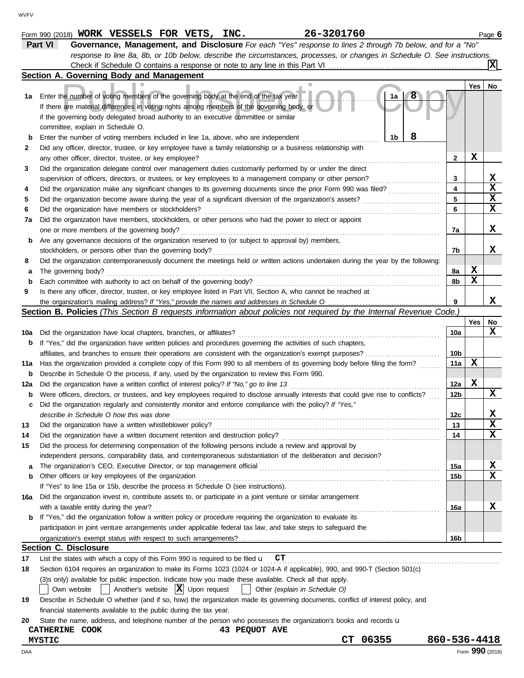|     | Part VI<br>Governance, Management, and Disclosure For each "Yes" response to lines 2 through 7b below, and for a "No"                                                                    |              |                 |                         |
|-----|------------------------------------------------------------------------------------------------------------------------------------------------------------------------------------------|--------------|-----------------|-------------------------|
|     | response to line 8a, 8b, or 10b below, describe the circumstances, processes, or changes in Schedule O. See instructions.                                                                |              |                 |                         |
|     |                                                                                                                                                                                          |              |                 | ΙXΙ                     |
|     | Section A. Governing Body and Management                                                                                                                                                 |              |                 |                         |
|     |                                                                                                                                                                                          |              | Yes             | No                      |
| 1a  | Enter the number of voting members of the governing body at the end of the tax year<br>1a<br>If there are material differences in voting rights among members of the governing body, or  |              |                 |                         |
|     | if the governing body delegated broad authority to an executive committee or similar                                                                                                     |              |                 |                         |
|     | committee, explain in Schedule O.                                                                                                                                                        |              |                 |                         |
| b   | 8<br>1b<br>Enter the number of voting members included in line 1a, above, who are independent                                                                                            |              |                 |                         |
| 2   | Did any officer, director, trustee, or key employee have a family relationship or a business relationship with                                                                           |              |                 |                         |
|     | any other officer, director, trustee, or key employee?                                                                                                                                   | 2            | х               |                         |
| 3   | Did the organization delegate control over management duties customarily performed by or under the direct                                                                                |              |                 |                         |
|     | supervision of officers, directors, or trustees, or key employees to a management company or other person?                                                                               | 3            |                 | X                       |
| 4   | Did the organization make any significant changes to its governing documents since the prior Form 990 was filed?                                                                         | 4            |                 | $\mathbf x$             |
| 5   |                                                                                                                                                                                          | 5            |                 | X                       |
| 6   | Did the organization have members or stockholders?                                                                                                                                       | 6            |                 | $\mathbf x$             |
| 7а  | Did the organization have members, stockholders, or other persons who had the power to elect or appoint                                                                                  |              |                 |                         |
|     | one or more members of the governing body?                                                                                                                                               | 7a           |                 | X                       |
| b   | Are any governance decisions of the organization reserved to (or subject to approval by) members,                                                                                        |              |                 |                         |
|     | stockholders, or persons other than the governing body?                                                                                                                                  | 7b           |                 | X                       |
| 8   | Did the organization contemporaneously document the meetings held or written actions undertaken during the year by the following:                                                        |              |                 |                         |
| а   | The governing body?                                                                                                                                                                      | 8a           | X               |                         |
| b   | Each committee with authority to act on behalf of the governing body?                                                                                                                    | 8b           | X               |                         |
| 9   | Is there any officer, director, trustee, or key employee listed in Part VII, Section A, who cannot be reached at                                                                         |              |                 |                         |
|     |                                                                                                                                                                                          | 9            |                 | х                       |
|     | Section B. Policies (This Section B requests information about policies not required by the Internal Revenue Code.)                                                                      |              |                 |                         |
|     |                                                                                                                                                                                          |              | Yes             | No                      |
| 10a | Did the organization have local chapters, branches, or affiliates?                                                                                                                       | 10a          |                 | X                       |
| b   | If "Yes," did the organization have written policies and procedures governing the activities of such chapters,                                                                           |              |                 |                         |
|     |                                                                                                                                                                                          | 10b          |                 |                         |
| 11a | Has the organization provided a complete copy of this Form 990 to all members of its governing body before filing the form?                                                              | 11a          | х               |                         |
| b   | Describe in Schedule O the process, if any, used by the organization to review this Form 990.                                                                                            |              |                 |                         |
|     | Did the organization have a written conflict of interest policy? If "No," go to line 13                                                                                                  | 12a          | X               |                         |
| 12a | Were officers, directors, or trustees, and key employees required to disclose annually interests that could give rise to conflicts?                                                      | 12b          |                 | x                       |
| b   | Did the organization regularly and consistently monitor and enforce compliance with the policy? If "Yes,"                                                                                |              |                 |                         |
| c   |                                                                                                                                                                                          |              |                 | X                       |
|     | describe in Schedule O how this was done                                                                                                                                                 | 12c<br>13    |                 | $\overline{\mathbf{x}}$ |
|     | Did the organization have a written whistleblower policy?                                                                                                                                | 14           |                 | $\mathbf x$             |
| 14  | Did the organization have a written document retention and destruction policy?<br>Did the process for determining compensation of the following persons include a review and approval by |              |                 |                         |
| 15  |                                                                                                                                                                                          |              |                 |                         |
|     | independent persons, comparability data, and contemporaneous substantiation of the deliberation and decision?                                                                            |              |                 |                         |
| а   | Other officers or key employees of the organization                                                                                                                                      | 15a          |                 | X<br>X                  |
| b   | If "Yes" to line 15a or 15b, describe the process in Schedule O (see instructions).                                                                                                      | 15b          |                 |                         |
|     |                                                                                                                                                                                          |              |                 |                         |
| 16а | Did the organization invest in, contribute assets to, or participate in a joint venture or similar arrangement<br>with a taxable entity during the year?                                 |              |                 | X                       |
|     |                                                                                                                                                                                          | 16a          |                 |                         |
| b   | If "Yes," did the organization follow a written policy or procedure requiring the organization to evaluate its                                                                           |              |                 |                         |
|     | participation in joint venture arrangements under applicable federal tax law, and take steps to safeguard the                                                                            |              |                 |                         |
|     |                                                                                                                                                                                          | 16b          |                 |                         |
|     | <b>Section C. Disclosure</b>                                                                                                                                                             |              |                 |                         |
| 17  | List the states with which a copy of this Form 990 is required to be filed $\mathbf{u}$ $\mathbf{CT}$                                                                                    |              |                 |                         |
| 18  | Section 6104 requires an organization to make its Forms 1023 (1024 or 1024-A if applicable), 990, and 990-T (Section 501(c)                                                              |              |                 |                         |
|     | (3)s only) available for public inspection. Indicate how you made these available. Check all that apply.                                                                                 |              |                 |                         |
|     | Another's website $ \mathbf{X} $ Upon request<br>Other (explain in Schedule O)<br>Own website<br>$\sim 10$                                                                               |              |                 |                         |
| 19  | Describe in Schedule O whether (and if so, how) the organization made its governing documents, conflict of interest policy, and                                                          |              |                 |                         |
|     | financial statements available to the public during the tax year.                                                                                                                        |              |                 |                         |
| 20  | State the name, address, and telephone number of the person who possesses the organization's books and records u                                                                         |              |                 |                         |
|     | <b>43 PEQUOT AVE</b><br><b>CATHERINE COOK</b>                                                                                                                                            |              |                 |                         |
|     | 06355<br>CT.<br><b>MYSTIC</b>                                                                                                                                                            | 860-536-4418 |                 |                         |
| DAA |                                                                                                                                                                                          |              | Form 990 (2018) |                         |

 $_{\rm Form}$  990 (2018) WORK VESSELS FOR VETS, INC.  $26-3201760$  Page 6

**WORK VESSELS FOR VETS, INC. 26-3201760**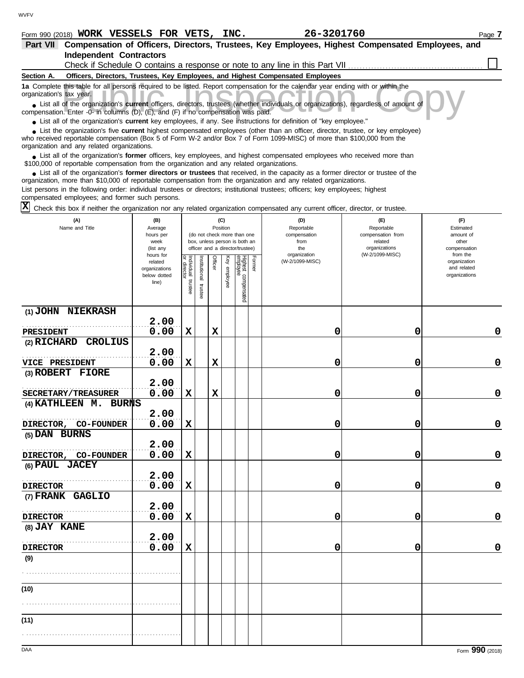## **Form 990 (2018) WORK VESSELS FOR VETS, INC.** 26-3201760 2010 2011 2020 2038 2010

| Part VII                 | Compensation of Officers, Directors, Trustees, Key Employees, Highest Compensated Employees, and                                                                                                                                                                                                           |
|--------------------------|------------------------------------------------------------------------------------------------------------------------------------------------------------------------------------------------------------------------------------------------------------------------------------------------------------|
|                          | <b>Independent Contractors</b>                                                                                                                                                                                                                                                                             |
|                          | Check if Schedule O contains a response or note to any line in this Part VII                                                                                                                                                                                                                               |
| Section A.               | Officers, Directors, Trustees, Key Employees, and Highest Compensated Employees                                                                                                                                                                                                                            |
| organization's tax year. | 1a Complete this table for all persons required to be listed. Report compensation for the calendar year ending with or within the                                                                                                                                                                          |
|                          | • List all of the organization's current officers, directors, trustees (whether individuals or organizations), regardless of amount of<br>compensation. Enter -0- in columns (D), (E), and (F) if no compensation was paid.                                                                                |
|                          | • List all of the organization's current key employees, if any. See instructions for definition of "key employee."                                                                                                                                                                                         |
|                          | • List the organization's five current highest compensated employees (other than an officer, director, trustee, or key employee)<br>who received reportable compensation (Box 5 of Form W-2 and/or Box 7 of Form 1099-MISC) of more than \$100,000 from the<br>organization and any related organizations. |
|                          | • List all of the organization's former officers, key employees, and highest compensated employees who received more than<br>\$100,000 of reportable compensation from the organization and any related organizations.                                                                                     |
|                          | • List all of the organization's <b>former directors or trustees</b> that received, in the capacity as a former director or trustee of the<br>organization, more than \$10,000 of reportable compensation from the organization and any related organizations.                                             |
|                          | List persons in the following order: individual trustees or directors; institutional trustees; officers; key employees; highest<br>compensated employees; and former such persons.                                                                                                                         |

 $\overline{X}$  Check this box if neither the organization nor any related organization compensated any current officer, director, or trustee.

| (A)<br>Name and Title           | (B)<br>Average<br>hours per<br>week<br>(list any               | (C)<br>Position<br>(do not check more than one<br>box, unless person is both an<br>officer and a director/trustee) |                       | (D)<br>Reportable<br>compensation<br>from<br>the | (E)<br>Reportable<br>compensation from<br>related<br>organizations<br>(W-2/1099-MISC) | (F)<br>Estimated<br>amount of<br>other<br>compensation |        |                                 |   |                                                          |
|---------------------------------|----------------------------------------------------------------|--------------------------------------------------------------------------------------------------------------------|-----------------------|--------------------------------------------------|---------------------------------------------------------------------------------------|--------------------------------------------------------|--------|---------------------------------|---|----------------------------------------------------------|
|                                 | hours for<br>related<br>organizations<br>below dotted<br>line) | Individual trustee<br>or director                                                                                  | Institutional trustee | Officer                                          | Key employee                                                                          | Highest compensated<br>employee                        | Former | organization<br>(W-2/1099-MISC) |   | from the<br>organization<br>and related<br>organizations |
| (1) JOHN NIEKRASH               | 2.00                                                           |                                                                                                                    |                       |                                                  |                                                                                       |                                                        |        |                                 |   |                                                          |
| PRESIDENT                       | 0.00                                                           | $\mathbf x$                                                                                                        |                       | $\mathbf x$                                      |                                                                                       |                                                        |        | 0                               | 0 | 0                                                        |
| (2) RICHARD CROLIUS             |                                                                |                                                                                                                    |                       |                                                  |                                                                                       |                                                        |        |                                 |   |                                                          |
|                                 | 2.00                                                           |                                                                                                                    |                       |                                                  |                                                                                       |                                                        |        |                                 |   |                                                          |
| VICE PRESIDENT                  | 0.00                                                           | $\mathbf x$                                                                                                        |                       | $\mathbf x$                                      |                                                                                       |                                                        |        | 0                               | 0 | $\mathbf 0$                                              |
| (3) ROBERT FIORE                |                                                                |                                                                                                                    |                       |                                                  |                                                                                       |                                                        |        |                                 |   |                                                          |
|                                 | 2.00                                                           |                                                                                                                    |                       |                                                  |                                                                                       |                                                        |        |                                 |   |                                                          |
| SECRETARY/TREASURER             | 0.00                                                           | $\mathbf x$                                                                                                        |                       | $\mathbf x$                                      |                                                                                       |                                                        |        | 0                               | 0 | 0                                                        |
| (4) KATHLEEN M.<br><b>BURNS</b> |                                                                |                                                                                                                    |                       |                                                  |                                                                                       |                                                        |        |                                 |   |                                                          |
|                                 | 2.00                                                           |                                                                                                                    |                       |                                                  |                                                                                       |                                                        |        |                                 |   |                                                          |
| DIRECTOR, CO-FOUNDER            | 0.00                                                           | $\mathbf x$                                                                                                        |                       |                                                  |                                                                                       |                                                        |        | 0                               | 0 | $\mathbf 0$                                              |
| (5) DAN BURNS                   |                                                                |                                                                                                                    |                       |                                                  |                                                                                       |                                                        |        |                                 |   |                                                          |
|                                 | 2.00                                                           |                                                                                                                    |                       |                                                  |                                                                                       |                                                        |        |                                 |   |                                                          |
| DIRECTOR, CO-FOUNDER            | 0.00                                                           | $\mathbf x$                                                                                                        |                       |                                                  |                                                                                       |                                                        |        | 0                               | 0 | $\mathbf 0$                                              |
| (6) PAUL JACEY                  | 2.00                                                           |                                                                                                                    |                       |                                                  |                                                                                       |                                                        |        |                                 |   |                                                          |
| <b>DIRECTOR</b>                 | 0.00                                                           | $\mathbf x$                                                                                                        |                       |                                                  |                                                                                       |                                                        |        | 0                               | 0 | 0                                                        |
| (7) FRANK GAGLIO                |                                                                |                                                                                                                    |                       |                                                  |                                                                                       |                                                        |        |                                 |   |                                                          |
|                                 | 2.00                                                           |                                                                                                                    |                       |                                                  |                                                                                       |                                                        |        |                                 |   |                                                          |
| <b>DIRECTOR</b>                 | 0.00                                                           | $\mathbf x$                                                                                                        |                       |                                                  |                                                                                       |                                                        |        | 0                               | 0 | 0                                                        |
| (8) JAY KANE                    |                                                                |                                                                                                                    |                       |                                                  |                                                                                       |                                                        |        |                                 |   |                                                          |
|                                 | 2.00                                                           |                                                                                                                    |                       |                                                  |                                                                                       |                                                        |        |                                 |   |                                                          |
| <b>DIRECTOR</b>                 | 0.00                                                           | $\mathbf x$                                                                                                        |                       |                                                  |                                                                                       |                                                        |        | 0                               | 0 | $\mathbf 0$                                              |
| (9)                             |                                                                |                                                                                                                    |                       |                                                  |                                                                                       |                                                        |        |                                 |   |                                                          |
|                                 |                                                                |                                                                                                                    |                       |                                                  |                                                                                       |                                                        |        |                                 |   |                                                          |
| (10)                            |                                                                |                                                                                                                    |                       |                                                  |                                                                                       |                                                        |        |                                 |   |                                                          |
|                                 |                                                                |                                                                                                                    |                       |                                                  |                                                                                       |                                                        |        |                                 |   |                                                          |
|                                 |                                                                |                                                                                                                    |                       |                                                  |                                                                                       |                                                        |        |                                 |   |                                                          |
| (11)                            |                                                                |                                                                                                                    |                       |                                                  |                                                                                       |                                                        |        |                                 |   |                                                          |
|                                 |                                                                |                                                                                                                    |                       |                                                  |                                                                                       |                                                        |        |                                 |   |                                                          |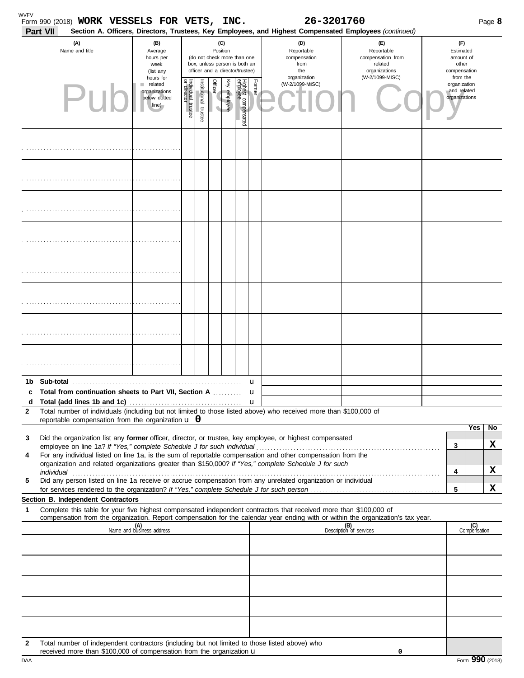| Part VII | Form 990 (2018) WORK VESSELS FOR VETS, INC.                                                                                                                                                                                                                                                                                             |                                                                |                                   |                       |                                                                                                                    |              |                                 |                  | 26-3201760<br>Section A. Officers, Directors, Trustees, Key Employees, and Highest Compensated Employees (continued) |                                                                    |                                                          | Page 8              |
|----------|-----------------------------------------------------------------------------------------------------------------------------------------------------------------------------------------------------------------------------------------------------------------------------------------------------------------------------------------|----------------------------------------------------------------|-----------------------------------|-----------------------|--------------------------------------------------------------------------------------------------------------------|--------------|---------------------------------|------------------|----------------------------------------------------------------------------------------------------------------------|--------------------------------------------------------------------|----------------------------------------------------------|---------------------|
|          | (A)<br>Name and title                                                                                                                                                                                                                                                                                                                   | (B)<br>Average<br>hours per<br>week<br>(list any               |                                   |                       | (C)<br>Position<br>(do not check more than one<br>box, unless person is both an<br>officer and a director/trustee) |              |                                 |                  | (D)<br>Reportable<br>compensation<br>from<br>the                                                                     | (E)<br>Reportable<br>compensation from<br>related<br>organizations | (F)<br>Estimated<br>amount of<br>other<br>compensation   |                     |
|          | P1                                                                                                                                                                                                                                                                                                                                      | hours for<br>related<br>organizations<br>below dotted<br>line) | Individual trustee<br>or director | Institutional trustee | Officer<br>V                                                                                                       | Key employee | Highest compensated<br>employee | Former           | organization<br>(W-2/1099-MISC)                                                                                      | (W-2/1099-MISC)                                                    | from the<br>organization<br>and related<br>organizations |                     |
|          |                                                                                                                                                                                                                                                                                                                                         |                                                                |                                   |                       |                                                                                                                    |              |                                 |                  |                                                                                                                      |                                                                    |                                                          |                     |
|          |                                                                                                                                                                                                                                                                                                                                         |                                                                |                                   |                       |                                                                                                                    |              |                                 |                  |                                                                                                                      |                                                                    |                                                          |                     |
|          |                                                                                                                                                                                                                                                                                                                                         |                                                                |                                   |                       |                                                                                                                    |              |                                 |                  |                                                                                                                      |                                                                    |                                                          |                     |
|          |                                                                                                                                                                                                                                                                                                                                         |                                                                |                                   |                       |                                                                                                                    |              |                                 |                  |                                                                                                                      |                                                                    |                                                          |                     |
|          |                                                                                                                                                                                                                                                                                                                                         |                                                                |                                   |                       |                                                                                                                    |              |                                 |                  |                                                                                                                      |                                                                    |                                                          |                     |
|          |                                                                                                                                                                                                                                                                                                                                         |                                                                |                                   |                       |                                                                                                                    |              |                                 |                  |                                                                                                                      |                                                                    |                                                          |                     |
|          |                                                                                                                                                                                                                                                                                                                                         |                                                                |                                   |                       |                                                                                                                    |              |                                 |                  |                                                                                                                      |                                                                    |                                                          |                     |
|          |                                                                                                                                                                                                                                                                                                                                         |                                                                |                                   |                       |                                                                                                                    |              |                                 |                  |                                                                                                                      |                                                                    |                                                          |                     |
|          | 1b Sub-total                                                                                                                                                                                                                                                                                                                            |                                                                |                                   |                       |                                                                                                                    |              |                                 | u                |                                                                                                                      |                                                                    |                                                          |                     |
| c<br>d   | Total from continuation sheets to Part VII, Section A                                                                                                                                                                                                                                                                                   |                                                                |                                   |                       |                                                                                                                    |              |                                 | u<br>$\mathbf u$ |                                                                                                                      |                                                                    |                                                          |                     |
| 2        | Total number of individuals (including but not limited to those listed above) who received more than \$100,000 of                                                                                                                                                                                                                       |                                                                |                                   |                       |                                                                                                                    |              |                                 |                  |                                                                                                                      |                                                                    |                                                          |                     |
|          | reportable compensation from the organization $\bf{u}$ 0                                                                                                                                                                                                                                                                                |                                                                |                                   |                       |                                                                                                                    |              |                                 |                  |                                                                                                                      |                                                                    |                                                          | Yes<br>No           |
| 3        | Did the organization list any former officer, director, or trustee, key employee, or highest compensated                                                                                                                                                                                                                                |                                                                |                                   |                       |                                                                                                                    |              |                                 |                  |                                                                                                                      |                                                                    | 3                                                        | X                   |
| 4        | For any individual listed on line 1a, is the sum of reportable compensation and other compensation from the                                                                                                                                                                                                                             |                                                                |                                   |                       |                                                                                                                    |              |                                 |                  |                                                                                                                      |                                                                    |                                                          |                     |
|          | organization and related organizations greater than \$150,000? If "Yes," complete Schedule J for such<br>individual communications and contact the contract of the contract of the contract of the contract of the contract of the contract of the contract of the contract of the contract of the contract of the contract of the cont |                                                                |                                   |                       |                                                                                                                    |              |                                 |                  |                                                                                                                      |                                                                    | 4                                                        | x                   |
| 5        | Did any person listed on line 1a receive or accrue compensation from any unrelated organization or individual                                                                                                                                                                                                                           |                                                                |                                   |                       |                                                                                                                    |              |                                 |                  |                                                                                                                      |                                                                    |                                                          |                     |
|          | Section B. Independent Contractors                                                                                                                                                                                                                                                                                                      |                                                                |                                   |                       |                                                                                                                    |              |                                 |                  |                                                                                                                      |                                                                    | 5                                                        | x                   |
| 1        | Complete this table for your five highest compensated independent contractors that received more than \$100,000 of                                                                                                                                                                                                                      |                                                                |                                   |                       |                                                                                                                    |              |                                 |                  |                                                                                                                      |                                                                    |                                                          |                     |
|          | compensation from the organization. Report compensation for the calendar year ending with or within the organization's tax year.                                                                                                                                                                                                        | (A)<br>Name and business address                               |                                   |                       |                                                                                                                    |              |                                 |                  |                                                                                                                      | (B)<br>Description of services                                     |                                                          | (C)<br>Compensation |
|          |                                                                                                                                                                                                                                                                                                                                         |                                                                |                                   |                       |                                                                                                                    |              |                                 |                  |                                                                                                                      |                                                                    |                                                          |                     |
|          |                                                                                                                                                                                                                                                                                                                                         |                                                                |                                   |                       |                                                                                                                    |              |                                 |                  |                                                                                                                      |                                                                    |                                                          |                     |
|          |                                                                                                                                                                                                                                                                                                                                         |                                                                |                                   |                       |                                                                                                                    |              |                                 |                  |                                                                                                                      |                                                                    |                                                          |                     |
|          |                                                                                                                                                                                                                                                                                                                                         |                                                                |                                   |                       |                                                                                                                    |              |                                 |                  |                                                                                                                      |                                                                    |                                                          |                     |
| 2        | Total number of independent contractors (including but not limited to those listed above) who<br>received more than \$100,000 of compensation from the organization $\mathbf u$                                                                                                                                                         |                                                                |                                   |                       |                                                                                                                    |              |                                 |                  |                                                                                                                      | 0                                                                  |                                                          |                     |

| I |  |
|---|--|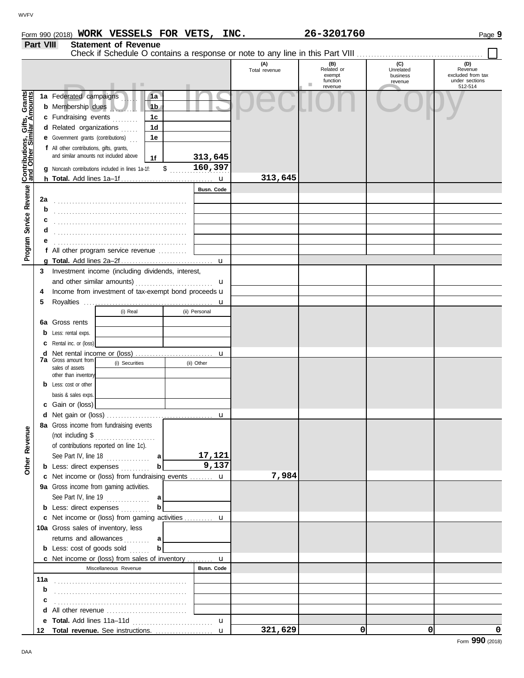|                                              | Part VIII<br><b>Statement of Revenue</b> |                                                                                                                      |               |                             |                       |                              |  |  |  |  |  |  |
|----------------------------------------------|------------------------------------------|----------------------------------------------------------------------------------------------------------------------|---------------|-----------------------------|-----------------------|------------------------------|--|--|--|--|--|--|
|                                              |                                          |                                                                                                                      | (A)           |                             | (C)                   | (D)                          |  |  |  |  |  |  |
|                                              |                                          |                                                                                                                      | Total revenue | (B)<br>Related or<br>exempt | Unrelated<br>business | Revenue<br>excluded from tax |  |  |  |  |  |  |
|                                              |                                          | .                                                                                                                    |               | function<br>٠<br>revenue    | revenue               | under sections<br>512-514    |  |  |  |  |  |  |
| Service Revenue Contributions, Gifts, Grants |                                          | 1a Federated campaigns<br>1a<br><b>b</b> Membership dues<br>1 <sub>b</sub><br>1 <sub>c</sub><br>c Fundraising events |               |                             |                       |                              |  |  |  |  |  |  |
|                                              |                                          | d Related organizations<br>1 <sub>d</sub><br><b>e</b> Government grants (contributions)<br>1e                        |               |                             |                       |                              |  |  |  |  |  |  |
|                                              |                                          | f All other contributions, gifts, grants,<br>and similar amounts not included above                                  |               |                             |                       |                              |  |  |  |  |  |  |
|                                              |                                          | 313,645<br>1f<br>160,397<br>\$<br>g Noncash contributions included in lines 1a-1f:                                   |               |                             |                       |                              |  |  |  |  |  |  |
|                                              |                                          |                                                                                                                      | 313,645       |                             |                       |                              |  |  |  |  |  |  |
|                                              |                                          | Busn. Code                                                                                                           |               |                             |                       |                              |  |  |  |  |  |  |
|                                              | 2a                                       |                                                                                                                      |               |                             |                       |                              |  |  |  |  |  |  |
|                                              | b                                        |                                                                                                                      |               |                             |                       |                              |  |  |  |  |  |  |
|                                              | c                                        |                                                                                                                      |               |                             |                       |                              |  |  |  |  |  |  |
|                                              | d                                        |                                                                                                                      |               |                             |                       |                              |  |  |  |  |  |  |
| Program                                      |                                          |                                                                                                                      |               |                             |                       |                              |  |  |  |  |  |  |
|                                              |                                          | f All other program service revenue                                                                                  |               |                             |                       |                              |  |  |  |  |  |  |
|                                              |                                          |                                                                                                                      |               |                             |                       |                              |  |  |  |  |  |  |
|                                              | 3                                        | Investment income (including dividends, interest,                                                                    |               |                             |                       |                              |  |  |  |  |  |  |
|                                              | 4                                        | u<br>Income from investment of tax-exempt bond proceeds u                                                            |               |                             |                       |                              |  |  |  |  |  |  |
|                                              | 5                                        |                                                                                                                      |               |                             |                       |                              |  |  |  |  |  |  |
|                                              |                                          | (i) Real<br>(ii) Personal                                                                                            |               |                             |                       |                              |  |  |  |  |  |  |
|                                              | 6а                                       | Gross rents                                                                                                          |               |                             |                       |                              |  |  |  |  |  |  |
|                                              |                                          | Less: rental exps.                                                                                                   |               |                             |                       |                              |  |  |  |  |  |  |
|                                              | с                                        | Rental inc. or (loss)                                                                                                |               |                             |                       |                              |  |  |  |  |  |  |
|                                              | d                                        |                                                                                                                      |               |                             |                       |                              |  |  |  |  |  |  |
|                                              |                                          | <b>7a</b> Gross amount from<br>(i) Securities<br>(ii) Other<br>sales of assets                                       |               |                             |                       |                              |  |  |  |  |  |  |
|                                              |                                          | other than inventory                                                                                                 |               |                             |                       |                              |  |  |  |  |  |  |
|                                              |                                          | Less: cost or other                                                                                                  |               |                             |                       |                              |  |  |  |  |  |  |
|                                              |                                          | basis & sales exps.                                                                                                  |               |                             |                       |                              |  |  |  |  |  |  |
|                                              |                                          | Gain or (loss)                                                                                                       |               |                             |                       |                              |  |  |  |  |  |  |
|                                              |                                          | u                                                                                                                    |               |                             |                       |                              |  |  |  |  |  |  |
| Other Revenue                                |                                          | 8a Gross income from fundraising events<br>(not including $\$\dots$                                                  |               |                             |                       |                              |  |  |  |  |  |  |
|                                              |                                          | of contributions reported on line 1c).                                                                               |               |                             |                       |                              |  |  |  |  |  |  |
|                                              |                                          | 17,121<br>See Part IV, line 18 $\ldots$<br>al                                                                        |               |                             |                       |                              |  |  |  |  |  |  |
|                                              |                                          | 9,137<br>b<br><b>b</b> Less: direct expenses                                                                         |               |                             |                       |                              |  |  |  |  |  |  |
|                                              |                                          | c Net income or (loss) from fundraising events  u                                                                    | 7,984         |                             |                       |                              |  |  |  |  |  |  |
|                                              |                                          | 9a Gross income from gaming activities.                                                                              |               |                             |                       |                              |  |  |  |  |  |  |
|                                              |                                          | See Part IV, line $19$<br>al<br>b<br><b>b</b> Less: direct expenses                                                  |               |                             |                       |                              |  |  |  |  |  |  |
|                                              |                                          | c Net income or (loss) from gaming activities  u                                                                     |               |                             |                       |                              |  |  |  |  |  |  |
|                                              |                                          | 10a Gross sales of inventory, less                                                                                   |               |                             |                       |                              |  |  |  |  |  |  |
|                                              |                                          | returns and allowances<br>a l                                                                                        |               |                             |                       |                              |  |  |  |  |  |  |
|                                              |                                          | b<br><b>b</b> Less: cost of goods sold                                                                               |               |                             |                       |                              |  |  |  |  |  |  |
|                                              |                                          | <b>c</b> Net income or (loss) from sales of inventory $\mathbf{u}$                                                   |               |                             |                       |                              |  |  |  |  |  |  |
|                                              |                                          | Busn. Code<br>Miscellaneous Revenue                                                                                  |               |                             |                       |                              |  |  |  |  |  |  |
|                                              | 11a                                      |                                                                                                                      |               |                             |                       |                              |  |  |  |  |  |  |
|                                              | b                                        |                                                                                                                      |               |                             |                       |                              |  |  |  |  |  |  |
|                                              | с                                        |                                                                                                                      |               |                             |                       |                              |  |  |  |  |  |  |
|                                              |                                          |                                                                                                                      |               |                             |                       |                              |  |  |  |  |  |  |
|                                              | е                                        | $\mathbf{u}$<br>12 Total revenue. See instructions.<br>$\mathbf{u}$                                                  | 321,629       | 0                           | 0                     | 0                            |  |  |  |  |  |  |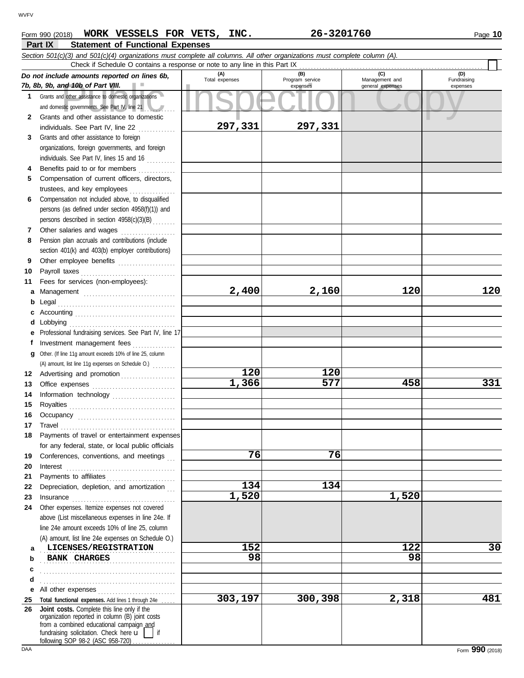| WORK VESSELS FOR VETS,<br>Form 990 (2018)                                                                                  | INC.           | 26-3201760             |                | Page 10            |  |
|----------------------------------------------------------------------------------------------------------------------------|----------------|------------------------|----------------|--------------------|--|
| <b>Part IX</b><br><b>Statement of Functional Expenses</b>                                                                  |                |                        |                |                    |  |
| Section 501(c)(3) and 501(c)(4) organizations must complete all columns. All other organizations must complete column (A). |                |                        |                |                    |  |
| Check if Schedule O contains a response or note to any line in this Part IX                                                |                |                        |                |                    |  |
| Do not include amounts reported on lines 6b,                                                                               | Total ovnapogo | (B)<br>Drogram consign | Monogomont and | (D)<br>Eundraining |  |

|              | o not include amounts reported on mies ob,<br>7b, 8b, 9b, and 10b of Part VIII.                                                                                                                                                                                                                                                                                                                                                                                                                                             | Total expenses     | Program service<br>expenses | Management and<br>general expenses | Fundraising<br>expenses |
|--------------|-----------------------------------------------------------------------------------------------------------------------------------------------------------------------------------------------------------------------------------------------------------------------------------------------------------------------------------------------------------------------------------------------------------------------------------------------------------------------------------------------------------------------------|--------------------|-----------------------------|------------------------------------|-------------------------|
|              | 1 Grants and other assistance to domestic organizations                                                                                                                                                                                                                                                                                                                                                                                                                                                                     |                    |                             |                                    |                         |
|              | and domestic governments. See Part IV, line 21                                                                                                                                                                                                                                                                                                                                                                                                                                                                              |                    |                             |                                    |                         |
| $\mathbf{2}$ | Grants and other assistance to domestic                                                                                                                                                                                                                                                                                                                                                                                                                                                                                     |                    |                             |                                    |                         |
|              | individuals. See Part IV, line 22                                                                                                                                                                                                                                                                                                                                                                                                                                                                                           | 297,331            | 297,331                     |                                    |                         |
| 3            |                                                                                                                                                                                                                                                                                                                                                                                                                                                                                                                             |                    |                             |                                    |                         |
|              | Grants and other assistance to foreign                                                                                                                                                                                                                                                                                                                                                                                                                                                                                      |                    |                             |                                    |                         |
|              | organizations, foreign governments, and foreign                                                                                                                                                                                                                                                                                                                                                                                                                                                                             |                    |                             |                                    |                         |
|              | individuals. See Part IV, lines 15 and 16                                                                                                                                                                                                                                                                                                                                                                                                                                                                                   |                    |                             |                                    |                         |
| 4            | Benefits paid to or for members                                                                                                                                                                                                                                                                                                                                                                                                                                                                                             |                    |                             |                                    |                         |
| 5            | Compensation of current officers, directors,                                                                                                                                                                                                                                                                                                                                                                                                                                                                                |                    |                             |                                    |                         |
|              | trustees, and key employees<br>.                                                                                                                                                                                                                                                                                                                                                                                                                                                                                            |                    |                             |                                    |                         |
| 6            | Compensation not included above, to disqualified                                                                                                                                                                                                                                                                                                                                                                                                                                                                            |                    |                             |                                    |                         |
|              | persons (as defined under section 4958(f)(1)) and                                                                                                                                                                                                                                                                                                                                                                                                                                                                           |                    |                             |                                    |                         |
|              | persons described in section 4958(c)(3)(B)                                                                                                                                                                                                                                                                                                                                                                                                                                                                                  |                    |                             |                                    |                         |
| 7            | Other salaries and wages                                                                                                                                                                                                                                                                                                                                                                                                                                                                                                    |                    |                             |                                    |                         |
| 8            | Pension plan accruals and contributions (include                                                                                                                                                                                                                                                                                                                                                                                                                                                                            |                    |                             |                                    |                         |
|              | section 401(k) and 403(b) employer contributions)                                                                                                                                                                                                                                                                                                                                                                                                                                                                           |                    |                             |                                    |                         |
| 9            | Other employee benefits                                                                                                                                                                                                                                                                                                                                                                                                                                                                                                     |                    |                             |                                    |                         |
| 10           |                                                                                                                                                                                                                                                                                                                                                                                                                                                                                                                             |                    |                             |                                    |                         |
| 11           | Fees for services (non-employees):                                                                                                                                                                                                                                                                                                                                                                                                                                                                                          |                    |                             |                                    |                         |
| a            |                                                                                                                                                                                                                                                                                                                                                                                                                                                                                                                             | 2,400              | 2,160                       | 120                                | 120                     |
| b            |                                                                                                                                                                                                                                                                                                                                                                                                                                                                                                                             |                    |                             |                                    |                         |
| c            |                                                                                                                                                                                                                                                                                                                                                                                                                                                                                                                             |                    |                             |                                    |                         |
| d            |                                                                                                                                                                                                                                                                                                                                                                                                                                                                                                                             |                    |                             |                                    |                         |
| е            | Professional fundraising services. See Part IV, line 17                                                                                                                                                                                                                                                                                                                                                                                                                                                                     |                    |                             |                                    |                         |
| f            | Investment management fees                                                                                                                                                                                                                                                                                                                                                                                                                                                                                                  |                    |                             |                                    |                         |
| a            | Other. (If line 11g amount exceeds 10% of line 25, column                                                                                                                                                                                                                                                                                                                                                                                                                                                                   |                    |                             |                                    |                         |
|              | (A) amount, list line 11g expenses on Schedule O.)                                                                                                                                                                                                                                                                                                                                                                                                                                                                          |                    |                             |                                    |                         |
|              | 12 Advertising and promotion                                                                                                                                                                                                                                                                                                                                                                                                                                                                                                | 120                | 120                         |                                    |                         |
|              |                                                                                                                                                                                                                                                                                                                                                                                                                                                                                                                             | $\overline{1,366}$ | 577                         | 458                                | 331                     |
| 13           |                                                                                                                                                                                                                                                                                                                                                                                                                                                                                                                             |                    |                             |                                    |                         |
| 14           | Information technology                                                                                                                                                                                                                                                                                                                                                                                                                                                                                                      |                    |                             |                                    |                         |
| 15           |                                                                                                                                                                                                                                                                                                                                                                                                                                                                                                                             |                    |                             |                                    |                         |
| 16           |                                                                                                                                                                                                                                                                                                                                                                                                                                                                                                                             |                    |                             |                                    |                         |
| 17           | $\begin{minipage}[c]{0.9\linewidth} \begin{tabular}{l} \textbf{Travel} \end{tabular} \end{minipage} \end{minipage} \begin{minipage}[c]{0.9\linewidth} \begin{tabular}{l} \textbf{True} \end{tabular} \end{minipage} \end{minipage} \begin{minipage}[c]{0.9\linewidth} \begin{tabular}{l} \textbf{True} \end{tabular} \end{minipage} \end{minipage} \begin{minipage}[c]{0.9\linewidth} \begin{tabular}{l} \textbf{True} \end{tabular} \end{minipage} \end{minipage} \begin{minipage}[c]{0.9\linewidth} \begin{tabular}{l} \$ |                    |                             |                                    |                         |
| 18           | Payments of travel or entertainment expenses                                                                                                                                                                                                                                                                                                                                                                                                                                                                                |                    |                             |                                    |                         |
|              | for any federal, state, or local public officials                                                                                                                                                                                                                                                                                                                                                                                                                                                                           |                    |                             |                                    |                         |
| 19           | Conferences, conventions, and meetings                                                                                                                                                                                                                                                                                                                                                                                                                                                                                      | 76                 | 76                          |                                    |                         |
| 20           | Interest                                                                                                                                                                                                                                                                                                                                                                                                                                                                                                                    |                    |                             |                                    |                         |
| 21           | Payments to affiliates                                                                                                                                                                                                                                                                                                                                                                                                                                                                                                      |                    |                             |                                    |                         |
| 22           | Depreciation, depletion, and amortization                                                                                                                                                                                                                                                                                                                                                                                                                                                                                   | 134                | 134                         |                                    |                         |
| 23           | Insurance <i>communication</i>                                                                                                                                                                                                                                                                                                                                                                                                                                                                                              | 1,520              |                             | 1,520                              |                         |
| 24           | Other expenses. Itemize expenses not covered                                                                                                                                                                                                                                                                                                                                                                                                                                                                                |                    |                             |                                    |                         |
|              | above (List miscellaneous expenses in line 24e. If                                                                                                                                                                                                                                                                                                                                                                                                                                                                          |                    |                             |                                    |                         |
|              | line 24e amount exceeds 10% of line 25, column                                                                                                                                                                                                                                                                                                                                                                                                                                                                              |                    |                             |                                    |                         |
|              | (A) amount, list line 24e expenses on Schedule O.)                                                                                                                                                                                                                                                                                                                                                                                                                                                                          |                    |                             |                                    |                         |
| a            | LICENSES/REGISTRATION                                                                                                                                                                                                                                                                                                                                                                                                                                                                                                       | 152                |                             | 122                                | 30                      |
| b            | <b>BANK CHARGES</b>                                                                                                                                                                                                                                                                                                                                                                                                                                                                                                         | 98                 |                             | 98                                 |                         |
| c            |                                                                                                                                                                                                                                                                                                                                                                                                                                                                                                                             |                    |                             |                                    |                         |
| d            |                                                                                                                                                                                                                                                                                                                                                                                                                                                                                                                             |                    |                             |                                    |                         |
| е            |                                                                                                                                                                                                                                                                                                                                                                                                                                                                                                                             |                    |                             |                                    |                         |
| 25           | Total functional expenses. Add lines 1 through 24e                                                                                                                                                                                                                                                                                                                                                                                                                                                                          | 303,197            | 300,398                     | 2,318                              | 481                     |
| 26           | Joint costs. Complete this line only if the                                                                                                                                                                                                                                                                                                                                                                                                                                                                                 |                    |                             |                                    |                         |
|              | organization reported in column (B) joint costs                                                                                                                                                                                                                                                                                                                                                                                                                                                                             |                    |                             |                                    |                         |
|              | from a combined educational campaign and<br>fundraising solicitation. Check here $\overline{\mathbf{u}}$<br>if                                                                                                                                                                                                                                                                                                                                                                                                              |                    |                             |                                    |                         |
|              | following SOP 98-2 (ASC 958-720)                                                                                                                                                                                                                                                                                                                                                                                                                                                                                            |                    |                             |                                    |                         |
| DAA          |                                                                                                                                                                                                                                                                                                                                                                                                                                                                                                                             |                    |                             |                                    | Form 990 (2018)         |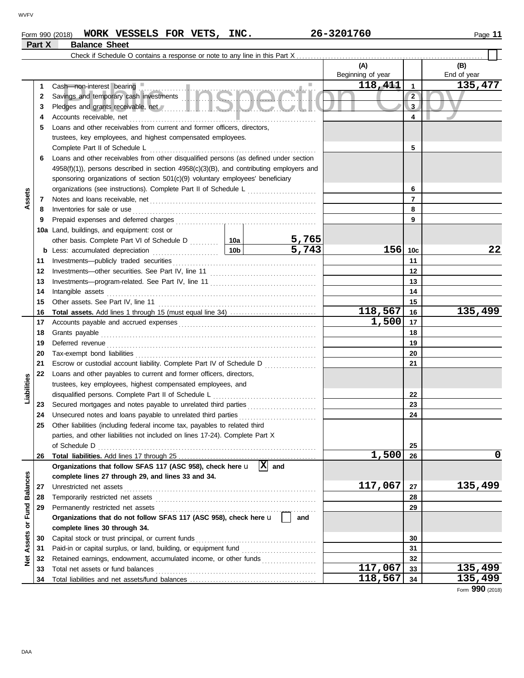### **Form 990 (2018) WORK VESSELS FOR VETS, INC.** 26-3201760 2001 2001 2018 2019 **Part X Balance Sheet**

|                   |    | Check if Schedule O contains a response or note to any line in this Part X                                                         |  |           |                   |                 |                    |
|-------------------|----|------------------------------------------------------------------------------------------------------------------------------------|--|-----------|-------------------|-----------------|--------------------|
|                   |    |                                                                                                                                    |  |           | (A)               |                 | (B)                |
|                   |    |                                                                                                                                    |  |           | Beginning of year |                 | End of year        |
|                   | 1. |                                                                                                                                    |  |           | 118,411           | $\mathbf{1}$    | 135,477            |
|                   | 2  |                                                                                                                                    |  |           |                   | $\overline{2}$  |                    |
|                   | 3  | Pledges and grants receivable, net //www.allen.com/states/and/states/and/states/                                                   |  |           |                   | 3               |                    |
|                   | 4  |                                                                                                                                    |  | 4         |                   |                 |                    |
|                   | 5  | Loans and other receivables from current and former officers, directors,                                                           |  |           |                   |                 |                    |
|                   |    | trustees, key employees, and highest compensated employees.                                                                        |  |           |                   |                 |                    |
|                   |    |                                                                                                                                    |  |           |                   | 5               |                    |
|                   | 6  | Loans and other receivables from other disqualified persons (as defined under section                                              |  |           |                   |                 |                    |
|                   |    | $4958(f)(1)$ ), persons described in section $4958(c)(3)(B)$ , and contributing employers and                                      |  |           |                   |                 |                    |
|                   |    | sponsoring organizations of section 501(c)(9) voluntary employees' beneficiary                                                     |  |           |                   |                 |                    |
|                   |    | organizations (see instructions). Complete Part II of Schedule L [1111111111111111111111111111111111                               |  |           |                   | 6               |                    |
| Assets            | 7  |                                                                                                                                    |  |           |                   | 7               |                    |
|                   | 8  | Inventories for sale or use                                                                                                        |  |           |                   | 8               |                    |
|                   | 9  |                                                                                                                                    |  |           |                   | 9               |                    |
|                   |    | 10a Land, buildings, and equipment: cost or                                                                                        |  |           |                   |                 |                    |
|                   |    |                                                                                                                                    |  | 5,765     |                   |                 |                    |
|                   |    |                                                                                                                                    |  | 5,743     | 156               | 10 <sub>c</sub> | 22                 |
|                   | 11 |                                                                                                                                    |  |           |                   | 11              |                    |
|                   | 12 |                                                                                                                                    |  |           |                   | 12              |                    |
|                   | 13 |                                                                                                                                    |  | 13        |                   |                 |                    |
|                   | 14 | Intangible assets                                                                                                                  |  |           |                   | 14              |                    |
|                   | 15 |                                                                                                                                    |  | 15        |                   |                 |                    |
|                   | 16 |                                                                                                                                    |  |           | 118,567           | 16              | 135,499            |
|                   | 17 |                                                                                                                                    |  | 1,500     | 17                |                 |                    |
|                   | 18 |                                                                                                                                    |  |           |                   | 18              |                    |
|                   | 19 |                                                                                                                                    |  | 19        |                   |                 |                    |
|                   | 20 |                                                                                                                                    |  |           | 20                |                 |                    |
|                   | 21 | Escrow or custodial account liability. Complete Part IV of Schedule D                                                              |  |           | 21                |                 |                    |
| Liabilities       | 22 | Loans and other payables to current and former officers, directors,<br>trustees, key employees, highest compensated employees, and |  |           |                   |                 |                    |
|                   |    |                                                                                                                                    |  |           |                   | 22              |                    |
|                   | 23 |                                                                                                                                    |  |           | 23                |                 |                    |
|                   | 24 | Unsecured notes and loans payable to unrelated third parties [[[[[[[[[[[[[[[[[[[[[[[[[[]]]]]]]]]]                                  |  |           |                   | 24              |                    |
|                   | 25 | Other liabilities (including federal income tax, payables to related third                                                         |  |           |                   |                 |                    |
|                   |    | parties, and other liabilities not included on lines 17-24). Complete Part X                                                       |  |           |                   |                 |                    |
|                   |    | of Schedule D                                                                                                                      |  |           |                   | 25              |                    |
|                   | 26 |                                                                                                                                    |  |           | 1,500             | 26              | 0                  |
|                   |    | Organizations that follow SFAS 117 (ASC 958), check here u                                                                         |  | $ X $ and |                   |                 |                    |
|                   |    | complete lines 27 through 29, and lines 33 and 34.                                                                                 |  |           |                   |                 |                    |
|                   | 27 | Unrestricted net assets                                                                                                            |  |           | 117,067           | 27              | 135,499            |
|                   | 28 |                                                                                                                                    |  |           |                   | 28              |                    |
|                   | 29 | Permanently restricted net assets                                                                                                  |  |           |                   | 29              |                    |
| or Fund Balances  |    | Organizations that do not follow SFAS 117 (ASC 958), check here u                                                                  |  | and       |                   |                 |                    |
|                   |    | complete lines 30 through 34.                                                                                                      |  |           |                   |                 |                    |
|                   | 30 | Capital stock or trust principal, or current funds                                                                                 |  |           |                   | 30              |                    |
| <b>Net Assets</b> | 31 |                                                                                                                                    |  |           | 31                |                 |                    |
|                   | 32 | Retained earnings, endowment, accumulated income, or other funds                                                                   |  |           | 117,067           | 32              |                    |
|                   | 33 | Total net assets or fund balances                                                                                                  |  |           | 118,567           | 33              | 135,499<br>135,499 |
|                   | 34 |                                                                                                                                    |  |           |                   | 34              |                    |

Form **990** (2018)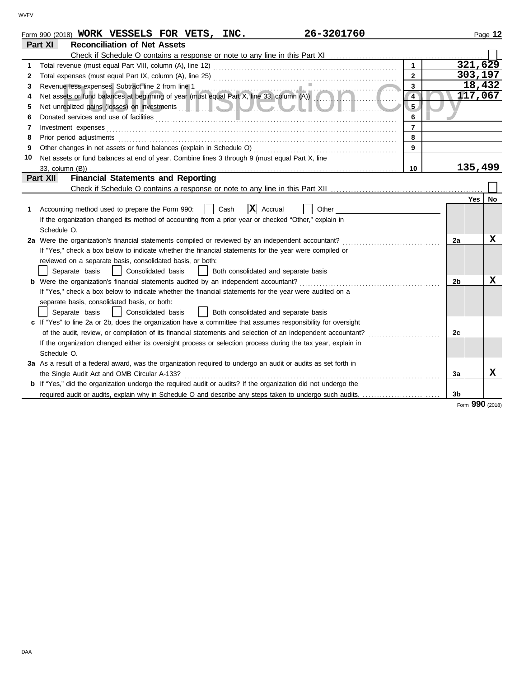|    | 26-3201760<br>Form 990 (2018) WORK VESSELS FOR VETS, INC.                                                                                                                                                                            |                |                | Page 12          |
|----|--------------------------------------------------------------------------------------------------------------------------------------------------------------------------------------------------------------------------------------|----------------|----------------|------------------|
|    | <b>Reconciliation of Net Assets</b><br>Part XI                                                                                                                                                                                       |                |                |                  |
|    |                                                                                                                                                                                                                                      |                |                |                  |
| 1  |                                                                                                                                                                                                                                      | $\mathbf{1}$   |                | 321,629          |
| 2  |                                                                                                                                                                                                                                      | $\overline{2}$ |                | 303,197          |
| 3  |                                                                                                                                                                                                                                      | 3              |                | 18,432           |
| 4  | Revenue less expenses. Subtract line 2 from line 1<br>Net assets or fund balances at beginning of year (must equal Part X, line 33, column (A))                                                                                      | $\overline{4}$ |                | 117,067          |
| 5  |                                                                                                                                                                                                                                      | 5 <sub>2</sub> |                |                  |
| 6  | Donated services and use of facilities <b>constant of the constant of the constant of the constant of the constant of the constant of the constant of the constant of the constant of the constant of the constant of the consta</b> | 6              |                |                  |
| 7  | Investment expenses                                                                                                                                                                                                                  | $\overline{7}$ |                |                  |
| 8  | Prior period adjustments                                                                                                                                                                                                             | 8              |                |                  |
| 9  |                                                                                                                                                                                                                                      | $\overline{9}$ |                |                  |
| 10 | Net assets or fund balances at end of year. Combine lines 3 through 9 (must equal Part X, line                                                                                                                                       |                |                |                  |
|    |                                                                                                                                                                                                                                      | 10             |                | 135,499          |
|    | <b>Financial Statements and Reporting</b><br>Part XII                                                                                                                                                                                |                |                |                  |
|    |                                                                                                                                                                                                                                      |                |                |                  |
|    |                                                                                                                                                                                                                                      |                |                | Yes<br><b>No</b> |
| 1  | $ {\bf x} $<br>Accounting method used to prepare the Form 990:<br>Cash<br>Other<br>Accrual                                                                                                                                           |                |                |                  |
|    | If the organization changed its method of accounting from a prior year or checked "Other," explain in                                                                                                                                |                |                |                  |
|    | Schedule O.                                                                                                                                                                                                                          |                |                |                  |
|    | 2a Were the organization's financial statements compiled or reviewed by an independent accountant?                                                                                                                                   |                | 2a             | X                |
|    | If "Yes," check a box below to indicate whether the financial statements for the year were compiled or                                                                                                                               |                |                |                  |
|    | reviewed on a separate basis, consolidated basis, or both:                                                                                                                                                                           |                |                |                  |
|    | Separate basis<br>  Consolidated basis<br>  Both consolidated and separate basis                                                                                                                                                     |                |                |                  |
|    | b Were the organization's financial statements audited by an independent accountant?                                                                                                                                                 |                | 2 <sub>b</sub> | X                |
|    | If "Yes," check a box below to indicate whether the financial statements for the year were audited on a                                                                                                                              |                |                |                  |
|    | separate basis, consolidated basis, or both:                                                                                                                                                                                         |                |                |                  |
|    | Consolidated basis<br>Separate basis<br>Both consolidated and separate basis                                                                                                                                                         |                |                |                  |
|    | c If "Yes" to line 2a or 2b, does the organization have a committee that assumes responsibility for oversight                                                                                                                        |                |                |                  |
|    | of the audit, review, or compilation of its financial statements and selection of an independent accountant?                                                                                                                         |                | 2c             |                  |
|    | If the organization changed either its oversight process or selection process during the tax year, explain in                                                                                                                        |                |                |                  |
|    | Schedule O.                                                                                                                                                                                                                          |                |                |                  |
|    | 3a As a result of a federal award, was the organization required to undergo an audit or audits as set forth in                                                                                                                       |                |                |                  |
|    | the Single Audit Act and OMB Circular A-133?                                                                                                                                                                                         |                | За             | x                |
|    | b If "Yes," did the organization undergo the required audit or audits? If the organization did not undergo the                                                                                                                       |                |                |                  |
|    | required audit or audits, explain why in Schedule O and describe any steps taken to undergo such audits.                                                                                                                             |                | 3 <sub>b</sub> |                  |

Form **990** (2018)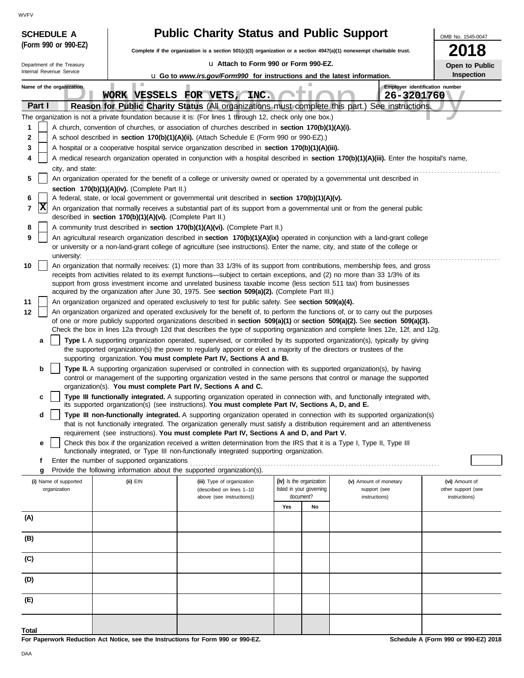| <b>SCHEDULE A</b>          |                                                            | <b>Public Charity Status and Public Support</b>                                                                                                                                                                                                                                                                              |     |                                       |                                | OMB No. 1545-0047                   |
|----------------------------|------------------------------------------------------------|------------------------------------------------------------------------------------------------------------------------------------------------------------------------------------------------------------------------------------------------------------------------------------------------------------------------------|-----|---------------------------------------|--------------------------------|-------------------------------------|
| (Form 990 or 990-EZ)       |                                                            | Complete if the organization is a section $501(c)(3)$ organization or a section $4947(a)(1)$ nonexempt charitable trust.                                                                                                                                                                                                     |     |                                       |                                | 2018                                |
| Department of the Treasury |                                                            | u Attach to Form 990 or Form 990-EZ.                                                                                                                                                                                                                                                                                         |     |                                       |                                | Open to Public                      |
| Internal Revenue Service   |                                                            | <b>u</b> Go to www.irs.gov/Form990 for instructions and the latest information.                                                                                                                                                                                                                                              |     |                                       |                                | Inspection                          |
| Name of the organization   | ×.                                                         |                                                                                                                                                                                                                                                                                                                              |     |                                       | Employer identification number |                                     |
|                            |                                                            | WORK VESSELS FOR VETS, INC.                                                                                                                                                                                                                                                                                                  |     |                                       | 26-3201760                     |                                     |
| Part I                     |                                                            | Reason for Public Charity Status (All organizations must complete this part.)<br>The organization is not a private foundation because it is: (For lines 1 through 12, check only one box.)                                                                                                                                   |     |                                       | See instructions.              |                                     |
| 1                          |                                                            | A church, convention of churches, or association of churches described in section 170(b)(1)(A)(i).                                                                                                                                                                                                                           |     |                                       |                                |                                     |
| 2                          |                                                            | A school described in section 170(b)(1)(A)(ii). (Attach Schedule E (Form 990 or 990-EZ).)                                                                                                                                                                                                                                    |     |                                       |                                |                                     |
| 3                          |                                                            | A hospital or a cooperative hospital service organization described in section 170(b)(1)(A)(iii).                                                                                                                                                                                                                            |     |                                       |                                |                                     |
| 4                          |                                                            | A medical research organization operated in conjunction with a hospital described in section 170(b)(1)(A)(iii). Enter the hospital's name,                                                                                                                                                                                   |     |                                       |                                |                                     |
| city, and state:           |                                                            |                                                                                                                                                                                                                                                                                                                              |     |                                       |                                |                                     |
| 5                          |                                                            | An organization operated for the benefit of a college or university owned or operated by a governmental unit described in                                                                                                                                                                                                    |     |                                       |                                |                                     |
|                            | section 170(b)(1)(A)(iv). (Complete Part II.)              |                                                                                                                                                                                                                                                                                                                              |     |                                       |                                |                                     |
| 6<br> X                    |                                                            | A federal, state, or local government or governmental unit described in section 170(b)(1)(A)(v).                                                                                                                                                                                                                             |     |                                       |                                |                                     |
| 7                          | described in section 170(b)(1)(A)(vi). (Complete Part II.) | An organization that normally receives a substantial part of its support from a governmental unit or from the general public                                                                                                                                                                                                 |     |                                       |                                |                                     |
| 8                          |                                                            | A community trust described in section 170(b)(1)(A)(vi). (Complete Part II.)                                                                                                                                                                                                                                                 |     |                                       |                                |                                     |
| 9<br>university:           |                                                            | An agricultural research organization described in section 170(b)(1)(A)(ix) operated in conjunction with a land-grant college<br>or university or a non-land-grant college of agriculture (see instructions). Enter the name, city, and state of the college or                                                              |     |                                       |                                |                                     |
| 10                         |                                                            | An organization that normally receives: (1) more than 33 1/3% of its support from contributions, membership fees, and gross                                                                                                                                                                                                  |     |                                       |                                |                                     |
|                            |                                                            | receipts from activities related to its exempt functions—subject to certain exceptions, and (2) no more than 33 1/3% of its                                                                                                                                                                                                  |     |                                       |                                |                                     |
|                            |                                                            | support from gross investment income and unrelated business taxable income (less section 511 tax) from businesses<br>acquired by the organization after June 30, 1975. See section 509(a)(2). (Complete Part III.)                                                                                                           |     |                                       |                                |                                     |
| 11                         |                                                            | An organization organized and operated exclusively to test for public safety. See section 509(a)(4).                                                                                                                                                                                                                         |     |                                       |                                |                                     |
| 12                         |                                                            | An organization organized and operated exclusively for the benefit of, to perform the functions of, or to carry out the purposes                                                                                                                                                                                             |     |                                       |                                |                                     |
|                            |                                                            | of one or more publicly supported organizations described in section 509(a)(1) or section 509(a)(2). See section 509(a)(3).                                                                                                                                                                                                  |     |                                       |                                |                                     |
|                            |                                                            | Check the box in lines 12a through 12d that describes the type of supporting organization and complete lines 12e, 12f, and 12g.                                                                                                                                                                                              |     |                                       |                                |                                     |
| a                          |                                                            | Type I. A supporting organization operated, supervised, or controlled by its supported organization(s), typically by giving<br>the supported organization(s) the power to regularly appoint or elect a majority of the directors or trustees of the<br>supporting organization. You must complete Part IV, Sections A and B. |     |                                       |                                |                                     |
| b                          |                                                            | Type II. A supporting organization supervised or controlled in connection with its supported organization(s), by having                                                                                                                                                                                                      |     |                                       |                                |                                     |
|                            |                                                            | control or management of the supporting organization vested in the same persons that control or manage the supported                                                                                                                                                                                                         |     |                                       |                                |                                     |
|                            |                                                            | organization(s). You must complete Part IV, Sections A and C.                                                                                                                                                                                                                                                                |     |                                       |                                |                                     |
| c                          |                                                            | Type III functionally integrated. A supporting organization operated in connection with, and functionally integrated with,<br>its supported organization(s) (see instructions). You must complete Part IV, Sections A, D, and E.                                                                                             |     |                                       |                                |                                     |
| d                          |                                                            | Type III non-functionally integrated. A supporting organization operated in connection with its supported organization(s)<br>that is not functionally integrated. The organization generally must satisfy a distribution requirement and an attentiveness                                                                    |     |                                       |                                |                                     |
|                            |                                                            | requirement (see instructions). You must complete Part IV, Sections A and D, and Part V.                                                                                                                                                                                                                                     |     |                                       |                                |                                     |
| е                          |                                                            | Check this box if the organization received a written determination from the IRS that it is a Type I, Type II, Type III<br>functionally integrated, or Type III non-functionally integrated supporting organization.                                                                                                         |     |                                       |                                |                                     |
| f                          | Enter the number of supported organizations                |                                                                                                                                                                                                                                                                                                                              |     |                                       |                                |                                     |
| g                          |                                                            | Provide the following information about the supported organization(s).                                                                                                                                                                                                                                                       |     |                                       |                                |                                     |
| (i) Name of supported      | (ii) EIN                                                   | (iii) Type of organization                                                                                                                                                                                                                                                                                                   |     | (iv) Is the organization              | (v) Amount of monetary         | (vi) Amount of                      |
| organization               |                                                            | (described on lines 1-10<br>above (see instructions))                                                                                                                                                                                                                                                                        |     | listed in your governing<br>document? | support (see<br>instructions)  | other support (see<br>instructions) |
|                            |                                                            |                                                                                                                                                                                                                                                                                                                              | Yes | No                                    |                                |                                     |
| (A)                        |                                                            |                                                                                                                                                                                                                                                                                                                              |     |                                       |                                |                                     |
|                            |                                                            |                                                                                                                                                                                                                                                                                                                              |     |                                       |                                |                                     |
| (B)                        |                                                            |                                                                                                                                                                                                                                                                                                                              |     |                                       |                                |                                     |
| (C)                        |                                                            |                                                                                                                                                                                                                                                                                                                              |     |                                       |                                |                                     |
| (D)                        |                                                            |                                                                                                                                                                                                                                                                                                                              |     |                                       |                                |                                     |
| (E)                        |                                                            |                                                                                                                                                                                                                                                                                                                              |     |                                       |                                |                                     |
|                            |                                                            |                                                                                                                                                                                                                                                                                                                              |     |                                       |                                |                                     |

**For Paperwork Reduction Act Notice, see the Instructions for Form 990 or 990-EZ.**

**Schedule A (Form 990 or 990-EZ) 2018**

**Total**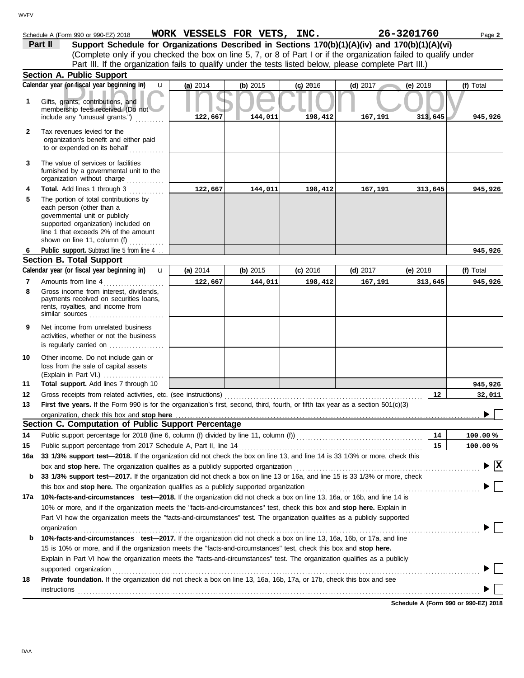#### **Section A. Public Support Schedule A (Form 990 or 990-EZ) 2018 WORK VESSELS FOR VETS, INC.** 26-3201760 Page 2 **(a)** 2014 **(b)** 2015 **(c)** 2016 **(d)** 2017 **(e)** 2018 (Complete only if you checked the box on line 5, 7, or 8 of Part I or if the organization failed to qualify under **Part II** Support Schedule for Organizations Described in Sections 170(b)(1)(A)(iv) and 170(b)(1)(A)(vi) **Calendar year (or fiscal year beginning in) <b>u** (a) 2014 (b) 2015 (c) 2016 (d) 2017 (e) 2018 (f) Total Part III. If the organization fails to qualify under the tests listed below, please complete Part III.)  $\overline{\mathbf{u} \mid}$

|     | Calendar year (or fiscal year beginning in)<br>u                                                                                                                                                                                                                     | (a) 2014 | (b) $2015$ | $(c)$ 2016 | (d) 2017   | (e) $2018$ | (f) Total                              |
|-----|----------------------------------------------------------------------------------------------------------------------------------------------------------------------------------------------------------------------------------------------------------------------|----------|------------|------------|------------|------------|----------------------------------------|
| 1   | Gifts, grants, contributions, and<br>membership fees received. (Do not                                                                                                                                                                                               |          |            |            |            |            |                                        |
|     | include any "unusual grants.")                                                                                                                                                                                                                                       | 122,667  | 144,011    | 198,412    | 167,191    | 313,645    | 945,926                                |
| 2   | Tax revenues levied for the<br>organization's benefit and either paid<br>to or expended on its behalf                                                                                                                                                                |          |            |            |            |            |                                        |
| 3   | The value of services or facilities<br>furnished by a governmental unit to the<br>organization without charge                                                                                                                                                        |          |            |            |            |            |                                        |
| 4   | <b>Total.</b> Add lines 1 through 3                                                                                                                                                                                                                                  | 122,667  | 144,011    | 198,412    | 167,191    | 313,645    | 945,926                                |
| 5   | The portion of total contributions by<br>each person (other than a<br>governmental unit or publicly<br>supported organization) included on<br>line 1 that exceeds 2% of the amount<br>shown on line 11, column (f)                                                   |          |            |            |            |            |                                        |
| 6   | Public support. Subtract line 5 from line 4                                                                                                                                                                                                                          |          |            |            |            |            | 945,926                                |
|     | <b>Section B. Total Support</b>                                                                                                                                                                                                                                      |          |            |            |            |            |                                        |
|     | Calendar year (or fiscal year beginning in)<br>$\mathbf{u}$                                                                                                                                                                                                          | (a) 2014 | (b) 2015   | $(c)$ 2016 | $(d)$ 2017 | (e) 2018   | (f) Total                              |
| 7   | Amounts from line 4                                                                                                                                                                                                                                                  | 122,667  | 144,011    | 198,412    | 167,191    | 313,645    | 945,926                                |
| 8   | Gross income from interest, dividends,<br>payments received on securities loans,<br>rents, royalties, and income from<br>similar sources                                                                                                                             |          |            |            |            |            |                                        |
| 9   | Net income from unrelated business<br>activities, whether or not the business<br>is regularly carried on                                                                                                                                                             |          |            |            |            |            |                                        |
| 10  | Other income. Do not include gain or<br>loss from the sale of capital assets                                                                                                                                                                                         |          |            |            |            |            |                                        |
| 11  | Total support. Add lines 7 through 10                                                                                                                                                                                                                                |          |            |            |            |            | 945,926                                |
| 12  | Gross receipts from related activities, etc. (see instructions)                                                                                                                                                                                                      |          |            |            |            | 12         | 32,011                                 |
| 13  | First five years. If the Form 990 is for the organization's first, second, third, fourth, or fifth tax year as a section 501(c)(3)                                                                                                                                   |          |            |            |            |            |                                        |
|     | organization, check this box and stop here                                                                                                                                                                                                                           |          |            |            |            |            |                                        |
|     | Section C. Computation of Public Support Percentage                                                                                                                                                                                                                  |          |            |            |            |            |                                        |
| 14  | Public support percentage for 2018 (line 6, column (f) divided by line 11, column (f)) [[[[[[[[[[[[[[[[[[[[[[                                                                                                                                                        |          |            |            |            | 14         | 100.00%                                |
| 15  | Public support percentage from 2017 Schedule A, Part II, line 14                                                                                                                                                                                                     |          |            |            |            | 15         | 100.00%                                |
| 16a | 33 1/3% support test-2018. If the organization did not check the box on line 13, and line 14 is 33 1/3% or more, check this                                                                                                                                          |          |            |            |            |            |                                        |
|     | box and stop here. The organization qualifies as a publicly supported organization                                                                                                                                                                                   |          |            |            |            |            | $\blacktriangleright \boxed{\text{X}}$ |
| b   | 33 1/3% support test-2017. If the organization did not check a box on line 13 or 16a, and line 15 is 33 1/3% or more, check                                                                                                                                          |          |            |            |            |            |                                        |
|     | this box and stop here. The organization qualifies as a publicly supported organization                                                                                                                                                                              |          |            |            |            |            |                                        |
| 17a | 10%-facts-and-circumstances test-2018. If the organization did not check a box on line 13, 16a, or 16b, and line 14 is                                                                                                                                               |          |            |            |            |            |                                        |
|     | 10% or more, and if the organization meets the "facts-and-circumstances" test, check this box and stop here. Explain in<br>Part VI how the organization meets the "facts-and-circumstances" test. The organization qualifies as a publicly supported<br>organization |          |            |            |            |            |                                        |
| b   | 10%-facts-and-circumstances test-2017. If the organization did not check a box on line 13, 16a, 16b, or 17a, and line                                                                                                                                                |          |            |            |            |            |                                        |
|     | 15 is 10% or more, and if the organization meets the "facts-and-circumstances" test, check this box and stop here.                                                                                                                                                   |          |            |            |            |            |                                        |
|     | Explain in Part VI how the organization meets the "facts-and-circumstances" test. The organization qualifies as a publicly                                                                                                                                           |          |            |            |            |            |                                        |
|     | supported organization                                                                                                                                                                                                                                               |          |            |            |            |            |                                        |
| 18  | Private foundation. If the organization did not check a box on line 13, 16a, 16b, 17a, or 17b, check this box and see                                                                                                                                                |          |            |            |            |            |                                        |
|     | instructions                                                                                                                                                                                                                                                         |          |            |            |            |            |                                        |
|     |                                                                                                                                                                                                                                                                      |          |            |            |            |            | Schedule A (Form 990 or 990-EZ) 2018   |
|     |                                                                                                                                                                                                                                                                      |          |            |            |            |            |                                        |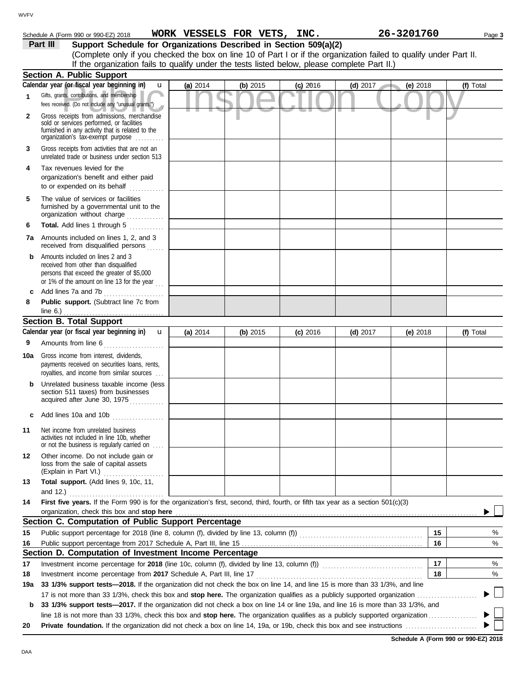## Schedule A (Form 990 or 990-EZ) 2018 Page **3 WORK VESSELS FOR VETS, INC. 26-3201760**

**Part III Support Schedule for Organizations Described in Section 509(a)(2)** (Complete only if you checked the box on line 10 of Part I or if the organization failed to qualify under Part II.

|  | If the organization fails to qualify under the tests listed below, please complete Part II.) |  |  |  |  |  |
|--|----------------------------------------------------------------------------------------------|--|--|--|--|--|

|              | <b>Section A. Public Support</b>                                                                                                                                                  |            |          |            |            |            |           |
|--------------|-----------------------------------------------------------------------------------------------------------------------------------------------------------------------------------|------------|----------|------------|------------|------------|-----------|
|              | Calendar year (or fiscal year beginning in)<br>u                                                                                                                                  | (a) 2014   | (b) 2015 | $(c)$ 2016 | $(d)$ 2017 | (e) 2018   | (f) Total |
| $\mathbf{1}$ | Gifts, grants, contributions, and membership<br>fees received. (Do not include any "unusual grants.")                                                                             |            |          |            |            |            |           |
| $\mathbf{2}$ | Gross receipts from admissions, merchandise<br>sold or services performed, or facilities<br>furnished in any activity that is related to the<br>organization's tax-exempt purpose |            |          |            |            |            |           |
| 3            | Gross receipts from activities that are not an<br>unrelated trade or business under section 513                                                                                   |            |          |            |            |            |           |
| 4            | Tax revenues levied for the<br>organization's benefit and either paid<br>to or expended on its behalf                                                                             |            |          |            |            |            |           |
| 5            | The value of services or facilities<br>furnished by a governmental unit to the<br>organization without charge                                                                     |            |          |            |            |            |           |
| 6            | Total. Add lines 1 through 5<br>.                                                                                                                                                 |            |          |            |            |            |           |
|              | <b>7a</b> Amounts included on lines 1, 2, and 3<br>received from disqualified persons                                                                                             |            |          |            |            |            |           |
| b            | Amounts included on lines 2 and 3<br>received from other than disqualified<br>persons that exceed the greater of \$5,000<br>or 1% of the amount on line 13 for the year $\ldots$  |            |          |            |            |            |           |
| c            | Add lines 7a and 7b<br>.                                                                                                                                                          |            |          |            |            |            |           |
| 8            | Public support. (Subtract line 7c from<br>line $6.$ )                                                                                                                             |            |          |            |            |            |           |
|              | <b>Section B. Total Support</b>                                                                                                                                                   |            |          |            |            |            |           |
|              | Calendar year (or fiscal year beginning in)<br>$\mathbf{u}$                                                                                                                       | (a) $2014$ | (b) 2015 | $(c)$ 2016 | $(d)$ 2017 | (e) $2018$ | (f) Total |
| 9            | Amounts from line 6                                                                                                                                                               |            |          |            |            |            |           |
| 10a          | Gross income from interest, dividends,<br>payments received on securities loans, rents,<br>royalties, and income from similar sources                                             |            |          |            |            |            |           |
|              | Unrelated business taxable income (less<br>section 511 taxes) from businesses<br>acquired after June 30, 1975                                                                     |            |          |            |            |            |           |
| c            | Add lines 10a and 10b                                                                                                                                                             |            |          |            |            |            |           |
| 11           | Net income from unrelated business<br>activities not included in line 10b, whether<br>or not the business is regularly carried on                                                 |            |          |            |            |            |           |
| 12           | Other income. Do not include gain or<br>loss from the sale of capital assets<br>(Explain in Part VI.)                                                                             |            |          |            |            |            |           |
| 13           | Total support. (Add lines 9, 10c, 11,<br>and 12.)                                                                                                                                 |            |          |            |            |            |           |
| 14           | First five years. If the Form 990 is for the organization's first, second, third, fourth, or fifth tax year as a section 501(c)(3)                                                |            |          |            |            |            |           |
|              | organization, check this box and stop here<br>Section C. Computation of Public Support Percentage                                                                                 |            |          |            |            |            |           |
| 15           |                                                                                                                                                                                   |            |          |            |            | 15         | %         |
| 16           |                                                                                                                                                                                   |            |          |            |            | 16         | %         |
|              | Section D. Computation of Investment Income Percentage                                                                                                                            |            |          |            |            |            |           |
| 17           | Investment income percentage for 2018 (line 10c, column (f), divided by line 13, column (f)) [[[[[[[[[[[[[[[[                                                                     |            |          |            |            | 17         | %         |
| 18           | Investment income percentage from 2017 Schedule A, Part III, line 17                                                                                                              |            |          |            |            | 18         | %         |
| 19a          | 33 1/3% support tests—2018. If the organization did not check the box on line 14, and line 15 is more than 33 1/3%, and line                                                      |            |          |            |            |            |           |
|              | 17 is not more than 33 1/3%, check this box and stop here. The organization qualifies as a publicly supported organization                                                        |            |          |            |            |            |           |
| b            | 33 1/3% support tests-2017. If the organization did not check a box on line 14 or line 19a, and line 16 is more than 33 1/3%, and                                                 |            |          |            |            |            |           |
|              | line 18 is not more than 33 1/3%, check this box and stop here. The organization qualifies as a publicly supported organization <i>[1000]</i>                                     |            |          |            |            |            |           |
| 20           |                                                                                                                                                                                   |            |          |            |            |            |           |

**Schedule A (Form 990 or 990-EZ) 2018**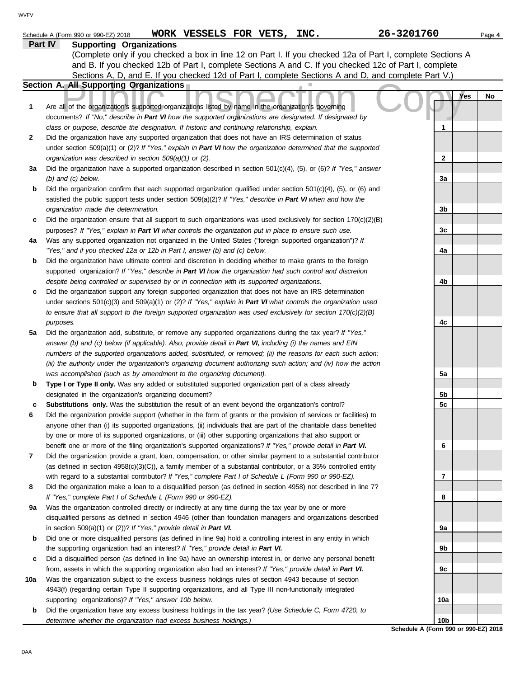|     | WORK VESSELS FOR VETS, INC.<br>Schedule A (Form 990 or 990-EZ) 2018                                                      | 26-3201760                                              | Page 4 |
|-----|--------------------------------------------------------------------------------------------------------------------------|---------------------------------------------------------|--------|
|     | Part IV<br><b>Supporting Organizations</b>                                                                               |                                                         |        |
|     | (Complete only if you checked a box in line 12 on Part I. If you checked 12a of Part I, complete Sections A              |                                                         |        |
|     | and B. If you checked 12b of Part I, complete Sections A and C. If you checked 12c of Part I, complete                   |                                                         |        |
|     | Sections A, D, and E. If you checked 12d of Part I, complete Sections A and D, and complete Part V.)                     |                                                         |        |
|     | Section A. All Supporting Organizations                                                                                  |                                                         |        |
|     |                                                                                                                          | Yes                                                     | No     |
| 1   | Are all of the organization's supported organizations listed by name in the organization's governing                     |                                                         |        |
|     | documents? If "No," describe in Part VI how the supported organizations are designated. If designated by                 |                                                         |        |
|     | class or purpose, describe the designation. If historic and continuing relationship, explain.                            | 1                                                       |        |
| 2   | Did the organization have any supported organization that does not have an IRS determination of status                   |                                                         |        |
|     | under section 509(a)(1) or (2)? If "Yes," explain in Part VI how the organization determined that the supported          |                                                         |        |
|     | organization was described in section 509(a)(1) or (2).                                                                  | $\mathbf{2}$                                            |        |
| За  | Did the organization have a supported organization described in section $501(c)(4)$ , (5), or (6)? If "Yes," answer      |                                                         |        |
|     | $(b)$ and $(c)$ below.                                                                                                   | 3a                                                      |        |
| b   | Did the organization confirm that each supported organization qualified under section $501(c)(4)$ , $(5)$ , or $(6)$ and |                                                         |        |
|     | satisfied the public support tests under section 509(a)(2)? If "Yes," describe in Part VI when and how the               |                                                         |        |
|     | organization made the determination.                                                                                     | 3b                                                      |        |
| c   | Did the organization ensure that all support to such organizations was used exclusively for section $170(c)(2)(B)$       |                                                         |        |
|     | purposes? If "Yes," explain in Part VI what controls the organization put in place to ensure such use.                   | 3c                                                      |        |
| 4a  | Was any supported organization not organized in the United States ("foreign supported organization")? If                 |                                                         |        |
|     | "Yes," and if you checked 12a or 12b in Part I, answer (b) and (c) below.                                                | 4a                                                      |        |
| b   | Did the organization have ultimate control and discretion in deciding whether to make grants to the foreign              |                                                         |        |
|     | supported organization? If "Yes," describe in Part VI how the organization had such control and discretion               |                                                         |        |
|     | despite being controlled or supervised by or in connection with its supported organizations.                             | 4b                                                      |        |
| с   | Did the organization support any foreign supported organization that does not have an IRS determination                  |                                                         |        |
|     | under sections $501(c)(3)$ and $509(a)(1)$ or (2)? If "Yes," explain in Part VI what controls the organization used      |                                                         |        |
|     | to ensure that all support to the foreign supported organization was used exclusively for section $170(c)(2)(B)$         |                                                         |        |
|     | purposes.                                                                                                                | 4c                                                      |        |
| 5a  | Did the organization add, substitute, or remove any supported organizations during the tax year? If "Yes,"               |                                                         |        |
|     | answer (b) and (c) below (if applicable). Also, provide detail in Part VI, including (i) the names and EIN               |                                                         |        |
|     | numbers of the supported organizations added, substituted, or removed; (ii) the reasons for each such action;            |                                                         |        |
|     | (iii) the authority under the organization's organizing document authorizing such action; and (iv) how the action        |                                                         |        |
|     | was accomplished (such as by amendment to the organizing document).                                                      | 5a                                                      |        |
| b   | Type I or Type II only. Was any added or substituted supported organization part of a class already                      |                                                         |        |
|     | designated in the organization's organizing document?                                                                    | 5b                                                      |        |
|     | <b>Substitutions only.</b> Was the substitution the result of an event beyond the organization's control?                | 5c                                                      |        |
| 6   | Did the organization provide support (whether in the form of grants or the provision of services or facilities) to       |                                                         |        |
|     | anyone other than (i) its supported organizations, (ii) individuals that are part of the charitable class benefited      |                                                         |        |
|     | by one or more of its supported organizations, or (iii) other supporting organizations that also support or              |                                                         |        |
|     | benefit one or more of the filing organization's supported organizations? If "Yes," provide detail in Part VI.           | 6                                                       |        |
| 7   | Did the organization provide a grant, loan, compensation, or other similar payment to a substantial contributor          |                                                         |        |
|     | (as defined in section $4958(c)(3)(C)$ ), a family member of a substantial contributor, or a 35% controlled entity       |                                                         |        |
|     | with regard to a substantial contributor? If "Yes," complete Part I of Schedule L (Form 990 or 990-EZ).                  | 7                                                       |        |
| 8   | Did the organization make a loan to a disqualified person (as defined in section 4958) not described in line 7?          |                                                         |        |
|     | If "Yes," complete Part I of Schedule L (Form 990 or 990-EZ).                                                            | 8                                                       |        |
| 9а  | Was the organization controlled directly or indirectly at any time during the tax year by one or more                    |                                                         |        |
|     | disqualified persons as defined in section 4946 (other than foundation managers and organizations described              |                                                         |        |
|     | in section $509(a)(1)$ or $(2)$ ? If "Yes," provide detail in Part VI.                                                   | 9а                                                      |        |
| b   | Did one or more disqualified persons (as defined in line 9a) hold a controlling interest in any entity in which          |                                                         |        |
|     | the supporting organization had an interest? If "Yes," provide detail in Part VI.                                        | 9b                                                      |        |
|     |                                                                                                                          |                                                         |        |
| c   | Did a disqualified person (as defined in line 9a) have an ownership interest in, or derive any personal benefit          |                                                         |        |
|     | from, assets in which the supporting organization also had an interest? If "Yes," provide detail in Part VI.             | 9с                                                      |        |
| 10a | Was the organization subject to the excess business holdings rules of section 4943 because of section                    |                                                         |        |
|     | 4943(f) (regarding certain Type II supporting organizations, and all Type III non-functionally integrated                |                                                         |        |
|     | supporting organizations)? If "Yes," answer 10b below.                                                                   | 10a                                                     |        |
| b   | Did the organization have any excess business holdings in the tax year? (Use Schedule C, Form 4720, to                   |                                                         |        |
|     | determine whether the organization had excess business holdings.)                                                        | 10 <sub>b</sub><br>Schedule A (Form 990 or 990-EZ) 2018 |        |
|     |                                                                                                                          |                                                         |        |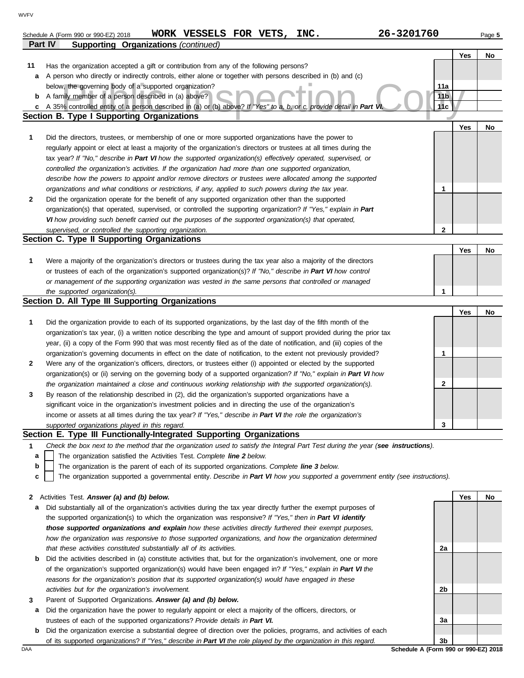|              | 26-3201760<br>WORK VESSELS FOR VETS, INC.<br>Schedule A (Form 990 or 990-EZ) 2018                                                                            |                 |     | Page 5 |
|--------------|--------------------------------------------------------------------------------------------------------------------------------------------------------------|-----------------|-----|--------|
|              | <b>Supporting Organizations (continued)</b><br>Part IV                                                                                                       |                 |     |        |
|              |                                                                                                                                                              |                 | Yes | No     |
| 11           | Has the organization accepted a gift or contribution from any of the following persons?                                                                      |                 |     |        |
| a            | A person who directly or indirectly controls, either alone or together with persons described in (b) and (c)                                                 |                 |     |        |
|              | below, the governing body of a supported organization?                                                                                                       | 11a             |     |        |
| b            | A family member of a person described in (a) above?                                                                                                          | 11 <sub>b</sub> |     |        |
| C            | A 35% controlled entity of a person described in (a) or (b) above? If "Yes" to a, b, or c, provide detail in Part VI                                         | 11c             |     |        |
|              | <b>Section B. Type I Supporting Organizations</b>                                                                                                            |                 |     |        |
|              |                                                                                                                                                              |                 | Yes | No     |
| 1            | Did the directors, trustees, or membership of one or more supported organizations have the power to                                                          |                 |     |        |
|              | regularly appoint or elect at least a majority of the organization's directors or trustees at all times during the                                           |                 |     |        |
|              | tax year? If "No," describe in Part VI how the supported organization(s) effectively operated, supervised, or                                                |                 |     |        |
|              | controlled the organization's activities. If the organization had more than one supported organization,                                                      |                 |     |        |
|              | describe how the powers to appoint and/or remove directors or trustees were allocated among the supported                                                    |                 |     |        |
|              | organizations and what conditions or restrictions, if any, applied to such powers during the tax year.                                                       | $\mathbf{1}$    |     |        |
| $\mathbf{2}$ | Did the organization operate for the benefit of any supported organization other than the supported                                                          |                 |     |        |
|              | organization(s) that operated, supervised, or controlled the supporting organization? If "Yes," explain in Part                                              |                 |     |        |
|              | VI how providing such benefit carried out the purposes of the supported organization(s) that operated,                                                       |                 |     |        |
|              | supervised, or controlled the supporting organization.                                                                                                       | $\mathbf{2}$    |     |        |
|              | Section C. Type II Supporting Organizations                                                                                                                  |                 |     |        |
|              |                                                                                                                                                              |                 | Yes | No     |
| 1            | Were a majority of the organization's directors or trustees during the tax year also a majority of the directors                                             |                 |     |        |
|              | or trustees of each of the organization's supported organization(s)? If "No," describe in Part VI how control                                                |                 |     |        |
|              | or management of the supporting organization was vested in the same persons that controlled or managed                                                       |                 |     |        |
|              | the supported organization(s).                                                                                                                               | 1               |     |        |
|              | Section D. All Type III Supporting Organizations                                                                                                             |                 |     |        |
|              |                                                                                                                                                              |                 | Yes | No     |
| 1            | Did the organization provide to each of its supported organizations, by the last day of the fifth month of the                                               |                 |     |        |
|              | organization's tax year, (i) a written notice describing the type and amount of support provided during the prior tax                                        |                 |     |        |
|              | year, (ii) a copy of the Form 990 that was most recently filed as of the date of notification, and (iii) copies of the                                       |                 |     |        |
|              |                                                                                                                                                              |                 |     |        |
| $\mathbf{2}$ |                                                                                                                                                              | 1               |     |        |
|              | organization's governing documents in effect on the date of notification, to the extent not previously provided?                                             |                 |     |        |
|              | Were any of the organization's officers, directors, or trustees either (i) appointed or elected by the supported                                             |                 |     |        |
|              | organization(s) or (ii) serving on the governing body of a supported organization? If "No," explain in Part VI how                                           | 2               |     |        |
|              | the organization maintained a close and continuous working relationship with the supported organization(s).                                                  |                 |     |        |
| 3            | By reason of the relationship described in (2), did the organization's supported organizations have a                                                        |                 |     |        |
|              | significant voice in the organization's investment policies and in directing the use of the organization's                                                   |                 |     |        |
|              | income or assets at all times during the tax year? If "Yes," describe in Part VI the role the organization's                                                 |                 |     |        |
|              | supported organizations played in this regard.                                                                                                               | 3               |     |        |
|              | Section E. Type III Functionally-Integrated Supporting Organizations                                                                                         |                 |     |        |
| 1            | Check the box next to the method that the organization used to satisfy the Integral Part Test during the year (see instructions).                            |                 |     |        |
| а            | The organization satisfied the Activities Test. Complete line 2 below.                                                                                       |                 |     |        |
| b            | The organization is the parent of each of its supported organizations. Complete line 3 below.                                                                |                 |     |        |
| c            | The organization supported a governmental entity. Describe in Part VI how you supported a government entity (see instructions).                              |                 |     |        |
|              |                                                                                                                                                              |                 |     |        |
| $\mathbf{z}$ | Activities Test. Answer (a) and (b) below.                                                                                                                   |                 | Yes | No     |
| а            | Did substantially all of the organization's activities during the tax year directly further the exempt purposes of                                           |                 |     |        |
|              | the supported organization(s) to which the organization was responsive? If "Yes," then in Part VI identify                                                   |                 |     |        |
|              | those supported organizations and explain how these activities directly furthered their exempt purposes,                                                     |                 |     |        |
|              | how the organization was responsive to those supported organizations, and how the organization determined                                                    |                 |     |        |
|              | that these activities constituted substantially all of its activities.                                                                                       | 2a              |     |        |
| b            | Did the activities described in (a) constitute activities that, but for the organization's involvement, one or more                                          |                 |     |        |
|              | of the organization's supported organization(s) would have been engaged in? If "Yes," explain in Part VI the                                                 |                 |     |        |
|              | reasons for the organization's position that its supported organization(s) would have engaged in these<br>activities but for the organization's involvement. | 2 <sub>b</sub>  |     |        |

- **3** Parent of Supported Organizations. *Answer (a) and (b) below.*
	- **a** Did the organization have the power to regularly appoint or elect a majority of the officers, directors, or trustees of each of the supported organizations? *Provide details in Part VI.*
	- **b** Did the organization exercise a substantial degree of direction over the policies, programs, and activities of each of its supported organizations? *If "Yes," describe in Part VI the role played by the organization in this regard.*

**3b**

DAA **Schedule A (Form 990 or 990-EZ) 2018** 

**3a**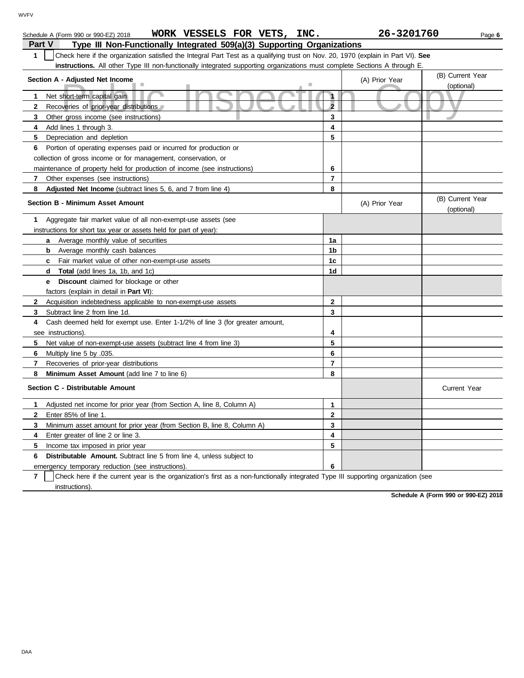| WORK VESSELS FOR VETS, INC.<br>Schedule A (Form 990 or 990-EZ) 2018                                                                              |                         | 26-3201760     | Page 6                         |
|--------------------------------------------------------------------------------------------------------------------------------------------------|-------------------------|----------------|--------------------------------|
| Type III Non-Functionally Integrated 509(a)(3) Supporting Organizations<br>Part V                                                                |                         |                |                                |
| Check here if the organization satisfied the Integral Part Test as a qualifying trust on Nov. 20, 1970 (explain in Part VI). See<br>$\mathbf{1}$ |                         |                |                                |
| <b>instructions.</b> All other Type III non-functionally integrated supporting organizations must complete Sections A through E.                 |                         |                |                                |
| Section A - Adjusted Net Income                                                                                                                  |                         | (A) Prior Year | (B) Current Year               |
|                                                                                                                                                  |                         |                | (optional)                     |
| Net short-term capital gain<br>1                                                                                                                 | $\mathbf{1}$            |                |                                |
| $\mathbf{2}$<br>Recoveries of prior-year distributions                                                                                           | $\overline{\mathbf{2}}$ |                |                                |
| 3<br>Other gross income (see instructions)                                                                                                       | 3                       |                |                                |
| Add lines 1 through 3.<br>4                                                                                                                      | 4                       |                |                                |
| 5<br>Depreciation and depletion                                                                                                                  | 5                       |                |                                |
| Portion of operating expenses paid or incurred for production or<br>6                                                                            |                         |                |                                |
| collection of gross income or for management, conservation, or                                                                                   |                         |                |                                |
| maintenance of property held for production of income (see instructions)                                                                         | 6                       |                |                                |
| 7<br>Other expenses (see instructions)                                                                                                           | 7                       |                |                                |
| 8<br>Adjusted Net Income (subtract lines 5, 6, and 7 from line 4)                                                                                | 8                       |                |                                |
| <b>Section B - Minimum Asset Amount</b>                                                                                                          |                         | (A) Prior Year | (B) Current Year<br>(optional) |
| 1<br>Aggregate fair market value of all non-exempt-use assets (see                                                                               |                         |                |                                |
| instructions for short tax year or assets held for part of year):                                                                                |                         |                |                                |
| <b>a</b> Average monthly value of securities                                                                                                     | 1a                      |                |                                |
| <b>b</b> Average monthly cash balances                                                                                                           | 1b                      |                |                                |
| Fair market value of other non-exempt-use assets<br>$\mathbf{c}$                                                                                 | 1c                      |                |                                |
| <b>Total</b> (add lines 1a, 1b, and 1c)<br>d                                                                                                     | 1d                      |                |                                |
| <b>Discount</b> claimed for blockage or other<br>е                                                                                               |                         |                |                                |
| factors (explain in detail in Part VI):                                                                                                          |                         |                |                                |
| Acquisition indebtedness applicable to non-exempt-use assets<br>$\mathbf{2}$                                                                     | $\mathbf{2}$            |                |                                |
| 3<br>Subtract line 2 from line 1d.                                                                                                               | 3                       |                |                                |
| Cash deemed held for exempt use. Enter 1-1/2% of line 3 (for greater amount,<br>4                                                                |                         |                |                                |
| see instructions).                                                                                                                               | 4                       |                |                                |
| 5<br>Net value of non-exempt-use assets (subtract line 4 from line 3)                                                                            | 5                       |                |                                |
| Multiply line 5 by .035.<br>6                                                                                                                    | 6                       |                |                                |
| 7<br>Recoveries of prior-year distributions                                                                                                      | $\overline{7}$          |                |                                |
| 8<br>Minimum Asset Amount (add line 7 to line 6)                                                                                                 | 8                       |                |                                |
| Section C - Distributable Amount                                                                                                                 |                         |                | Current Year                   |
| Adjusted net income for prior year (from Section A, line 8, Column A)<br>1                                                                       | $\mathbf{1}$            |                |                                |
| $\mathbf{2}$<br>Enter 85% of line 1.                                                                                                             | $\mathbf{2}$            |                |                                |
| 3<br>Minimum asset amount for prior year (from Section B, line 8, Column A)                                                                      | 3                       |                |                                |
| 4<br>Enter greater of line 2 or line 3.                                                                                                          | 4                       |                |                                |
| 5<br>Income tax imposed in prior year                                                                                                            | 5                       |                |                                |
| <b>Distributable Amount.</b> Subtract line 5 from line 4, unless subject to<br>6                                                                 |                         |                |                                |
| emergency temporary reduction (see instructions).                                                                                                | 6                       |                |                                |

**7** instructions). Check here if the current year is the organization's first as a non-functionally integrated Type III supporting organization (see

**Schedule A (Form 990 or 990-EZ) 2018**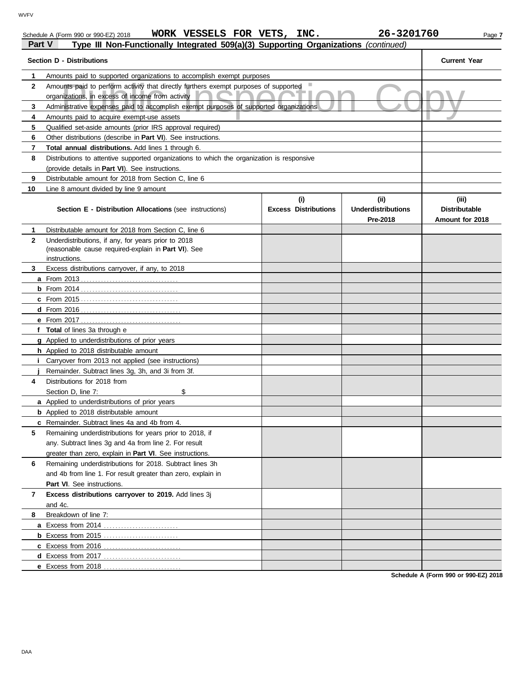| <b>WVFV</b>    |                                                                                                                                          |                             |                                       |                                         |
|----------------|------------------------------------------------------------------------------------------------------------------------------------------|-----------------------------|---------------------------------------|-----------------------------------------|
|                | WORK VESSELS FOR VETS, INC.<br>Schedule A (Form 990 or 990-EZ) 2018                                                                      |                             | 26-3201760                            | Page 7                                  |
|                | Part V<br>Type III Non-Functionally Integrated 509(a)(3) Supporting Organizations (continued)                                            |                             |                                       |                                         |
|                | <b>Section D - Distributions</b>                                                                                                         |                             |                                       | <b>Current Year</b>                     |
|                | Amounts paid to supported organizations to accomplish exempt purposes                                                                    |                             |                                       |                                         |
| $\mathbf{2}$   | Amounts paid to perform activity that directly furthers exempt purposes of supported<br>organizations, in excess of income from activity |                             |                                       |                                         |
| 3              | Administrative expenses paid to accomplish exempt purposes of supported organizations                                                    |                             |                                       |                                         |
| 4              | Amounts paid to acquire exempt-use assets                                                                                                |                             |                                       |                                         |
| 5              | Qualified set-aside amounts (prior IRS approval required)                                                                                |                             |                                       |                                         |
| 6              | Other distributions (describe in Part VI). See instructions.                                                                             |                             |                                       |                                         |
|                | Total annual distributions. Add lines 1 through 6.                                                                                       |                             |                                       |                                         |
| 8              | Distributions to attentive supported organizations to which the organization is responsive                                               |                             |                                       |                                         |
|                | (provide details in Part VI). See instructions.                                                                                          |                             |                                       |                                         |
| 9              | Distributable amount for 2018 from Section C. line 6                                                                                     |                             |                                       |                                         |
| 10             | Line 8 amount divided by line 9 amount                                                                                                   |                             |                                       |                                         |
|                |                                                                                                                                          | (i)                         | (ii)                                  | (iii)                                   |
|                | <b>Section E - Distribution Allocations (see instructions)</b>                                                                           | <b>Excess Distributions</b> | <b>Underdistributions</b><br>Pre-2018 | <b>Distributable</b><br>Amount for 2018 |
|                | Distributable amount for 2018 from Section C, line 6                                                                                     |                             |                                       |                                         |
| $\overline{2}$ | Underdistributions, if any, for years prior to 2018<br>(reasonable cause required-explain in Part VI). See<br>instructions.              |                             |                                       |                                         |
| 3              | Excess distributions carryover, if any, to 2018                                                                                          |                             |                                       |                                         |

**8**

and 4c.

**5**

**4** Distributions for 2018 from

Part VI. See instructions.

Breakdown of line 7:

**f Total** of lines 3a through e

**a** From 2013 . . . . . . . . . . . . . . . . . . . . . . . . . . . . . . . . . . **b** From 2014 . . . . . . . . . . . . . . . . . . . . . . . . . . . . . . . . . . **c** From 2015 . . . . . . . . . . . . . . . . . . . . . . . . . . . . . . . . . . **d** From 2016 . . . . . . . . . . . . . . . . . . . . . . . . . . . . . . . . . . . **e** From 2017 . . . . . . . . . . . . . . . . . . . . . . . . . . . . . . . . . . .

**g** Applied to underdistributions of prior years **h** Applied to 2018 distributable amount

**a** Applied to underdistributions of prior years **b** Applied to 2018 distributable amount **c** Remainder. Subtract lines 4a and 4b from 4.

**i** Carryover from 2013 not applied (see instructions) **j** Remainder. Subtract lines 3g, 3h, and 3i from 3f.

Section D, line 7: \$

**7 Excess distributions carryover to 2019.** Add lines 3j

**a** Excess from 2014 . . . . . . . . . . . . . . . . . . . . . . . . . . **b** Excess from 2015 . . . . . . . . . . . . . . . . . . . . . . . . . . **c** Excess from 2016 . . . . . . . . . . . . . . . . . . . . . . . . . . . **d** Excess from 2017 . . . . . . . . . . . . . . . . . . . . . . . . . . . **e** Excess from 2018 . . . . . . . . . . . . . . . . . . . . . . . . . . .

**6** Remaining underdistributions for 2018. Subtract lines 3h

and 4b from line 1. For result greater than zero, explain in

Remaining underdistributions for years prior to 2018, if any. Subtract lines 3g and 4a from line 2. For result greater than zero, explain in **Part VI**. See instructions.

**Schedule A (Form 990 or 990-EZ) 2018**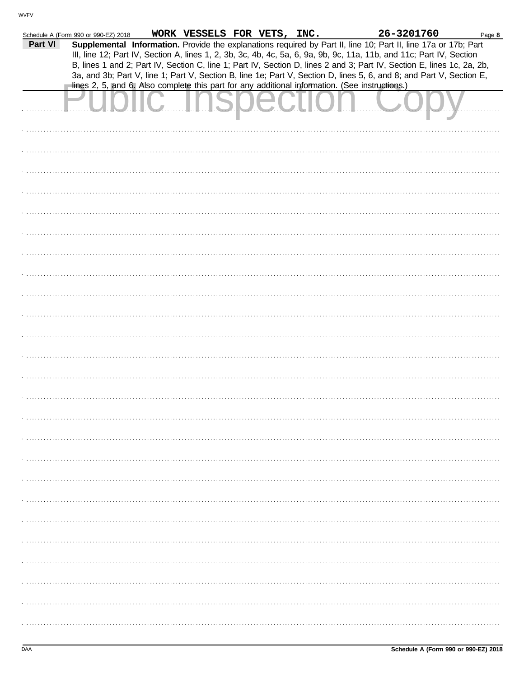|         | Schedule A (Form 990 or 990-EZ) 2018 | WORK VESSELS FOR VETS, INC. |  | 26-3201760                                                                                                             | Page 8 |
|---------|--------------------------------------|-----------------------------|--|------------------------------------------------------------------------------------------------------------------------|--------|
| Part VI |                                      |                             |  | Supplemental Information. Provide the explanations required by Part II, line 10; Part II, line 17a or 17b; Part        |        |
|         |                                      |                             |  | III, line 12; Part IV, Section A, lines 1, 2, 3b, 3c, 4b, 4c, 5a, 6, 9a, 9b, 9c, 11a, 11b, and 11c; Part IV, Section   |        |
|         |                                      |                             |  | B, lines 1 and 2; Part IV, Section C, line 1; Part IV, Section D, lines 2 and 3; Part IV, Section E, lines 1c, 2a, 2b, |        |
|         |                                      |                             |  | 3a, and 3b; Part V, line 1; Part V, Section B, line 1e; Part V, Section D, lines 5, 6, and 8; and Part V, Section E,   |        |
|         |                                      |                             |  | lines 2, 5, and 6. Also complete this part for any additional information. (See instructions.)                         |        |
|         |                                      |                             |  |                                                                                                                        |        |
|         |                                      |                             |  |                                                                                                                        |        |
|         |                                      |                             |  |                                                                                                                        |        |
|         |                                      |                             |  |                                                                                                                        |        |
|         |                                      |                             |  |                                                                                                                        |        |
|         |                                      |                             |  |                                                                                                                        |        |
|         |                                      |                             |  |                                                                                                                        |        |
|         |                                      |                             |  |                                                                                                                        |        |
|         |                                      |                             |  |                                                                                                                        |        |
|         |                                      |                             |  |                                                                                                                        |        |
|         |                                      |                             |  |                                                                                                                        |        |
|         |                                      |                             |  |                                                                                                                        |        |
|         |                                      |                             |  |                                                                                                                        |        |
|         |                                      |                             |  |                                                                                                                        |        |
|         |                                      |                             |  |                                                                                                                        |        |
|         |                                      |                             |  |                                                                                                                        |        |
|         |                                      |                             |  |                                                                                                                        |        |
|         |                                      |                             |  |                                                                                                                        |        |
|         |                                      |                             |  |                                                                                                                        |        |
|         |                                      |                             |  |                                                                                                                        |        |
|         |                                      |                             |  |                                                                                                                        |        |
|         |                                      |                             |  |                                                                                                                        |        |
|         |                                      |                             |  |                                                                                                                        |        |
|         |                                      |                             |  |                                                                                                                        |        |
|         |                                      |                             |  |                                                                                                                        |        |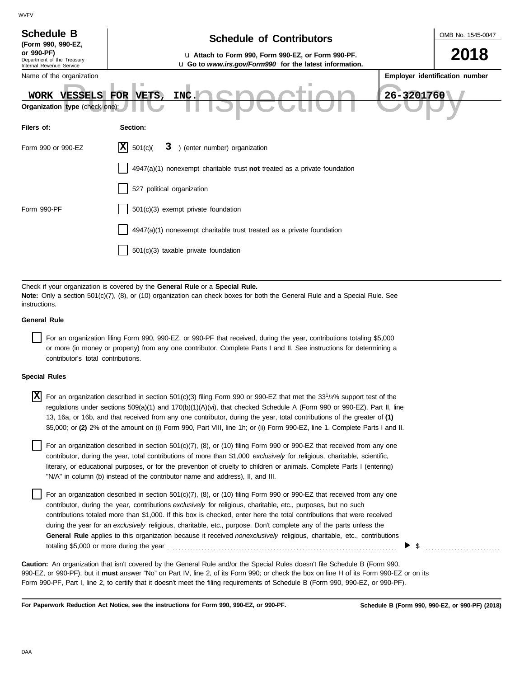| <b>Schedule B</b><br>(Form 990, 990-EZ,<br>or 990-PF)<br>Department of the Treasury<br>Internal Revenue Service<br>Name of the organization<br>WORK VESSELS<br>Organization type (check one):                                                                                       | OMB No. 1545-0047<br><b>Schedule of Contributors</b><br>2018<br>u Attach to Form 990, Form 990-EZ, or Form 990-PF.<br>u Go to www.irs.gov/Form990 for the latest information.<br>Employer identification number<br>26-3201760<br>FOR VETS,<br>INC. |  |  |  |  |  |  |
|-------------------------------------------------------------------------------------------------------------------------------------------------------------------------------------------------------------------------------------------------------------------------------------|----------------------------------------------------------------------------------------------------------------------------------------------------------------------------------------------------------------------------------------------------|--|--|--|--|--|--|
| Filers of:                                                                                                                                                                                                                                                                          | Section:                                                                                                                                                                                                                                           |  |  |  |  |  |  |
| Form 990 or 990-EZ                                                                                                                                                                                                                                                                  | 3 ) (enter number) organization<br>$ \mathbf{X} $ 501(c)(                                                                                                                                                                                          |  |  |  |  |  |  |
|                                                                                                                                                                                                                                                                                     | $4947(a)(1)$ nonexempt charitable trust not treated as a private foundation                                                                                                                                                                        |  |  |  |  |  |  |
|                                                                                                                                                                                                                                                                                     | 527 political organization                                                                                                                                                                                                                         |  |  |  |  |  |  |
| Form 990-PF                                                                                                                                                                                                                                                                         | 501(c)(3) exempt private foundation                                                                                                                                                                                                                |  |  |  |  |  |  |
|                                                                                                                                                                                                                                                                                     | 4947(a)(1) nonexempt charitable trust treated as a private foundation                                                                                                                                                                              |  |  |  |  |  |  |
|                                                                                                                                                                                                                                                                                     | 501(c)(3) taxable private foundation                                                                                                                                                                                                               |  |  |  |  |  |  |
|                                                                                                                                                                                                                                                                                     |                                                                                                                                                                                                                                                    |  |  |  |  |  |  |
| Check if your organization is covered by the General Rule or a Special Rule.<br>Note: Only a section 501(c)(7), (8), or (10) organization can check boxes for both the General Rule and a Special Rule. See<br>instructions.                                                        |                                                                                                                                                                                                                                                    |  |  |  |  |  |  |
| <b>General Rule</b>                                                                                                                                                                                                                                                                 |                                                                                                                                                                                                                                                    |  |  |  |  |  |  |
| For an organization filing Form 990, 990-EZ, or 990-PF that received, during the year, contributions totaling \$5,000<br>or more (in money or property) from any one contributor. Complete Parts I and II. See instructions for determining a<br>contributor's total contributions. |                                                                                                                                                                                                                                                    |  |  |  |  |  |  |

#### **Special Rules**

| <b>X</b> For an organization described in section 501(c)(3) filing Form 990 or 990-EZ that met the 33 <sup>1</sup> /3% support test of the |
|--------------------------------------------------------------------------------------------------------------------------------------------|
| regulations under sections 509(a)(1) and 170(b)(1)(A)(vi), that checked Schedule A (Form 990 or 990-EZ), Part II, line                     |
| 13, 16a, or 16b, and that received from any one contributor, during the year, total contributions of the greater of (1)                    |
| \$5,000; or (2) 2% of the amount on (i) Form 990, Part VIII, line 1h; or (ii) Form 990-EZ, line 1. Complete Parts I and II.                |

literary, or educational purposes, or for the prevention of cruelty to children or animals. Complete Parts I (entering) For an organization described in section 501(c)(7), (8), or (10) filing Form 990 or 990-EZ that received from any one contributor, during the year, total contributions of more than \$1,000 *exclusively* for religious, charitable, scientific, "N/A" in column (b) instead of the contributor name and address), II, and III.

For an organization described in section 501(c)(7), (8), or (10) filing Form 990 or 990-EZ that received from any one contributor, during the year, contributions *exclusively* for religious, charitable, etc., purposes, but no such contributions totaled more than \$1,000. If this box is checked, enter here the total contributions that were received during the year for an *exclusively* religious, charitable, etc., purpose. Don't complete any of the parts unless the **General Rule** applies to this organization because it received *nonexclusively* religious, charitable, etc., contributions totaling \$5,000 or more during the year . . . . . . . . . . . . . . . . . . . . . . . . . . . . . . . . . . . . . . . . . . . . . . . . . . . . . . . . . . . . . . . . . . . . . . . . . . . . . . . .

990-EZ, or 990-PF), but it **must** answer "No" on Part IV, line 2, of its Form 990; or check the box on line H of its Form 990-EZ or on its Form 990-PF, Part I, line 2, to certify that it doesn't meet the filing requirements of Schedule B (Form 990, 990-EZ, or 990-PF). **Caution:** An organization that isn't covered by the General Rule and/or the Special Rules doesn't file Schedule B (Form 990,

**For Paperwork Reduction Act Notice, see the instructions for Form 990, 990-EZ, or 990-PF.**

 $\triangleright$  \$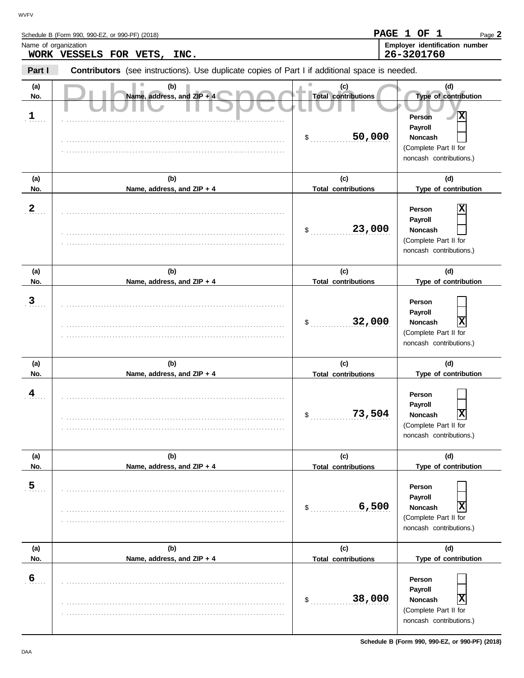Schedule B (Form 990, 990-EZ, or 990-PF) (2018)

| Name of organization | WORK VESSELS FOR VETS, INC.                                                                    |                                   | Employer identification number<br>26-3201760                                                 |
|----------------------|------------------------------------------------------------------------------------------------|-----------------------------------|----------------------------------------------------------------------------------------------|
| Part I               | Contributors (see instructions). Use duplicate copies of Part I if additional space is needed. |                                   |                                                                                              |
| (a)<br>No.           | (b)<br>Name, address, and ZIP + 4                                                              | (c)<br><b>Total contributions</b> | (d)<br>Type of contribution                                                                  |
| 1                    |                                                                                                | 50,000<br>$\sim$                  | X<br>Person<br>Payroll<br><b>Noncash</b><br>(Complete Part II for<br>noncash contributions.) |
| (a)<br>No.           | (b)<br>Name, address, and ZIP + 4                                                              | (c)<br><b>Total contributions</b> | (d)<br>Type of contribution                                                                  |
| $\overline{2}$       |                                                                                                | 23,000<br>$\sim$                  | х<br>Person<br>Payroll<br><b>Noncash</b><br>(Complete Part II for<br>noncash contributions.) |
| (a)<br>No.           | (b)<br>Name, address, and ZIP + 4                                                              | (c)<br><b>Total contributions</b> | (d)<br>Type of contribution                                                                  |
| $\mathbf{3}$         |                                                                                                | 32,000<br>$\frac{1}{2}$           | Person<br>Payroll<br>X<br><b>Noncash</b><br>(Complete Part II for<br>noncash contributions.) |
| (a)<br>No.           | (b)<br>Name, address, and ZIP + 4                                                              | (c)<br><b>Total contributions</b> | (d)<br>Type of contribution                                                                  |
| 4                    |                                                                                                | 73,504<br>$\mathsf{S}$ .          | Person<br>Payroll<br>Х<br><b>Noncash</b><br>(Complete Part II for<br>noncash contributions.) |
| (a)<br>No.           | (b)<br>Name, address, and ZIP + 4                                                              | (c)<br><b>Total contributions</b> | (d)<br>Type of contribution                                                                  |
| $\overline{5}$       |                                                                                                | 6,500<br>\$                       | Person<br>Payroll<br>X<br><b>Noncash</b><br>(Complete Part II for<br>noncash contributions.) |
| (a)<br>No.           | (b)<br>Name, address, and ZIP + 4                                                              | (c)<br><b>Total contributions</b> | (d)<br>Type of contribution                                                                  |
| 6                    |                                                                                                | 38,000<br>\$                      | Person<br>Payroll<br>X<br>Noncash<br>(Complete Part II for<br>noncash contributions.)        |

Page **2**

**PAGE 1 OF 1**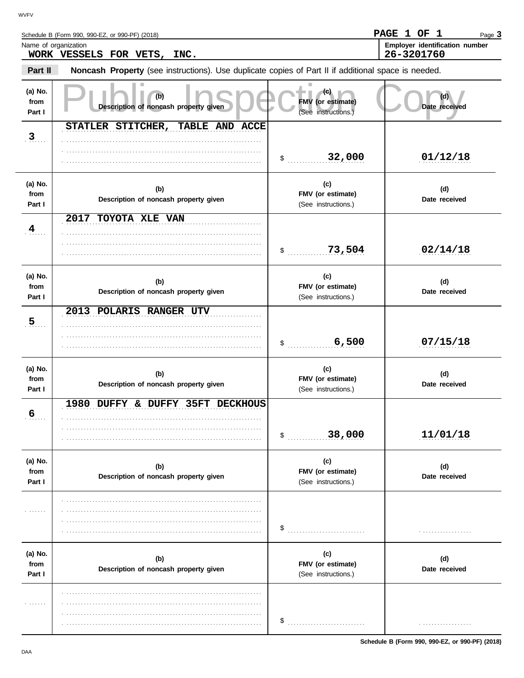Schedule B (Form 990, 990-EZ, or 990-PF) (2018)

| Name of organization      | WORK VESSELS FOR VETS, INC.                                                                         |                                                  | Employer identification number<br>26-3201760 |
|---------------------------|-----------------------------------------------------------------------------------------------------|--------------------------------------------------|----------------------------------------------|
| Part II                   | Noncash Property (see instructions). Use duplicate copies of Part II if additional space is needed. |                                                  |                                              |
| (a) No.<br>from<br>Part I | (b)<br>Description of noncash property given                                                        | (c).<br>FMV (or estimate)<br>(See instructions.) | Date received                                |
| 3                         | STATLER STITCHER,<br>TABLE AND ACCE                                                                 |                                                  |                                              |
|                           |                                                                                                     | 32,000<br>$\mathsf{\$}$                          | 01/12/18                                     |
| (a) No.<br>from<br>Part I | (b)<br>Description of noncash property given                                                        | (c)<br>FMV (or estimate)<br>(See instructions.)  | (d)<br>Date received                         |
| $\frac{4}{1}$             | 2017 TOYOTA XLE VAN                                                                                 |                                                  |                                              |
|                           |                                                                                                     | 73,504<br>$\mathsf{\$}$                          | 02/14/18                                     |
| (a) No.<br>from<br>Part I | (b)<br>Description of noncash property given                                                        | (c)<br>FMV (or estimate)<br>(See instructions.)  | (d)<br>Date received                         |
| 5 <sub>1</sub>            | 2013 POLARIS RANGER UTV                                                                             |                                                  |                                              |
|                           |                                                                                                     | 6,500<br>\$                                      | 07/15/18                                     |
| (a) No.<br>from<br>Part I | (b)<br>Description of noncash property given                                                        | (c)<br>FMV (or estimate)<br>(See instructions.)  | (d)<br>Date received                         |
|                           | 1980 DUFFY & DUFFY 35FT DECKHOUS                                                                    |                                                  |                                              |
| $6\overline{6}$           |                                                                                                     | 38,000<br>\$                                     | 11/01/18                                     |
| (a) No.<br>from<br>Part I | (b)<br>Description of noncash property given                                                        | (c)<br>FMV (or estimate)<br>(See instructions.)  | (d)<br>Date received                         |
|                           |                                                                                                     |                                                  |                                              |
| .                         |                                                                                                     | \$                                               | .                                            |
| (a) No.<br>from<br>Part I | (b)<br>Description of noncash property given                                                        | (c)<br>FMV (or estimate)<br>(See instructions.)  | (d)<br>Date received                         |
|                           |                                                                                                     |                                                  |                                              |
| .                         |                                                                                                     | \$                                               | .                                            |

Page **3**

**PAGE 1 OF 1**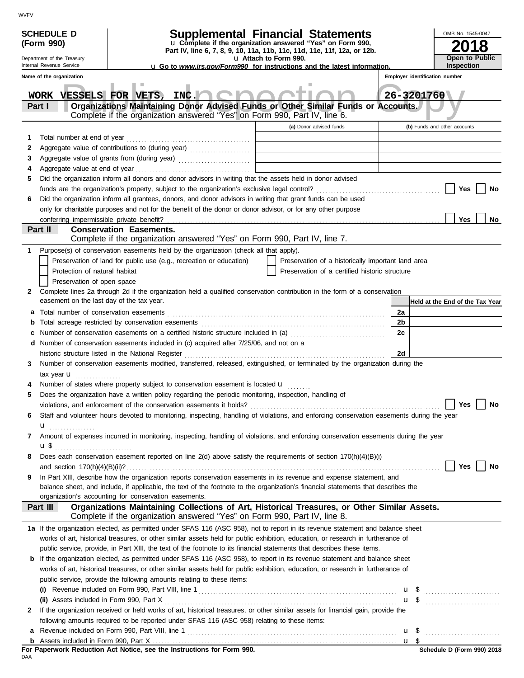| u Complete if the organization answered "Yes" on Form 990,<br>(Form 990)<br>Part IV, line 6, 7, 8, 9, 10, 11a, 11b, 11c, 11d, 11e, 11f, 12a, or 12b.<br>Open to Public<br>u Attach to Form 990.<br>Department of the Treasury<br>Internal Revenue Service<br><b>Inspection</b><br><b>u</b> Go to <i>www.irs.gov/Form990</i> for instructions and the latest information.<br>Name of the organization<br>Employer identification number<br>WORK VESSELS FOR VETS, INC.<br>26-3201760<br>Organizations Maintaining Donor Advised Funds or Other Similar Funds or Accounts.<br>Part I<br>Complete if the organization answered "Yes" on Form 990, Part IV, line 6.<br>(a) Donor advised funds<br>(b) Funds and other accounts<br>1<br>2<br>3<br>Aggregate value at end of year<br>4<br>Did the organization inform all donors and donor advisors in writing that the assets held in donor advised<br>5<br>Yes<br>No<br>Did the organization inform all grantees, donors, and donor advisors in writing that grant funds can be used<br>6<br>only for charitable purposes and not for the benefit of the donor or donor advisor, or for any other purpose<br>Yes<br>No<br>Part II<br><b>Conservation Easements.</b><br>Complete if the organization answered "Yes" on Form 990, Part IV, line 7.<br>Purpose(s) of conservation easements held by the organization (check all that apply).<br>1<br>Preservation of land for public use (e.g., recreation or education)<br>Preservation of a historically important land area<br>Protection of natural habitat<br>Preservation of a certified historic structure<br>Preservation of open space<br>Complete lines 2a through 2d if the organization held a qualified conservation contribution in the form of a conservation<br>2<br>easement on the last day of the tax year.<br>2a<br>2b<br>b<br>Number of conservation easements on a certified historic structure included in (a) [11] Number of conservation easements on a certified historic structure included in (a)<br>2c<br>c<br>d Number of conservation easements included in (c) acquired after 7/25/06, and not on a<br>2d<br>historic structure listed in the National Register<br>Number of conservation easements modified, transferred, released, extinguished, or terminated by the organization during the<br>3<br>tax year $\mathbf{u}$<br>Number of states where property subject to conservation easement is located u<br>Does the organization have a written policy regarding the periodic monitoring, inspection, handling of<br>5<br>violations, and enforcement of the conservation easements it holds? $\Box$ Yes $\Box$ No<br>Staff and volunteer hours devoted to monitoring, inspecting, handling of violations, and enforcing conservation easements during the year<br>6<br>$\mathbf{u}$<br>Amount of expenses incurred in monitoring, inspecting, handling of violations, and enforcing conservation easements during the year<br>7<br><b>u</b> \$<br>Does each conservation easement reported on line 2(d) above satisfy the requirements of section 170(h)(4)(B)(i)<br>8<br>Yes<br>No<br>In Part XIII, describe how the organization reports conservation easements in its revenue and expense statement, and<br>9<br>balance sheet, and include, if applicable, the text of the footnote to the organization's financial statements that describes the<br>organization's accounting for conservation easements.<br>Organizations Maintaining Collections of Art, Historical Treasures, or Other Similar Assets.<br>Part III<br>Complete if the organization answered "Yes" on Form 990, Part IV, line 8.<br>1a If the organization elected, as permitted under SFAS 116 (ASC 958), not to report in its revenue statement and balance sheet<br>works of art, historical treasures, or other similar assets held for public exhibition, education, or research in furtherance of<br>public service, provide, in Part XIII, the text of the footnote to its financial statements that describes these items.<br><b>b</b> If the organization elected, as permitted under SFAS 116 (ASC 958), to report in its revenue statement and balance sheet<br>works of art, historical treasures, or other similar assets held for public exhibition, education, or research in furtherance of<br>public service, provide the following amounts relating to these items:<br>If the organization received or held works of art, historical treasures, or other similar assets for financial gain, provide the<br>2<br>following amounts required to be reported under SFAS 116 (ASC 958) relating to these items:<br><b>a</b> Revenue included on Form 990, Part VIII, line 1 $\ldots$ $\ldots$ $\ldots$ $\ldots$ $\ldots$ $\ldots$ $\ldots$ $\ldots$ $\ldots$ $\ldots$ $\ldots$ $\ldots$ $\ldots$ | <b>SCHEDULE D</b> | Supplemental Financial Statements |  | OMB No. 1545-0047 |
|------------------------------------------------------------------------------------------------------------------------------------------------------------------------------------------------------------------------------------------------------------------------------------------------------------------------------------------------------------------------------------------------------------------------------------------------------------------------------------------------------------------------------------------------------------------------------------------------------------------------------------------------------------------------------------------------------------------------------------------------------------------------------------------------------------------------------------------------------------------------------------------------------------------------------------------------------------------------------------------------------------------------------------------------------------------------------------------------------------------------------------------------------------------------------------------------------------------------------------------------------------------------------------------------------------------------------------------------------------------------------------------------------------------------------------------------------------------------------------------------------------------------------------------------------------------------------------------------------------------------------------------------------------------------------------------------------------------------------------------------------------------------------------------------------------------------------------------------------------------------------------------------------------------------------------------------------------------------------------------------------------------------------------------------------------------------------------------------------------------------------------------------------------------------------------------------------------------------------------------------------------------------------------------------------------------------------------------------------------------------------------------------------------------------------------------------------------------------------------------------------------------------------------------------------------------------------------------------------------------------------------------------------------------------------------------------------------------------------------------------------------------------------------------------------------------------------------------------------------------------------------------------------------------------------------------------------------------------------------------------------------------------------------------------------------------------------------------------------------------------------------------------------------------------------------------------------------------------------------------------------------------------------------------------------------------------------------------------------------------------------------------------------------------------------------------------------------------------------------------------------------------------------------------------------------------------------------------------------------------------------------------------------------------------------------------------------------------------------------------------------------------------------------------------------------------------------------------------------------------------------------------------------------------------------------------------------------------------------------------------------------------------------------------------------------------------------------------------------------------------------------------------------------------------------------------------------------------------------------------------------------------------------------------------------------------------------------------------------------------------------------------------------------------------------------------------------------------------------------------------------------------------------------------------------------------------------------------------------------------------------------------------------------------------------------------------------------------------------------------------------------------------------------------------------------------------|-------------------|-----------------------------------|--|-------------------|
|                                                                                                                                                                                                                                                                                                                                                                                                                                                                                                                                                                                                                                                                                                                                                                                                                                                                                                                                                                                                                                                                                                                                                                                                                                                                                                                                                                                                                                                                                                                                                                                                                                                                                                                                                                                                                                                                                                                                                                                                                                                                                                                                                                                                                                                                                                                                                                                                                                                                                                                                                                                                                                                                                                                                                                                                                                                                                                                                                                                                                                                                                                                                                                                                                                                                                                                                                                                                                                                                                                                                                                                                                                                                                                                                                                                                                                                                                                                                                                                                                                                                                                                                                                                                                                                                                                                                                                                                                                                                                                                                                                                                                                                                                                                                                                                                                        |                   |                                   |  |                   |
| Held at the End of the Tax Year<br>Schodule D (Form 000) 2019                                                                                                                                                                                                                                                                                                                                                                                                                                                                                                                                                                                                                                                                                                                                                                                                                                                                                                                                                                                                                                                                                                                                                                                                                                                                                                                                                                                                                                                                                                                                                                                                                                                                                                                                                                                                                                                                                                                                                                                                                                                                                                                                                                                                                                                                                                                                                                                                                                                                                                                                                                                                                                                                                                                                                                                                                                                                                                                                                                                                                                                                                                                                                                                                                                                                                                                                                                                                                                                                                                                                                                                                                                                                                                                                                                                                                                                                                                                                                                                                                                                                                                                                                                                                                                                                                                                                                                                                                                                                                                                                                                                                                                                                                                                                                          |                   |                                   |  |                   |
|                                                                                                                                                                                                                                                                                                                                                                                                                                                                                                                                                                                                                                                                                                                                                                                                                                                                                                                                                                                                                                                                                                                                                                                                                                                                                                                                                                                                                                                                                                                                                                                                                                                                                                                                                                                                                                                                                                                                                                                                                                                                                                                                                                                                                                                                                                                                                                                                                                                                                                                                                                                                                                                                                                                                                                                                                                                                                                                                                                                                                                                                                                                                                                                                                                                                                                                                                                                                                                                                                                                                                                                                                                                                                                                                                                                                                                                                                                                                                                                                                                                                                                                                                                                                                                                                                                                                                                                                                                                                                                                                                                                                                                                                                                                                                                                                                        |                   |                                   |  |                   |
|                                                                                                                                                                                                                                                                                                                                                                                                                                                                                                                                                                                                                                                                                                                                                                                                                                                                                                                                                                                                                                                                                                                                                                                                                                                                                                                                                                                                                                                                                                                                                                                                                                                                                                                                                                                                                                                                                                                                                                                                                                                                                                                                                                                                                                                                                                                                                                                                                                                                                                                                                                                                                                                                                                                                                                                                                                                                                                                                                                                                                                                                                                                                                                                                                                                                                                                                                                                                                                                                                                                                                                                                                                                                                                                                                                                                                                                                                                                                                                                                                                                                                                                                                                                                                                                                                                                                                                                                                                                                                                                                                                                                                                                                                                                                                                                                                        |                   |                                   |  |                   |
|                                                                                                                                                                                                                                                                                                                                                                                                                                                                                                                                                                                                                                                                                                                                                                                                                                                                                                                                                                                                                                                                                                                                                                                                                                                                                                                                                                                                                                                                                                                                                                                                                                                                                                                                                                                                                                                                                                                                                                                                                                                                                                                                                                                                                                                                                                                                                                                                                                                                                                                                                                                                                                                                                                                                                                                                                                                                                                                                                                                                                                                                                                                                                                                                                                                                                                                                                                                                                                                                                                                                                                                                                                                                                                                                                                                                                                                                                                                                                                                                                                                                                                                                                                                                                                                                                                                                                                                                                                                                                                                                                                                                                                                                                                                                                                                                                        |                   |                                   |  |                   |
|                                                                                                                                                                                                                                                                                                                                                                                                                                                                                                                                                                                                                                                                                                                                                                                                                                                                                                                                                                                                                                                                                                                                                                                                                                                                                                                                                                                                                                                                                                                                                                                                                                                                                                                                                                                                                                                                                                                                                                                                                                                                                                                                                                                                                                                                                                                                                                                                                                                                                                                                                                                                                                                                                                                                                                                                                                                                                                                                                                                                                                                                                                                                                                                                                                                                                                                                                                                                                                                                                                                                                                                                                                                                                                                                                                                                                                                                                                                                                                                                                                                                                                                                                                                                                                                                                                                                                                                                                                                                                                                                                                                                                                                                                                                                                                                                                        |                   |                                   |  |                   |
|                                                                                                                                                                                                                                                                                                                                                                                                                                                                                                                                                                                                                                                                                                                                                                                                                                                                                                                                                                                                                                                                                                                                                                                                                                                                                                                                                                                                                                                                                                                                                                                                                                                                                                                                                                                                                                                                                                                                                                                                                                                                                                                                                                                                                                                                                                                                                                                                                                                                                                                                                                                                                                                                                                                                                                                                                                                                                                                                                                                                                                                                                                                                                                                                                                                                                                                                                                                                                                                                                                                                                                                                                                                                                                                                                                                                                                                                                                                                                                                                                                                                                                                                                                                                                                                                                                                                                                                                                                                                                                                                                                                                                                                                                                                                                                                                                        |                   |                                   |  |                   |
|                                                                                                                                                                                                                                                                                                                                                                                                                                                                                                                                                                                                                                                                                                                                                                                                                                                                                                                                                                                                                                                                                                                                                                                                                                                                                                                                                                                                                                                                                                                                                                                                                                                                                                                                                                                                                                                                                                                                                                                                                                                                                                                                                                                                                                                                                                                                                                                                                                                                                                                                                                                                                                                                                                                                                                                                                                                                                                                                                                                                                                                                                                                                                                                                                                                                                                                                                                                                                                                                                                                                                                                                                                                                                                                                                                                                                                                                                                                                                                                                                                                                                                                                                                                                                                                                                                                                                                                                                                                                                                                                                                                                                                                                                                                                                                                                                        |                   |                                   |  |                   |
|                                                                                                                                                                                                                                                                                                                                                                                                                                                                                                                                                                                                                                                                                                                                                                                                                                                                                                                                                                                                                                                                                                                                                                                                                                                                                                                                                                                                                                                                                                                                                                                                                                                                                                                                                                                                                                                                                                                                                                                                                                                                                                                                                                                                                                                                                                                                                                                                                                                                                                                                                                                                                                                                                                                                                                                                                                                                                                                                                                                                                                                                                                                                                                                                                                                                                                                                                                                                                                                                                                                                                                                                                                                                                                                                                                                                                                                                                                                                                                                                                                                                                                                                                                                                                                                                                                                                                                                                                                                                                                                                                                                                                                                                                                                                                                                                                        |                   |                                   |  |                   |
|                                                                                                                                                                                                                                                                                                                                                                                                                                                                                                                                                                                                                                                                                                                                                                                                                                                                                                                                                                                                                                                                                                                                                                                                                                                                                                                                                                                                                                                                                                                                                                                                                                                                                                                                                                                                                                                                                                                                                                                                                                                                                                                                                                                                                                                                                                                                                                                                                                                                                                                                                                                                                                                                                                                                                                                                                                                                                                                                                                                                                                                                                                                                                                                                                                                                                                                                                                                                                                                                                                                                                                                                                                                                                                                                                                                                                                                                                                                                                                                                                                                                                                                                                                                                                                                                                                                                                                                                                                                                                                                                                                                                                                                                                                                                                                                                                        |                   |                                   |  |                   |
|                                                                                                                                                                                                                                                                                                                                                                                                                                                                                                                                                                                                                                                                                                                                                                                                                                                                                                                                                                                                                                                                                                                                                                                                                                                                                                                                                                                                                                                                                                                                                                                                                                                                                                                                                                                                                                                                                                                                                                                                                                                                                                                                                                                                                                                                                                                                                                                                                                                                                                                                                                                                                                                                                                                                                                                                                                                                                                                                                                                                                                                                                                                                                                                                                                                                                                                                                                                                                                                                                                                                                                                                                                                                                                                                                                                                                                                                                                                                                                                                                                                                                                                                                                                                                                                                                                                                                                                                                                                                                                                                                                                                                                                                                                                                                                                                                        |                   |                                   |  |                   |
|                                                                                                                                                                                                                                                                                                                                                                                                                                                                                                                                                                                                                                                                                                                                                                                                                                                                                                                                                                                                                                                                                                                                                                                                                                                                                                                                                                                                                                                                                                                                                                                                                                                                                                                                                                                                                                                                                                                                                                                                                                                                                                                                                                                                                                                                                                                                                                                                                                                                                                                                                                                                                                                                                                                                                                                                                                                                                                                                                                                                                                                                                                                                                                                                                                                                                                                                                                                                                                                                                                                                                                                                                                                                                                                                                                                                                                                                                                                                                                                                                                                                                                                                                                                                                                                                                                                                                                                                                                                                                                                                                                                                                                                                                                                                                                                                                        |                   |                                   |  |                   |
|                                                                                                                                                                                                                                                                                                                                                                                                                                                                                                                                                                                                                                                                                                                                                                                                                                                                                                                                                                                                                                                                                                                                                                                                                                                                                                                                                                                                                                                                                                                                                                                                                                                                                                                                                                                                                                                                                                                                                                                                                                                                                                                                                                                                                                                                                                                                                                                                                                                                                                                                                                                                                                                                                                                                                                                                                                                                                                                                                                                                                                                                                                                                                                                                                                                                                                                                                                                                                                                                                                                                                                                                                                                                                                                                                                                                                                                                                                                                                                                                                                                                                                                                                                                                                                                                                                                                                                                                                                                                                                                                                                                                                                                                                                                                                                                                                        |                   |                                   |  |                   |
|                                                                                                                                                                                                                                                                                                                                                                                                                                                                                                                                                                                                                                                                                                                                                                                                                                                                                                                                                                                                                                                                                                                                                                                                                                                                                                                                                                                                                                                                                                                                                                                                                                                                                                                                                                                                                                                                                                                                                                                                                                                                                                                                                                                                                                                                                                                                                                                                                                                                                                                                                                                                                                                                                                                                                                                                                                                                                                                                                                                                                                                                                                                                                                                                                                                                                                                                                                                                                                                                                                                                                                                                                                                                                                                                                                                                                                                                                                                                                                                                                                                                                                                                                                                                                                                                                                                                                                                                                                                                                                                                                                                                                                                                                                                                                                                                                        |                   |                                   |  |                   |
|                                                                                                                                                                                                                                                                                                                                                                                                                                                                                                                                                                                                                                                                                                                                                                                                                                                                                                                                                                                                                                                                                                                                                                                                                                                                                                                                                                                                                                                                                                                                                                                                                                                                                                                                                                                                                                                                                                                                                                                                                                                                                                                                                                                                                                                                                                                                                                                                                                                                                                                                                                                                                                                                                                                                                                                                                                                                                                                                                                                                                                                                                                                                                                                                                                                                                                                                                                                                                                                                                                                                                                                                                                                                                                                                                                                                                                                                                                                                                                                                                                                                                                                                                                                                                                                                                                                                                                                                                                                                                                                                                                                                                                                                                                                                                                                                                        |                   |                                   |  |                   |
|                                                                                                                                                                                                                                                                                                                                                                                                                                                                                                                                                                                                                                                                                                                                                                                                                                                                                                                                                                                                                                                                                                                                                                                                                                                                                                                                                                                                                                                                                                                                                                                                                                                                                                                                                                                                                                                                                                                                                                                                                                                                                                                                                                                                                                                                                                                                                                                                                                                                                                                                                                                                                                                                                                                                                                                                                                                                                                                                                                                                                                                                                                                                                                                                                                                                                                                                                                                                                                                                                                                                                                                                                                                                                                                                                                                                                                                                                                                                                                                                                                                                                                                                                                                                                                                                                                                                                                                                                                                                                                                                                                                                                                                                                                                                                                                                                        |                   |                                   |  |                   |
|                                                                                                                                                                                                                                                                                                                                                                                                                                                                                                                                                                                                                                                                                                                                                                                                                                                                                                                                                                                                                                                                                                                                                                                                                                                                                                                                                                                                                                                                                                                                                                                                                                                                                                                                                                                                                                                                                                                                                                                                                                                                                                                                                                                                                                                                                                                                                                                                                                                                                                                                                                                                                                                                                                                                                                                                                                                                                                                                                                                                                                                                                                                                                                                                                                                                                                                                                                                                                                                                                                                                                                                                                                                                                                                                                                                                                                                                                                                                                                                                                                                                                                                                                                                                                                                                                                                                                                                                                                                                                                                                                                                                                                                                                                                                                                                                                        |                   |                                   |  |                   |
|                                                                                                                                                                                                                                                                                                                                                                                                                                                                                                                                                                                                                                                                                                                                                                                                                                                                                                                                                                                                                                                                                                                                                                                                                                                                                                                                                                                                                                                                                                                                                                                                                                                                                                                                                                                                                                                                                                                                                                                                                                                                                                                                                                                                                                                                                                                                                                                                                                                                                                                                                                                                                                                                                                                                                                                                                                                                                                                                                                                                                                                                                                                                                                                                                                                                                                                                                                                                                                                                                                                                                                                                                                                                                                                                                                                                                                                                                                                                                                                                                                                                                                                                                                                                                                                                                                                                                                                                                                                                                                                                                                                                                                                                                                                                                                                                                        |                   |                                   |  |                   |
|                                                                                                                                                                                                                                                                                                                                                                                                                                                                                                                                                                                                                                                                                                                                                                                                                                                                                                                                                                                                                                                                                                                                                                                                                                                                                                                                                                                                                                                                                                                                                                                                                                                                                                                                                                                                                                                                                                                                                                                                                                                                                                                                                                                                                                                                                                                                                                                                                                                                                                                                                                                                                                                                                                                                                                                                                                                                                                                                                                                                                                                                                                                                                                                                                                                                                                                                                                                                                                                                                                                                                                                                                                                                                                                                                                                                                                                                                                                                                                                                                                                                                                                                                                                                                                                                                                                                                                                                                                                                                                                                                                                                                                                                                                                                                                                                                        |                   |                                   |  |                   |
|                                                                                                                                                                                                                                                                                                                                                                                                                                                                                                                                                                                                                                                                                                                                                                                                                                                                                                                                                                                                                                                                                                                                                                                                                                                                                                                                                                                                                                                                                                                                                                                                                                                                                                                                                                                                                                                                                                                                                                                                                                                                                                                                                                                                                                                                                                                                                                                                                                                                                                                                                                                                                                                                                                                                                                                                                                                                                                                                                                                                                                                                                                                                                                                                                                                                                                                                                                                                                                                                                                                                                                                                                                                                                                                                                                                                                                                                                                                                                                                                                                                                                                                                                                                                                                                                                                                                                                                                                                                                                                                                                                                                                                                                                                                                                                                                                        |                   |                                   |  |                   |
|                                                                                                                                                                                                                                                                                                                                                                                                                                                                                                                                                                                                                                                                                                                                                                                                                                                                                                                                                                                                                                                                                                                                                                                                                                                                                                                                                                                                                                                                                                                                                                                                                                                                                                                                                                                                                                                                                                                                                                                                                                                                                                                                                                                                                                                                                                                                                                                                                                                                                                                                                                                                                                                                                                                                                                                                                                                                                                                                                                                                                                                                                                                                                                                                                                                                                                                                                                                                                                                                                                                                                                                                                                                                                                                                                                                                                                                                                                                                                                                                                                                                                                                                                                                                                                                                                                                                                                                                                                                                                                                                                                                                                                                                                                                                                                                                                        |                   |                                   |  |                   |
|                                                                                                                                                                                                                                                                                                                                                                                                                                                                                                                                                                                                                                                                                                                                                                                                                                                                                                                                                                                                                                                                                                                                                                                                                                                                                                                                                                                                                                                                                                                                                                                                                                                                                                                                                                                                                                                                                                                                                                                                                                                                                                                                                                                                                                                                                                                                                                                                                                                                                                                                                                                                                                                                                                                                                                                                                                                                                                                                                                                                                                                                                                                                                                                                                                                                                                                                                                                                                                                                                                                                                                                                                                                                                                                                                                                                                                                                                                                                                                                                                                                                                                                                                                                                                                                                                                                                                                                                                                                                                                                                                                                                                                                                                                                                                                                                                        |                   |                                   |  |                   |
|                                                                                                                                                                                                                                                                                                                                                                                                                                                                                                                                                                                                                                                                                                                                                                                                                                                                                                                                                                                                                                                                                                                                                                                                                                                                                                                                                                                                                                                                                                                                                                                                                                                                                                                                                                                                                                                                                                                                                                                                                                                                                                                                                                                                                                                                                                                                                                                                                                                                                                                                                                                                                                                                                                                                                                                                                                                                                                                                                                                                                                                                                                                                                                                                                                                                                                                                                                                                                                                                                                                                                                                                                                                                                                                                                                                                                                                                                                                                                                                                                                                                                                                                                                                                                                                                                                                                                                                                                                                                                                                                                                                                                                                                                                                                                                                                                        |                   |                                   |  |                   |
|                                                                                                                                                                                                                                                                                                                                                                                                                                                                                                                                                                                                                                                                                                                                                                                                                                                                                                                                                                                                                                                                                                                                                                                                                                                                                                                                                                                                                                                                                                                                                                                                                                                                                                                                                                                                                                                                                                                                                                                                                                                                                                                                                                                                                                                                                                                                                                                                                                                                                                                                                                                                                                                                                                                                                                                                                                                                                                                                                                                                                                                                                                                                                                                                                                                                                                                                                                                                                                                                                                                                                                                                                                                                                                                                                                                                                                                                                                                                                                                                                                                                                                                                                                                                                                                                                                                                                                                                                                                                                                                                                                                                                                                                                                                                                                                                                        |                   |                                   |  |                   |
|                                                                                                                                                                                                                                                                                                                                                                                                                                                                                                                                                                                                                                                                                                                                                                                                                                                                                                                                                                                                                                                                                                                                                                                                                                                                                                                                                                                                                                                                                                                                                                                                                                                                                                                                                                                                                                                                                                                                                                                                                                                                                                                                                                                                                                                                                                                                                                                                                                                                                                                                                                                                                                                                                                                                                                                                                                                                                                                                                                                                                                                                                                                                                                                                                                                                                                                                                                                                                                                                                                                                                                                                                                                                                                                                                                                                                                                                                                                                                                                                                                                                                                                                                                                                                                                                                                                                                                                                                                                                                                                                                                                                                                                                                                                                                                                                                        |                   |                                   |  |                   |
|                                                                                                                                                                                                                                                                                                                                                                                                                                                                                                                                                                                                                                                                                                                                                                                                                                                                                                                                                                                                                                                                                                                                                                                                                                                                                                                                                                                                                                                                                                                                                                                                                                                                                                                                                                                                                                                                                                                                                                                                                                                                                                                                                                                                                                                                                                                                                                                                                                                                                                                                                                                                                                                                                                                                                                                                                                                                                                                                                                                                                                                                                                                                                                                                                                                                                                                                                                                                                                                                                                                                                                                                                                                                                                                                                                                                                                                                                                                                                                                                                                                                                                                                                                                                                                                                                                                                                                                                                                                                                                                                                                                                                                                                                                                                                                                                                        |                   |                                   |  |                   |
|                                                                                                                                                                                                                                                                                                                                                                                                                                                                                                                                                                                                                                                                                                                                                                                                                                                                                                                                                                                                                                                                                                                                                                                                                                                                                                                                                                                                                                                                                                                                                                                                                                                                                                                                                                                                                                                                                                                                                                                                                                                                                                                                                                                                                                                                                                                                                                                                                                                                                                                                                                                                                                                                                                                                                                                                                                                                                                                                                                                                                                                                                                                                                                                                                                                                                                                                                                                                                                                                                                                                                                                                                                                                                                                                                                                                                                                                                                                                                                                                                                                                                                                                                                                                                                                                                                                                                                                                                                                                                                                                                                                                                                                                                                                                                                                                                        |                   |                                   |  |                   |
|                                                                                                                                                                                                                                                                                                                                                                                                                                                                                                                                                                                                                                                                                                                                                                                                                                                                                                                                                                                                                                                                                                                                                                                                                                                                                                                                                                                                                                                                                                                                                                                                                                                                                                                                                                                                                                                                                                                                                                                                                                                                                                                                                                                                                                                                                                                                                                                                                                                                                                                                                                                                                                                                                                                                                                                                                                                                                                                                                                                                                                                                                                                                                                                                                                                                                                                                                                                                                                                                                                                                                                                                                                                                                                                                                                                                                                                                                                                                                                                                                                                                                                                                                                                                                                                                                                                                                                                                                                                                                                                                                                                                                                                                                                                                                                                                                        |                   |                                   |  |                   |
|                                                                                                                                                                                                                                                                                                                                                                                                                                                                                                                                                                                                                                                                                                                                                                                                                                                                                                                                                                                                                                                                                                                                                                                                                                                                                                                                                                                                                                                                                                                                                                                                                                                                                                                                                                                                                                                                                                                                                                                                                                                                                                                                                                                                                                                                                                                                                                                                                                                                                                                                                                                                                                                                                                                                                                                                                                                                                                                                                                                                                                                                                                                                                                                                                                                                                                                                                                                                                                                                                                                                                                                                                                                                                                                                                                                                                                                                                                                                                                                                                                                                                                                                                                                                                                                                                                                                                                                                                                                                                                                                                                                                                                                                                                                                                                                                                        |                   |                                   |  |                   |
|                                                                                                                                                                                                                                                                                                                                                                                                                                                                                                                                                                                                                                                                                                                                                                                                                                                                                                                                                                                                                                                                                                                                                                                                                                                                                                                                                                                                                                                                                                                                                                                                                                                                                                                                                                                                                                                                                                                                                                                                                                                                                                                                                                                                                                                                                                                                                                                                                                                                                                                                                                                                                                                                                                                                                                                                                                                                                                                                                                                                                                                                                                                                                                                                                                                                                                                                                                                                                                                                                                                                                                                                                                                                                                                                                                                                                                                                                                                                                                                                                                                                                                                                                                                                                                                                                                                                                                                                                                                                                                                                                                                                                                                                                                                                                                                                                        |                   |                                   |  |                   |
|                                                                                                                                                                                                                                                                                                                                                                                                                                                                                                                                                                                                                                                                                                                                                                                                                                                                                                                                                                                                                                                                                                                                                                                                                                                                                                                                                                                                                                                                                                                                                                                                                                                                                                                                                                                                                                                                                                                                                                                                                                                                                                                                                                                                                                                                                                                                                                                                                                                                                                                                                                                                                                                                                                                                                                                                                                                                                                                                                                                                                                                                                                                                                                                                                                                                                                                                                                                                                                                                                                                                                                                                                                                                                                                                                                                                                                                                                                                                                                                                                                                                                                                                                                                                                                                                                                                                                                                                                                                                                                                                                                                                                                                                                                                                                                                                                        |                   |                                   |  |                   |
|                                                                                                                                                                                                                                                                                                                                                                                                                                                                                                                                                                                                                                                                                                                                                                                                                                                                                                                                                                                                                                                                                                                                                                                                                                                                                                                                                                                                                                                                                                                                                                                                                                                                                                                                                                                                                                                                                                                                                                                                                                                                                                                                                                                                                                                                                                                                                                                                                                                                                                                                                                                                                                                                                                                                                                                                                                                                                                                                                                                                                                                                                                                                                                                                                                                                                                                                                                                                                                                                                                                                                                                                                                                                                                                                                                                                                                                                                                                                                                                                                                                                                                                                                                                                                                                                                                                                                                                                                                                                                                                                                                                                                                                                                                                                                                                                                        |                   |                                   |  |                   |
|                                                                                                                                                                                                                                                                                                                                                                                                                                                                                                                                                                                                                                                                                                                                                                                                                                                                                                                                                                                                                                                                                                                                                                                                                                                                                                                                                                                                                                                                                                                                                                                                                                                                                                                                                                                                                                                                                                                                                                                                                                                                                                                                                                                                                                                                                                                                                                                                                                                                                                                                                                                                                                                                                                                                                                                                                                                                                                                                                                                                                                                                                                                                                                                                                                                                                                                                                                                                                                                                                                                                                                                                                                                                                                                                                                                                                                                                                                                                                                                                                                                                                                                                                                                                                                                                                                                                                                                                                                                                                                                                                                                                                                                                                                                                                                                                                        |                   |                                   |  |                   |
|                                                                                                                                                                                                                                                                                                                                                                                                                                                                                                                                                                                                                                                                                                                                                                                                                                                                                                                                                                                                                                                                                                                                                                                                                                                                                                                                                                                                                                                                                                                                                                                                                                                                                                                                                                                                                                                                                                                                                                                                                                                                                                                                                                                                                                                                                                                                                                                                                                                                                                                                                                                                                                                                                                                                                                                                                                                                                                                                                                                                                                                                                                                                                                                                                                                                                                                                                                                                                                                                                                                                                                                                                                                                                                                                                                                                                                                                                                                                                                                                                                                                                                                                                                                                                                                                                                                                                                                                                                                                                                                                                                                                                                                                                                                                                                                                                        |                   |                                   |  |                   |
|                                                                                                                                                                                                                                                                                                                                                                                                                                                                                                                                                                                                                                                                                                                                                                                                                                                                                                                                                                                                                                                                                                                                                                                                                                                                                                                                                                                                                                                                                                                                                                                                                                                                                                                                                                                                                                                                                                                                                                                                                                                                                                                                                                                                                                                                                                                                                                                                                                                                                                                                                                                                                                                                                                                                                                                                                                                                                                                                                                                                                                                                                                                                                                                                                                                                                                                                                                                                                                                                                                                                                                                                                                                                                                                                                                                                                                                                                                                                                                                                                                                                                                                                                                                                                                                                                                                                                                                                                                                                                                                                                                                                                                                                                                                                                                                                                        |                   |                                   |  |                   |
|                                                                                                                                                                                                                                                                                                                                                                                                                                                                                                                                                                                                                                                                                                                                                                                                                                                                                                                                                                                                                                                                                                                                                                                                                                                                                                                                                                                                                                                                                                                                                                                                                                                                                                                                                                                                                                                                                                                                                                                                                                                                                                                                                                                                                                                                                                                                                                                                                                                                                                                                                                                                                                                                                                                                                                                                                                                                                                                                                                                                                                                                                                                                                                                                                                                                                                                                                                                                                                                                                                                                                                                                                                                                                                                                                                                                                                                                                                                                                                                                                                                                                                                                                                                                                                                                                                                                                                                                                                                                                                                                                                                                                                                                                                                                                                                                                        |                   |                                   |  |                   |
|                                                                                                                                                                                                                                                                                                                                                                                                                                                                                                                                                                                                                                                                                                                                                                                                                                                                                                                                                                                                                                                                                                                                                                                                                                                                                                                                                                                                                                                                                                                                                                                                                                                                                                                                                                                                                                                                                                                                                                                                                                                                                                                                                                                                                                                                                                                                                                                                                                                                                                                                                                                                                                                                                                                                                                                                                                                                                                                                                                                                                                                                                                                                                                                                                                                                                                                                                                                                                                                                                                                                                                                                                                                                                                                                                                                                                                                                                                                                                                                                                                                                                                                                                                                                                                                                                                                                                                                                                                                                                                                                                                                                                                                                                                                                                                                                                        |                   |                                   |  |                   |
|                                                                                                                                                                                                                                                                                                                                                                                                                                                                                                                                                                                                                                                                                                                                                                                                                                                                                                                                                                                                                                                                                                                                                                                                                                                                                                                                                                                                                                                                                                                                                                                                                                                                                                                                                                                                                                                                                                                                                                                                                                                                                                                                                                                                                                                                                                                                                                                                                                                                                                                                                                                                                                                                                                                                                                                                                                                                                                                                                                                                                                                                                                                                                                                                                                                                                                                                                                                                                                                                                                                                                                                                                                                                                                                                                                                                                                                                                                                                                                                                                                                                                                                                                                                                                                                                                                                                                                                                                                                                                                                                                                                                                                                                                                                                                                                                                        |                   |                                   |  |                   |
|                                                                                                                                                                                                                                                                                                                                                                                                                                                                                                                                                                                                                                                                                                                                                                                                                                                                                                                                                                                                                                                                                                                                                                                                                                                                                                                                                                                                                                                                                                                                                                                                                                                                                                                                                                                                                                                                                                                                                                                                                                                                                                                                                                                                                                                                                                                                                                                                                                                                                                                                                                                                                                                                                                                                                                                                                                                                                                                                                                                                                                                                                                                                                                                                                                                                                                                                                                                                                                                                                                                                                                                                                                                                                                                                                                                                                                                                                                                                                                                                                                                                                                                                                                                                                                                                                                                                                                                                                                                                                                                                                                                                                                                                                                                                                                                                                        |                   |                                   |  |                   |
|                                                                                                                                                                                                                                                                                                                                                                                                                                                                                                                                                                                                                                                                                                                                                                                                                                                                                                                                                                                                                                                                                                                                                                                                                                                                                                                                                                                                                                                                                                                                                                                                                                                                                                                                                                                                                                                                                                                                                                                                                                                                                                                                                                                                                                                                                                                                                                                                                                                                                                                                                                                                                                                                                                                                                                                                                                                                                                                                                                                                                                                                                                                                                                                                                                                                                                                                                                                                                                                                                                                                                                                                                                                                                                                                                                                                                                                                                                                                                                                                                                                                                                                                                                                                                                                                                                                                                                                                                                                                                                                                                                                                                                                                                                                                                                                                                        |                   |                                   |  |                   |
|                                                                                                                                                                                                                                                                                                                                                                                                                                                                                                                                                                                                                                                                                                                                                                                                                                                                                                                                                                                                                                                                                                                                                                                                                                                                                                                                                                                                                                                                                                                                                                                                                                                                                                                                                                                                                                                                                                                                                                                                                                                                                                                                                                                                                                                                                                                                                                                                                                                                                                                                                                                                                                                                                                                                                                                                                                                                                                                                                                                                                                                                                                                                                                                                                                                                                                                                                                                                                                                                                                                                                                                                                                                                                                                                                                                                                                                                                                                                                                                                                                                                                                                                                                                                                                                                                                                                                                                                                                                                                                                                                                                                                                                                                                                                                                                                                        |                   |                                   |  |                   |
|                                                                                                                                                                                                                                                                                                                                                                                                                                                                                                                                                                                                                                                                                                                                                                                                                                                                                                                                                                                                                                                                                                                                                                                                                                                                                                                                                                                                                                                                                                                                                                                                                                                                                                                                                                                                                                                                                                                                                                                                                                                                                                                                                                                                                                                                                                                                                                                                                                                                                                                                                                                                                                                                                                                                                                                                                                                                                                                                                                                                                                                                                                                                                                                                                                                                                                                                                                                                                                                                                                                                                                                                                                                                                                                                                                                                                                                                                                                                                                                                                                                                                                                                                                                                                                                                                                                                                                                                                                                                                                                                                                                                                                                                                                                                                                                                                        |                   |                                   |  |                   |
|                                                                                                                                                                                                                                                                                                                                                                                                                                                                                                                                                                                                                                                                                                                                                                                                                                                                                                                                                                                                                                                                                                                                                                                                                                                                                                                                                                                                                                                                                                                                                                                                                                                                                                                                                                                                                                                                                                                                                                                                                                                                                                                                                                                                                                                                                                                                                                                                                                                                                                                                                                                                                                                                                                                                                                                                                                                                                                                                                                                                                                                                                                                                                                                                                                                                                                                                                                                                                                                                                                                                                                                                                                                                                                                                                                                                                                                                                                                                                                                                                                                                                                                                                                                                                                                                                                                                                                                                                                                                                                                                                                                                                                                                                                                                                                                                                        |                   |                                   |  |                   |
|                                                                                                                                                                                                                                                                                                                                                                                                                                                                                                                                                                                                                                                                                                                                                                                                                                                                                                                                                                                                                                                                                                                                                                                                                                                                                                                                                                                                                                                                                                                                                                                                                                                                                                                                                                                                                                                                                                                                                                                                                                                                                                                                                                                                                                                                                                                                                                                                                                                                                                                                                                                                                                                                                                                                                                                                                                                                                                                                                                                                                                                                                                                                                                                                                                                                                                                                                                                                                                                                                                                                                                                                                                                                                                                                                                                                                                                                                                                                                                                                                                                                                                                                                                                                                                                                                                                                                                                                                                                                                                                                                                                                                                                                                                                                                                                                                        |                   |                                   |  |                   |
|                                                                                                                                                                                                                                                                                                                                                                                                                                                                                                                                                                                                                                                                                                                                                                                                                                                                                                                                                                                                                                                                                                                                                                                                                                                                                                                                                                                                                                                                                                                                                                                                                                                                                                                                                                                                                                                                                                                                                                                                                                                                                                                                                                                                                                                                                                                                                                                                                                                                                                                                                                                                                                                                                                                                                                                                                                                                                                                                                                                                                                                                                                                                                                                                                                                                                                                                                                                                                                                                                                                                                                                                                                                                                                                                                                                                                                                                                                                                                                                                                                                                                                                                                                                                                                                                                                                                                                                                                                                                                                                                                                                                                                                                                                                                                                                                                        |                   |                                   |  |                   |
|                                                                                                                                                                                                                                                                                                                                                                                                                                                                                                                                                                                                                                                                                                                                                                                                                                                                                                                                                                                                                                                                                                                                                                                                                                                                                                                                                                                                                                                                                                                                                                                                                                                                                                                                                                                                                                                                                                                                                                                                                                                                                                                                                                                                                                                                                                                                                                                                                                                                                                                                                                                                                                                                                                                                                                                                                                                                                                                                                                                                                                                                                                                                                                                                                                                                                                                                                                                                                                                                                                                                                                                                                                                                                                                                                                                                                                                                                                                                                                                                                                                                                                                                                                                                                                                                                                                                                                                                                                                                                                                                                                                                                                                                                                                                                                                                                        |                   |                                   |  |                   |
|                                                                                                                                                                                                                                                                                                                                                                                                                                                                                                                                                                                                                                                                                                                                                                                                                                                                                                                                                                                                                                                                                                                                                                                                                                                                                                                                                                                                                                                                                                                                                                                                                                                                                                                                                                                                                                                                                                                                                                                                                                                                                                                                                                                                                                                                                                                                                                                                                                                                                                                                                                                                                                                                                                                                                                                                                                                                                                                                                                                                                                                                                                                                                                                                                                                                                                                                                                                                                                                                                                                                                                                                                                                                                                                                                                                                                                                                                                                                                                                                                                                                                                                                                                                                                                                                                                                                                                                                                                                                                                                                                                                                                                                                                                                                                                                                                        |                   |                                   |  |                   |
|                                                                                                                                                                                                                                                                                                                                                                                                                                                                                                                                                                                                                                                                                                                                                                                                                                                                                                                                                                                                                                                                                                                                                                                                                                                                                                                                                                                                                                                                                                                                                                                                                                                                                                                                                                                                                                                                                                                                                                                                                                                                                                                                                                                                                                                                                                                                                                                                                                                                                                                                                                                                                                                                                                                                                                                                                                                                                                                                                                                                                                                                                                                                                                                                                                                                                                                                                                                                                                                                                                                                                                                                                                                                                                                                                                                                                                                                                                                                                                                                                                                                                                                                                                                                                                                                                                                                                                                                                                                                                                                                                                                                                                                                                                                                                                                                                        |                   |                                   |  |                   |
|                                                                                                                                                                                                                                                                                                                                                                                                                                                                                                                                                                                                                                                                                                                                                                                                                                                                                                                                                                                                                                                                                                                                                                                                                                                                                                                                                                                                                                                                                                                                                                                                                                                                                                                                                                                                                                                                                                                                                                                                                                                                                                                                                                                                                                                                                                                                                                                                                                                                                                                                                                                                                                                                                                                                                                                                                                                                                                                                                                                                                                                                                                                                                                                                                                                                                                                                                                                                                                                                                                                                                                                                                                                                                                                                                                                                                                                                                                                                                                                                                                                                                                                                                                                                                                                                                                                                                                                                                                                                                                                                                                                                                                                                                                                                                                                                                        |                   |                                   |  |                   |
|                                                                                                                                                                                                                                                                                                                                                                                                                                                                                                                                                                                                                                                                                                                                                                                                                                                                                                                                                                                                                                                                                                                                                                                                                                                                                                                                                                                                                                                                                                                                                                                                                                                                                                                                                                                                                                                                                                                                                                                                                                                                                                                                                                                                                                                                                                                                                                                                                                                                                                                                                                                                                                                                                                                                                                                                                                                                                                                                                                                                                                                                                                                                                                                                                                                                                                                                                                                                                                                                                                                                                                                                                                                                                                                                                                                                                                                                                                                                                                                                                                                                                                                                                                                                                                                                                                                                                                                                                                                                                                                                                                                                                                                                                                                                                                                                                        |                   |                                   |  |                   |
|                                                                                                                                                                                                                                                                                                                                                                                                                                                                                                                                                                                                                                                                                                                                                                                                                                                                                                                                                                                                                                                                                                                                                                                                                                                                                                                                                                                                                                                                                                                                                                                                                                                                                                                                                                                                                                                                                                                                                                                                                                                                                                                                                                                                                                                                                                                                                                                                                                                                                                                                                                                                                                                                                                                                                                                                                                                                                                                                                                                                                                                                                                                                                                                                                                                                                                                                                                                                                                                                                                                                                                                                                                                                                                                                                                                                                                                                                                                                                                                                                                                                                                                                                                                                                                                                                                                                                                                                                                                                                                                                                                                                                                                                                                                                                                                                                        |                   |                                   |  |                   |
|                                                                                                                                                                                                                                                                                                                                                                                                                                                                                                                                                                                                                                                                                                                                                                                                                                                                                                                                                                                                                                                                                                                                                                                                                                                                                                                                                                                                                                                                                                                                                                                                                                                                                                                                                                                                                                                                                                                                                                                                                                                                                                                                                                                                                                                                                                                                                                                                                                                                                                                                                                                                                                                                                                                                                                                                                                                                                                                                                                                                                                                                                                                                                                                                                                                                                                                                                                                                                                                                                                                                                                                                                                                                                                                                                                                                                                                                                                                                                                                                                                                                                                                                                                                                                                                                                                                                                                                                                                                                                                                                                                                                                                                                                                                                                                                                                        |                   |                                   |  |                   |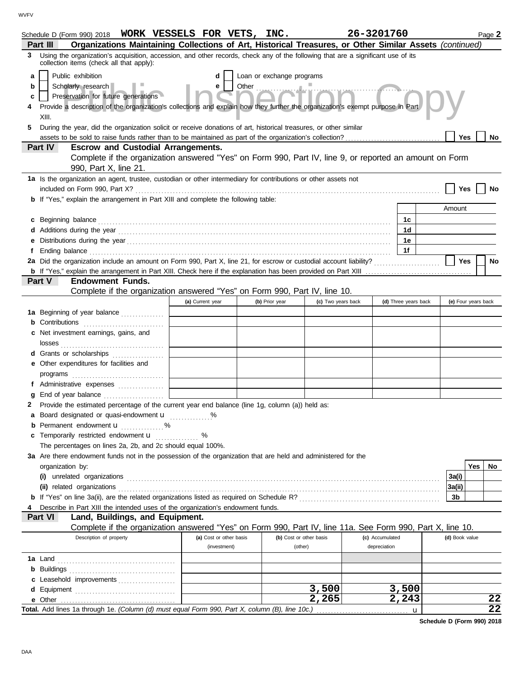|   | Schedule D (Form 990) 2018 WORK VESSELS FOR VETS, INC.                                                                                                                                                                                                                                                                                                     |                         |  |                           |                    | 26-3201760      |                      |   |                     |     | Page 2 |
|---|------------------------------------------------------------------------------------------------------------------------------------------------------------------------------------------------------------------------------------------------------------------------------------------------------------------------------------------------------------|-------------------------|--|---------------------------|--------------------|-----------------|----------------------|---|---------------------|-----|--------|
|   | Organizations Maintaining Collections of Art, Historical Treasures, or Other Similar Assets (continued)<br>Part III                                                                                                                                                                                                                                        |                         |  |                           |                    |                 |                      |   |                     |     |        |
|   | Using the organization's acquisition, accession, and other records, check any of the following that are a significant use of its<br>3<br>collection items (check all that apply):                                                                                                                                                                          |                         |  |                           |                    |                 |                      |   |                     |     |        |
| a | Public exhibition                                                                                                                                                                                                                                                                                                                                          | d                       |  | Loan or exchange programs |                    |                 |                      |   |                     |     |        |
| b | Scholarly research                                                                                                                                                                                                                                                                                                                                         | е                       |  | Other<br>                 |                    |                 |                      |   |                     |     |        |
| c | Preservation for future generations                                                                                                                                                                                                                                                                                                                        |                         |  |                           |                    |                 |                      |   |                     |     |        |
| 4 | Provide a description of the organization's collections and explain how they further the organization's exempt purpose in Part                                                                                                                                                                                                                             |                         |  |                           |                    |                 |                      |   |                     |     |        |
|   | XIII.                                                                                                                                                                                                                                                                                                                                                      |                         |  |                           |                    |                 |                      |   |                     |     |        |
| 5 | During the year, did the organization solicit or receive donations of art, historical treasures, or other similar                                                                                                                                                                                                                                          |                         |  |                           |                    |                 |                      |   |                     |     |        |
|   |                                                                                                                                                                                                                                                                                                                                                            |                         |  |                           |                    |                 |                      |   | Yes                 |     | No     |
|   | Part IV<br><b>Escrow and Custodial Arrangements.</b>                                                                                                                                                                                                                                                                                                       |                         |  |                           |                    |                 |                      |   |                     |     |        |
|   | Complete if the organization answered "Yes" on Form 990, Part IV, line 9, or reported an amount on Form                                                                                                                                                                                                                                                    |                         |  |                           |                    |                 |                      |   |                     |     |        |
|   | 990, Part X, line 21.                                                                                                                                                                                                                                                                                                                                      |                         |  |                           |                    |                 |                      |   |                     |     |        |
|   | 1a Is the organization an agent, trustee, custodian or other intermediary for contributions or other assets not                                                                                                                                                                                                                                            |                         |  |                           |                    |                 |                      |   |                     |     |        |
|   |                                                                                                                                                                                                                                                                                                                                                            |                         |  |                           |                    |                 |                      |   | Yes                 |     | No     |
|   | <b>b</b> If "Yes," explain the arrangement in Part XIII and complete the following table:                                                                                                                                                                                                                                                                  |                         |  |                           |                    |                 |                      |   |                     |     |        |
|   |                                                                                                                                                                                                                                                                                                                                                            |                         |  |                           |                    |                 |                      |   | Amount              |     |        |
|   |                                                                                                                                                                                                                                                                                                                                                            |                         |  |                           |                    |                 | 1c                   |   |                     |     |        |
|   | c Beginning balance <b>contract to the contract of the contract of the contract of the contract of the contract of the contract of the contract of the contract of the contract of the contract of the contract of the contract </b>                                                                                                                       |                         |  |                           |                    |                 | 1d                   |   |                     |     |        |
|   |                                                                                                                                                                                                                                                                                                                                                            |                         |  |                           |                    |                 | 1е                   |   |                     |     |        |
|   |                                                                                                                                                                                                                                                                                                                                                            |                         |  |                           |                    |                 | 1f                   |   |                     |     |        |
| f | Ending balance <i>communical contract contract contract contract contract contract contract contract contract contract contract contract contract contract contract contract contract contract contract contract contract contra</i><br>2a Did the organization include an amount on Form 990, Part X, line 21, for escrow or custodial account liability? |                         |  |                           |                    |                 |                      |   |                     |     |        |
|   |                                                                                                                                                                                                                                                                                                                                                            |                         |  |                           |                    |                 |                      |   | Yes                 |     | No     |
|   | <b>Endowment Funds.</b>                                                                                                                                                                                                                                                                                                                                    |                         |  |                           |                    |                 |                      |   |                     |     |        |
|   | Part V                                                                                                                                                                                                                                                                                                                                                     |                         |  |                           |                    |                 |                      |   |                     |     |        |
|   | Complete if the organization answered "Yes" on Form 990, Part IV, line 10.                                                                                                                                                                                                                                                                                 |                         |  |                           |                    |                 |                      |   |                     |     |        |
|   |                                                                                                                                                                                                                                                                                                                                                            | (a) Current year        |  | (b) Prior year            | (c) Two years back |                 | (d) Three years back |   | (e) Four years back |     |        |
|   | 1a Beginning of year balance                                                                                                                                                                                                                                                                                                                               |                         |  |                           |                    |                 |                      |   |                     |     |        |
|   | <b>b</b> Contributions <b>contributions</b>                                                                                                                                                                                                                                                                                                                |                         |  |                           |                    |                 |                      |   |                     |     |        |
|   | c Net investment earnings, gains, and                                                                                                                                                                                                                                                                                                                      |                         |  |                           |                    |                 |                      |   |                     |     |        |
|   | d Grants or scholarships                                                                                                                                                                                                                                                                                                                                   |                         |  |                           |                    |                 |                      |   |                     |     |        |
|   | e Other expenditures for facilities and                                                                                                                                                                                                                                                                                                                    |                         |  |                           |                    |                 |                      |   |                     |     |        |
|   |                                                                                                                                                                                                                                                                                                                                                            |                         |  |                           |                    |                 |                      |   |                     |     |        |
|   | f Administrative expenses                                                                                                                                                                                                                                                                                                                                  |                         |  |                           |                    |                 |                      |   |                     |     |        |
| g |                                                                                                                                                                                                                                                                                                                                                            |                         |  |                           |                    |                 |                      |   |                     |     |        |
|   | 2 Provide the estimated percentage of the current year end balance (line 1g, column (a)) held as:                                                                                                                                                                                                                                                          |                         |  |                           |                    |                 |                      |   |                     |     |        |
|   | a Board designated or quasi-endowment u %                                                                                                                                                                                                                                                                                                                  |                         |  |                           |                    |                 |                      |   |                     |     |        |
|   | Permanent endowment <b>u</b> %                                                                                                                                                                                                                                                                                                                             |                         |  |                           |                    |                 |                      |   |                     |     |        |
|   | c Temporarily restricted endowment <b>u</b>                                                                                                                                                                                                                                                                                                                | %                       |  |                           |                    |                 |                      |   |                     |     |        |
|   | The percentages on lines 2a, 2b, and 2c should equal 100%.                                                                                                                                                                                                                                                                                                 |                         |  |                           |                    |                 |                      |   |                     |     |        |
|   | 3a Are there endowment funds not in the possession of the organization that are held and administered for the                                                                                                                                                                                                                                              |                         |  |                           |                    |                 |                      |   |                     |     |        |
|   | organization by:                                                                                                                                                                                                                                                                                                                                           |                         |  |                           |                    |                 |                      |   |                     | Yes | No.    |
|   |                                                                                                                                                                                                                                                                                                                                                            |                         |  |                           |                    |                 |                      |   | 3a(i)               |     |        |
|   |                                                                                                                                                                                                                                                                                                                                                            |                         |  |                           |                    |                 |                      |   |                     |     |        |
|   |                                                                                                                                                                                                                                                                                                                                                            |                         |  |                           |                    |                 |                      |   | 3a(ii)              |     |        |
|   |                                                                                                                                                                                                                                                                                                                                                            |                         |  |                           |                    |                 |                      |   | 3b                  |     |        |
|   | Describe in Part XIII the intended uses of the organization's endowment funds.                                                                                                                                                                                                                                                                             |                         |  |                           |                    |                 |                      |   |                     |     |        |
|   | Part VI<br>Land, Buildings, and Equipment.                                                                                                                                                                                                                                                                                                                 |                         |  |                           |                    |                 |                      |   |                     |     |        |
|   | Complete if the organization answered "Yes" on Form 990, Part IV, line 11a. See Form 990, Part X, line 10.                                                                                                                                                                                                                                                 |                         |  |                           |                    |                 |                      |   |                     |     |        |
|   | Description of property                                                                                                                                                                                                                                                                                                                                    | (a) Cost or other basis |  | (b) Cost or other basis   |                    | (c) Accumulated |                      |   | (d) Book value      |     |        |
|   |                                                                                                                                                                                                                                                                                                                                                            | (investment)            |  | (other)                   |                    | depreciation    |                      |   |                     |     |        |
|   |                                                                                                                                                                                                                                                                                                                                                            |                         |  |                           |                    |                 |                      |   |                     |     |        |
|   |                                                                                                                                                                                                                                                                                                                                                            |                         |  |                           |                    |                 |                      |   |                     |     |        |
|   | c Leasehold improvements                                                                                                                                                                                                                                                                                                                                   |                         |  |                           |                    |                 |                      |   |                     |     |        |
|   |                                                                                                                                                                                                                                                                                                                                                            |                         |  |                           | 3,500              |                 | 3,500                |   |                     |     |        |
|   |                                                                                                                                                                                                                                                                                                                                                            |                         |  |                           | 2,265              |                 | 2,243                |   |                     |     | 22     |
|   |                                                                                                                                                                                                                                                                                                                                                            |                         |  |                           |                    |                 |                      | u |                     |     | 22     |

**Schedule D (Form 990) 2018**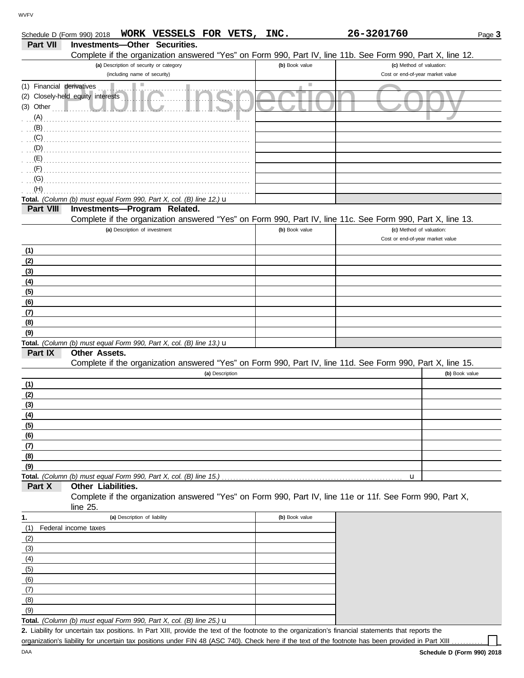|                           | WORK VESSELS FOR VETS,<br>Schedule D (Form 990) 2018                                                       | INC.           | 26-3201760                                                   | Page 3         |
|---------------------------|------------------------------------------------------------------------------------------------------------|----------------|--------------------------------------------------------------|----------------|
| Part VII                  | <b>Investments-Other Securities.</b>                                                                       |                |                                                              |                |
|                           | Complete if the organization answered "Yes" on Form 990, Part IV, line 11b. See Form 990, Part X, line 12. |                |                                                              |                |
|                           | (a) Description of security or category<br>(including name of security)                                    | (b) Book value | (c) Method of valuation:<br>Cost or end-of-year market value |                |
| (1) Financial derivatives |                                                                                                            |                |                                                              |                |
|                           | (2) Closely-held equity interests                                                                          |                |                                                              |                |
|                           |                                                                                                            |                |                                                              |                |
| (A)                       |                                                                                                            |                |                                                              |                |
| (B)                       |                                                                                                            |                |                                                              |                |
| (C)                       |                                                                                                            |                |                                                              |                |
| $\overline{D}$ (D)        |                                                                                                            |                |                                                              |                |
| $\mathbf{E}$ (E)          |                                                                                                            |                |                                                              |                |
| (F)                       |                                                                                                            |                |                                                              |                |
| (G)<br>(H)                |                                                                                                            |                |                                                              |                |
|                           | Total. (Column (b) must equal Form 990, Part X, col. (B) line 12.) u                                       |                |                                                              |                |
| Part VIII                 | Investments-Program Related.                                                                               |                |                                                              |                |
|                           | Complete if the organization answered "Yes" on Form 990, Part IV, line 11c. See Form 990, Part X, line 13. |                |                                                              |                |
|                           | (a) Description of investment                                                                              | (b) Book value | (c) Method of valuation:                                     |                |
|                           |                                                                                                            |                | Cost or end-of-year market value                             |                |
| (1)                       |                                                                                                            |                |                                                              |                |
| (2)                       |                                                                                                            |                |                                                              |                |
| (3)                       |                                                                                                            |                |                                                              |                |
| (4)                       |                                                                                                            |                |                                                              |                |
| (5)                       |                                                                                                            |                |                                                              |                |
| (6)                       |                                                                                                            |                |                                                              |                |
| (7)<br>(8)                |                                                                                                            |                |                                                              |                |
| (9)                       |                                                                                                            |                |                                                              |                |
|                           | Total. (Column (b) must equal Form 990, Part X, col. (B) line 13.) u                                       |                |                                                              |                |
| Part IX                   | Other Assets.                                                                                              |                |                                                              |                |
|                           | Complete if the organization answered "Yes" on Form 990, Part IV, line 11d. See Form 990, Part X, line 15. |                |                                                              |                |
|                           | (a) Description                                                                                            |                |                                                              | (b) Book value |
| (1)                       |                                                                                                            |                |                                                              |                |
| (2)                       |                                                                                                            |                |                                                              |                |
| (3)                       |                                                                                                            |                |                                                              |                |
| (4)                       |                                                                                                            |                |                                                              |                |
| (5)                       |                                                                                                            |                |                                                              |                |
| (6)<br>(7)                |                                                                                                            |                |                                                              |                |
| (8)                       |                                                                                                            |                |                                                              |                |
| (9)                       |                                                                                                            |                |                                                              |                |
|                           | Total. (Column (b) must equal Form 990, Part X, col. (B) line 15.)                                         |                | u                                                            |                |
| Part X                    | Other Liabilities.                                                                                         |                |                                                              |                |
|                           | Complete if the organization answered "Yes" on Form 990, Part IV, line 11e or 11f. See Form 990, Part X,   |                |                                                              |                |
|                           | line 25.                                                                                                   |                |                                                              |                |
| 1.                        | (a) Description of liability                                                                               | (b) Book value |                                                              |                |
| (1)                       | Federal income taxes                                                                                       |                |                                                              |                |
| (2)                       |                                                                                                            |                |                                                              |                |
| (3)<br>(4)                |                                                                                                            |                |                                                              |                |
| (5)                       |                                                                                                            |                |                                                              |                |
| (6)                       |                                                                                                            |                |                                                              |                |
| (7)                       |                                                                                                            |                |                                                              |                |

**Total.** *(Column (b) must equal Form 990, Part X, col. (B) line 25.)* u  $(9)$ 

Liability for uncertain tax positions. In Part XIII, provide the text of the footnote to the organization's financial statements that reports the **2.** organization's liability for uncertain tax positions under FIN 48 (ASC 740). Check here if the text of the footnote has been provided in Part XIII

(8)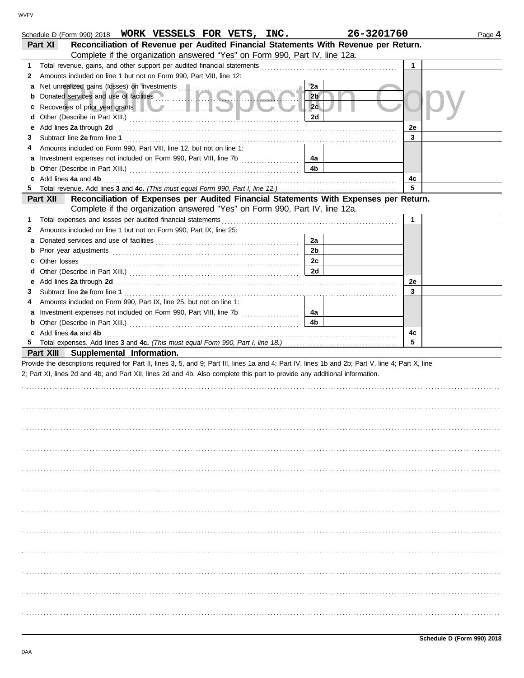|    | Schedule D (Form 990) 2018 WORK VESSELS FOR VETS, INC.                                                                                                                                                                         | 26-3201760     |              | Page 4 |
|----|--------------------------------------------------------------------------------------------------------------------------------------------------------------------------------------------------------------------------------|----------------|--------------|--------|
|    | Reconciliation of Revenue per Audited Financial Statements With Revenue per Return.<br>Part XI                                                                                                                                 |                |              |        |
|    | Complete if the organization answered "Yes" on Form 990, Part IV, line 12a.                                                                                                                                                    |                |              |        |
| 1  | Total revenue, gains, and other support per audited financial statements [11] [11] Total revenue controller to the statements [11] Total revenue of the statements [11] Total revenue of the statements of the statements of t |                | $\mathbf{1}$ |        |
| 2  | Amounts included on line 1 but not on Form 990, Part VIII, line 12:                                                                                                                                                            |                |              |        |
| а  | Net unrealized gains (losses) on investments                                                                                                                                                                                   | 2a             |              |        |
|    | Donated services and use of facilities                                                                                                                                                                                         | 2 <sub>b</sub> |              |        |
| c  |                                                                                                                                                                                                                                | 2c             |              |        |
| d  |                                                                                                                                                                                                                                | 2d             |              |        |
| е  |                                                                                                                                                                                                                                |                | 2e           |        |
| 3  |                                                                                                                                                                                                                                |                | 3            |        |
|    | Amounts included on Form 990, Part VIII, line 12, but not on line 1:                                                                                                                                                           |                |              |        |
|    |                                                                                                                                                                                                                                | 4а             |              |        |
| а  |                                                                                                                                                                                                                                | 4b             |              |        |
| b  | c Add lines 4a and 4b                                                                                                                                                                                                          |                | 4c           |        |
| 5. |                                                                                                                                                                                                                                |                | 5            |        |
|    |                                                                                                                                                                                                                                |                |              |        |
|    | Part XII<br>Reconciliation of Expenses per Audited Financial Statements With Expenses per Return.                                                                                                                              |                |              |        |
|    | Complete if the organization answered "Yes" on Form 990, Part IV, line 12a.                                                                                                                                                    |                |              |        |
| 1  | Total expenses and losses per audited financial statements                                                                                                                                                                     |                | 1            |        |
| 2  | Amounts included on line 1 but not on Form 990, Part IX, line 25:                                                                                                                                                              |                |              |        |
| а  |                                                                                                                                                                                                                                | 2a             |              |        |
| b  |                                                                                                                                                                                                                                | 2 <sub>b</sub> |              |        |
| c  | Other losses                                                                                                                                                                                                                   | 2c             |              |        |
| d  |                                                                                                                                                                                                                                | 2d             |              |        |
| е  |                                                                                                                                                                                                                                |                | 2e           |        |
| 3  |                                                                                                                                                                                                                                |                | 3            |        |
|    | Amounts included on Form 990, Part IX, line 25, but not on line 1:                                                                                                                                                             |                |              |        |
| а  |                                                                                                                                                                                                                                | 4a             |              |        |
| b  |                                                                                                                                                                                                                                | 4 <sub>b</sub> |              |        |
|    | c Add lines 4a and 4b                                                                                                                                                                                                          |                | 4c           |        |
|    |                                                                                                                                                                                                                                |                | 5            |        |
|    | Part XIII Supplemental Information.                                                                                                                                                                                            |                |              |        |
|    | Provide the descriptions required for Part II, lines 3, 5, and 9; Part III, lines 1a and 4; Part IV, lines 1b and 2b; Part V, line 4; Part X, line                                                                             |                |              |        |
|    | 2; Part XI, lines 2d and 4b; and Part XII, lines 2d and 4b. Also complete this part to provide any additional information.                                                                                                     |                |              |        |
|    |                                                                                                                                                                                                                                |                |              |        |
|    |                                                                                                                                                                                                                                |                |              |        |
|    |                                                                                                                                                                                                                                |                |              |        |
|    |                                                                                                                                                                                                                                |                |              |        |
|    |                                                                                                                                                                                                                                |                |              |        |
|    |                                                                                                                                                                                                                                |                |              |        |
|    |                                                                                                                                                                                                                                |                |              |        |
|    |                                                                                                                                                                                                                                |                |              |        |
|    |                                                                                                                                                                                                                                |                |              |        |
|    |                                                                                                                                                                                                                                |                |              |        |
|    |                                                                                                                                                                                                                                |                |              |        |
|    |                                                                                                                                                                                                                                |                |              |        |
|    |                                                                                                                                                                                                                                |                |              |        |
|    |                                                                                                                                                                                                                                |                |              |        |
|    |                                                                                                                                                                                                                                |                |              |        |
|    |                                                                                                                                                                                                                                |                |              |        |
|    |                                                                                                                                                                                                                                |                |              |        |
|    |                                                                                                                                                                                                                                |                |              |        |
|    |                                                                                                                                                                                                                                |                |              |        |
|    |                                                                                                                                                                                                                                |                |              |        |
|    |                                                                                                                                                                                                                                |                |              |        |
|    |                                                                                                                                                                                                                                |                |              |        |
|    |                                                                                                                                                                                                                                |                |              |        |
|    |                                                                                                                                                                                                                                |                |              |        |
|    |                                                                                                                                                                                                                                |                |              |        |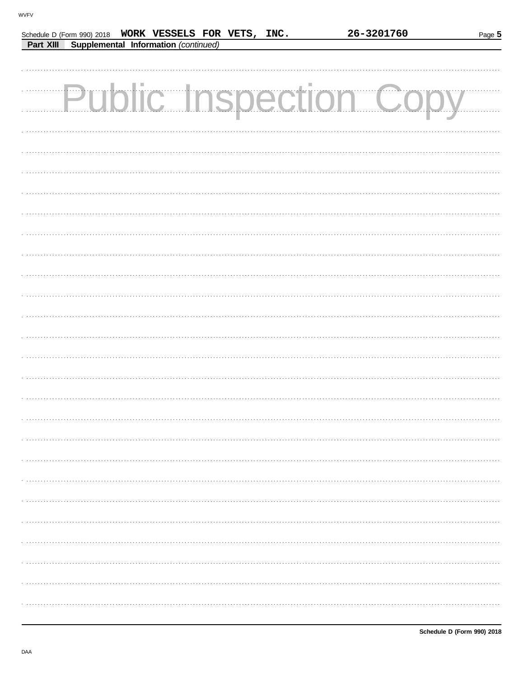|  |                                                | Schedule D (Form 990) 2018  WORK VESSELS FOR VETS, INC. | 26-3201760             | Page 5 |
|--|------------------------------------------------|---------------------------------------------------------|------------------------|--------|
|  | Part XIII Supplemental Information (continued) |                                                         |                        |        |
|  |                                                |                                                         |                        |        |
|  |                                                |                                                         |                        |        |
|  |                                                |                                                         | Public Inspection Copy |        |
|  |                                                |                                                         |                        |        |
|  |                                                |                                                         |                        |        |
|  |                                                |                                                         |                        |        |
|  |                                                |                                                         |                        |        |
|  |                                                |                                                         |                        |        |
|  |                                                |                                                         |                        |        |
|  |                                                |                                                         |                        |        |
|  |                                                |                                                         |                        |        |
|  |                                                |                                                         |                        |        |
|  |                                                |                                                         |                        |        |
|  |                                                |                                                         |                        |        |
|  |                                                |                                                         |                        |        |
|  |                                                |                                                         |                        |        |
|  |                                                |                                                         |                        |        |
|  |                                                |                                                         |                        |        |
|  |                                                |                                                         |                        |        |
|  |                                                |                                                         |                        |        |
|  |                                                |                                                         |                        |        |
|  |                                                |                                                         |                        |        |
|  |                                                |                                                         |                        |        |
|  |                                                |                                                         |                        |        |
|  |                                                |                                                         |                        |        |
|  |                                                |                                                         |                        |        |
|  |                                                |                                                         |                        |        |
|  |                                                |                                                         |                        |        |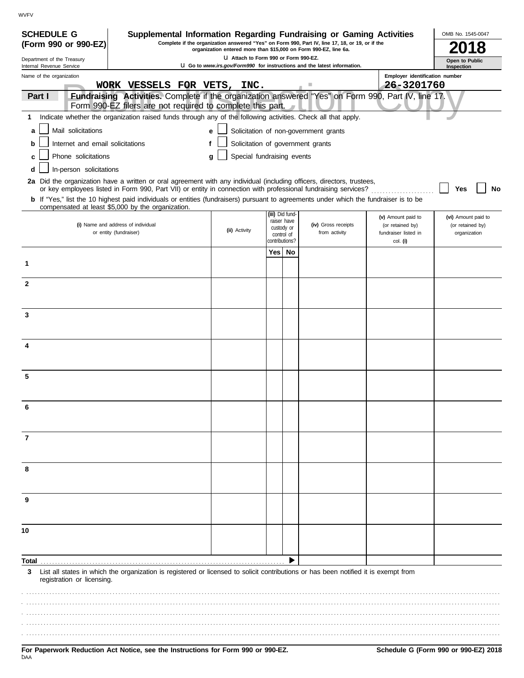| <b>SCHEDULE G</b>                                      | Supplemental Information Regarding Fundraising or Gaming Activities                                                                                                                                                                      |                                                                  |                              |    |                                                                                                 |                                  | OMB No. 1545-0047            |
|--------------------------------------------------------|------------------------------------------------------------------------------------------------------------------------------------------------------------------------------------------------------------------------------------------|------------------------------------------------------------------|------------------------------|----|-------------------------------------------------------------------------------------------------|----------------------------------|------------------------------|
| (Form 990 or 990-EZ)                                   |                                                                                                                                                                                                                                          | organization entered more than \$15,000 on Form 990-EZ, line 6a. |                              |    | Complete if the organization answered "Yes" on Form 990, Part IV, line 17, 18, or 19, or if the |                                  |                              |
| Department of the Treasury<br>Internal Revenue Service |                                                                                                                                                                                                                                          | LI Attach to Form 990 or Form 990-EZ.                            |                              |    | U Go to www.irs.gov/Form990 for instructions and the latest information.                        |                                  | Open to Public<br>Inspection |
| Name of the organization                               |                                                                                                                                                                                                                                          |                                                                  |                              |    |                                                                                                 | Employer identification number   |                              |
|                                                        | WORK VESSELS FOR VETS, INC.                                                                                                                                                                                                              |                                                                  |                              |    | ш                                                                                               | 26-3201760                       |                              |
| Part I                                                 | Fundraising Activities. Complete if the organization answered "Yes" on Form 990, Part IV, line 17.<br>Form 990-EZ filers are not required to complete this part.                                                                         |                                                                  |                              |    |                                                                                                 |                                  |                              |
| 1                                                      | Indicate whether the organization raised funds through any of the following activities. Check all that apply.                                                                                                                            |                                                                  |                              |    |                                                                                                 |                                  |                              |
| Mail solicitations<br>a                                |                                                                                                                                                                                                                                          | e                                                                |                              |    | Solicitation of non-government grants                                                           |                                  |                              |
| Internet and email solicitations<br>b                  |                                                                                                                                                                                                                                          |                                                                  |                              |    | Solicitation of government grants                                                               |                                  |                              |
| Phone solicitations                                    |                                                                                                                                                                                                                                          | Special fundraising events<br>a                                  |                              |    |                                                                                                 |                                  |                              |
| In-person solicitations<br>d                           |                                                                                                                                                                                                                                          |                                                                  |                              |    |                                                                                                 |                                  |                              |
|                                                        | 2a Did the organization have a written or oral agreement with any individual (including officers, directors, trustees,<br>or key employees listed in Form 990, Part VII) or entity in connection with professional fundraising services? |                                                                  |                              |    |                                                                                                 |                                  | Yes<br>No                    |
|                                                        | b If "Yes," list the 10 highest paid individuals or entities (fundraisers) pursuant to agreements under which the fundraiser is to be<br>compensated at least \$5,000 by the organization.                                               |                                                                  |                              |    |                                                                                                 |                                  |                              |
|                                                        |                                                                                                                                                                                                                                          |                                                                  | (iii) Did fund-              |    |                                                                                                 | (v) Amount paid to               | (vi) Amount paid to          |
|                                                        | (i) Name and address of individual                                                                                                                                                                                                       | (ii) Activity                                                    | raiser have<br>custody or    |    | (iv) Gross receipts<br>from activity                                                            | (or retained by)                 | (or retained by)             |
|                                                        | or entity (fundraiser)                                                                                                                                                                                                                   |                                                                  | control of<br>contributions? |    |                                                                                                 | fundraiser listed in<br>col. (i) | organization                 |
|                                                        |                                                                                                                                                                                                                                          |                                                                  | Yes l                        | No |                                                                                                 |                                  |                              |
| 1                                                      |                                                                                                                                                                                                                                          |                                                                  |                              |    |                                                                                                 |                                  |                              |
| $\mathbf{2}$                                           |                                                                                                                                                                                                                                          |                                                                  |                              |    |                                                                                                 |                                  |                              |
|                                                        |                                                                                                                                                                                                                                          |                                                                  |                              |    |                                                                                                 |                                  |                              |
| 3                                                      |                                                                                                                                                                                                                                          |                                                                  |                              |    |                                                                                                 |                                  |                              |
|                                                        |                                                                                                                                                                                                                                          |                                                                  |                              |    |                                                                                                 |                                  |                              |
| 4                                                      |                                                                                                                                                                                                                                          |                                                                  |                              |    |                                                                                                 |                                  |                              |
|                                                        |                                                                                                                                                                                                                                          |                                                                  |                              |    |                                                                                                 |                                  |                              |
| 5                                                      |                                                                                                                                                                                                                                          |                                                                  |                              |    |                                                                                                 |                                  |                              |
|                                                        |                                                                                                                                                                                                                                          |                                                                  |                              |    |                                                                                                 |                                  |                              |
|                                                        |                                                                                                                                                                                                                                          |                                                                  |                              |    |                                                                                                 |                                  |                              |
|                                                        |                                                                                                                                                                                                                                          |                                                                  |                              |    |                                                                                                 |                                  |                              |
| 7                                                      |                                                                                                                                                                                                                                          |                                                                  |                              |    |                                                                                                 |                                  |                              |
|                                                        |                                                                                                                                                                                                                                          |                                                                  |                              |    |                                                                                                 |                                  |                              |
| 8                                                      |                                                                                                                                                                                                                                          |                                                                  |                              |    |                                                                                                 |                                  |                              |
|                                                        |                                                                                                                                                                                                                                          |                                                                  |                              |    |                                                                                                 |                                  |                              |
| 9                                                      |                                                                                                                                                                                                                                          |                                                                  |                              |    |                                                                                                 |                                  |                              |
|                                                        |                                                                                                                                                                                                                                          |                                                                  |                              |    |                                                                                                 |                                  |                              |
| 10                                                     |                                                                                                                                                                                                                                          |                                                                  |                              |    |                                                                                                 |                                  |                              |
|                                                        |                                                                                                                                                                                                                                          |                                                                  |                              |    |                                                                                                 |                                  |                              |
| Total                                                  |                                                                                                                                                                                                                                          |                                                                  |                              |    |                                                                                                 |                                  |                              |
| 3<br>registration or licensing.                        | List all states in which the organization is registered or licensed to solicit contributions or has been notified it is exempt from                                                                                                      |                                                                  |                              |    |                                                                                                 |                                  |                              |
|                                                        |                                                                                                                                                                                                                                          |                                                                  |                              |    |                                                                                                 |                                  |                              |
|                                                        |                                                                                                                                                                                                                                          |                                                                  |                              |    |                                                                                                 |                                  |                              |
|                                                        |                                                                                                                                                                                                                                          |                                                                  |                              |    |                                                                                                 |                                  |                              |
|                                                        |                                                                                                                                                                                                                                          |                                                                  |                              |    |                                                                                                 |                                  |                              |
|                                                        |                                                                                                                                                                                                                                          |                                                                  |                              |    |                                                                                                 |                                  |                              |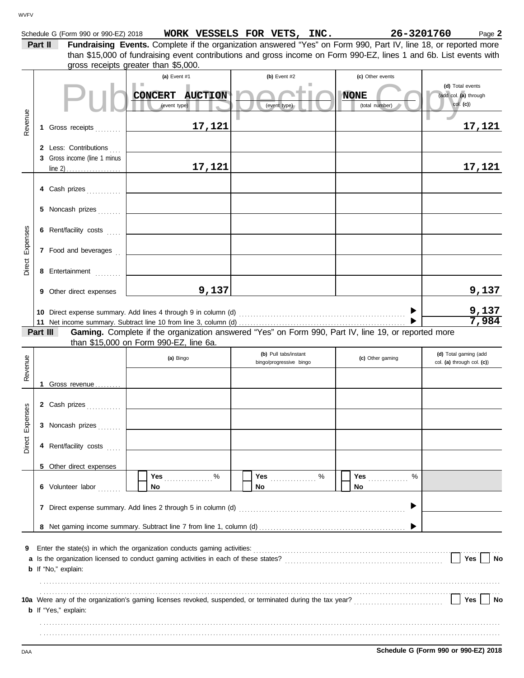|          |                                                       | than \$15,000 of fundraising event contributions and gross income on Form 990-EZ, lines 1 and 6b. List events with<br>gross receipts greater than \$5,000. |                                                                                                     |                                                   |                                                       |
|----------|-------------------------------------------------------|------------------------------------------------------------------------------------------------------------------------------------------------------------|-----------------------------------------------------------------------------------------------------|---------------------------------------------------|-------------------------------------------------------|
|          |                                                       | (a) Event #1<br>CONCERT AUCTION<br>(event type)                                                                                                            | (b) Event #2<br>ш<br>(event type)                                                                   | (c) Other events<br><b>NONE</b><br>(total number) | (d) Total events<br>(add col. (a) through<br>col. (c) |
| Revenue  | 1 Gross receipts                                      | 17,121                                                                                                                                                     |                                                                                                     |                                                   | <u>17,121</u>                                         |
|          | 2 Less: Contributions<br>3 Gross income (line 1 minus | 17,121                                                                                                                                                     |                                                                                                     |                                                   | 17,121                                                |
|          | 4 Cash prizes                                         |                                                                                                                                                            |                                                                                                     |                                                   |                                                       |
|          | 5 Noncash prizes                                      |                                                                                                                                                            |                                                                                                     |                                                   |                                                       |
|          | 6 Rent/facility costs                                 |                                                                                                                                                            |                                                                                                     |                                                   |                                                       |
| Expenses | 7 Food and beverages                                  |                                                                                                                                                            |                                                                                                     |                                                   |                                                       |
| Direct   | 8 Entertainment                                       |                                                                                                                                                            |                                                                                                     |                                                   |                                                       |
|          | 9 Other direct expenses                               | 9,137                                                                                                                                                      |                                                                                                     |                                                   | 9,137                                                 |
|          |                                                       |                                                                                                                                                            |                                                                                                     |                                                   | 9,137<br>7,984                                        |
|          | Part III                                              | than \$15,000 on Form 990-EZ, line 6a.                                                                                                                     | Gaming. Complete if the organization answered "Yes" on Form 990, Part IV, line 19, or reported more |                                                   |                                                       |
|          |                                                       |                                                                                                                                                            |                                                                                                     |                                                   |                                                       |
|          |                                                       | (a) Bingo                                                                                                                                                  | (b) Pull tabs/instant<br>bingo/progressive bingo                                                    | (c) Other gaming                                  | (d) Total gaming (add<br>col. (a) through col. (c))   |
| Revenue  | 1 Gross revenue                                       |                                                                                                                                                            |                                                                                                     |                                                   |                                                       |
|          | 2 Cash prizes                                         |                                                                                                                                                            |                                                                                                     |                                                   |                                                       |
| Expenses | 3 Noncash prizes                                      |                                                                                                                                                            |                                                                                                     |                                                   |                                                       |
| Direct   | 4 Rent/facility costs                                 |                                                                                                                                                            |                                                                                                     |                                                   |                                                       |
|          | 5 Other direct expenses                               |                                                                                                                                                            |                                                                                                     |                                                   |                                                       |
|          | 6 Volunteer labor                                     | Yes 2000<br>No                                                                                                                                             | No                                                                                                  | %<br><b>Yes</b><br>No                             |                                                       |
|          |                                                       |                                                                                                                                                            |                                                                                                     |                                                   |                                                       |
|          |                                                       |                                                                                                                                                            |                                                                                                     |                                                   |                                                       |
| 9        | b If "No," explain:                                   |                                                                                                                                                            |                                                                                                     |                                                   | Yes<br>No                                             |
|          |                                                       |                                                                                                                                                            |                                                                                                     |                                                   |                                                       |
|          | <b>b</b> If "Yes," explain:                           |                                                                                                                                                            |                                                                                                     |                                                   | Yes<br>No                                             |

Schedule G (Form 990 or 990-EZ) 2018 **WORK VESSELS FOR VETS, INC.** 26-3201760 Page 2 **Part II Fundraising Events.** Complete if the organization answered "Yes" on Form 990, Part IV, line 18, or reported more

**WORK VESSELS FOR VETS, INC. 26-3201760**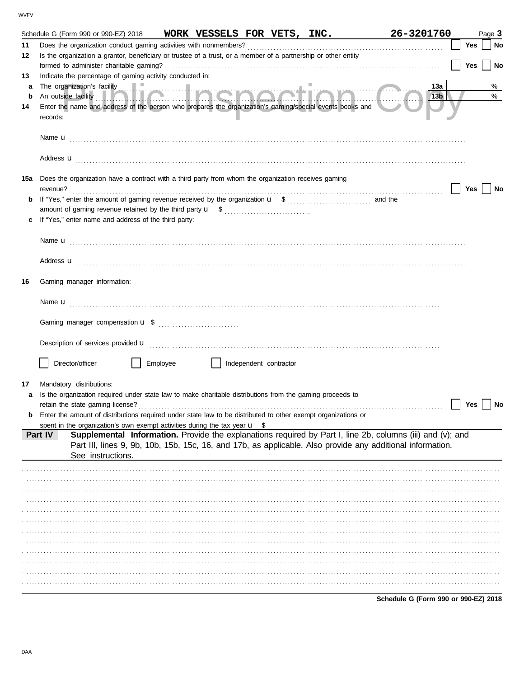|     | Schedule G (Form 990 or 990-EZ) 2018                                                                                  | WORK VESSELS FOR VETS, INC. |  | 26-3201760 |     | Page 3    |
|-----|-----------------------------------------------------------------------------------------------------------------------|-----------------------------|--|------------|-----|-----------|
| 11  | Does the organization conduct gaming activities with nonmembers?                                                      |                             |  |            | Yes | No        |
| 12  | Is the organization a grantor, beneficiary or trustee of a trust, or a member of a partnership or other entity        |                             |  |            |     |           |
|     |                                                                                                                       |                             |  |            | Yes | $ $ No    |
| 13  | Indicate the percentage of gaming activity conducted in:                                                              |                             |  |            |     |           |
| a   |                                                                                                                       |                             |  | 13a        |     | %         |
| b   |                                                                                                                       |                             |  | 13b        |     | $\%$      |
| 14  | Enter the name and address of the person who prepares the organization's gaming/special events books and              |                             |  |            |     |           |
|     | records:                                                                                                              |                             |  |            |     |           |
|     |                                                                                                                       |                             |  |            |     |           |
|     |                                                                                                                       |                             |  |            |     |           |
|     | Name $\mathbf{u}$                                                                                                     |                             |  |            |     |           |
|     |                                                                                                                       |                             |  |            |     |           |
|     | Address <b>u</b>                                                                                                      |                             |  |            |     |           |
|     |                                                                                                                       |                             |  |            |     |           |
| 15a | Does the organization have a contract with a third party from whom the organization receives gaming                   |                             |  |            |     |           |
|     | revenue?                                                                                                              |                             |  |            | Yes | No        |
| b   |                                                                                                                       |                             |  |            |     |           |
|     |                                                                                                                       |                             |  |            |     |           |
|     | If "Yes," enter name and address of the third party:                                                                  |                             |  |            |     |           |
|     |                                                                                                                       |                             |  |            |     |           |
|     | Name $\mathbf{u}$                                                                                                     |                             |  |            |     |           |
|     |                                                                                                                       |                             |  |            |     |           |
|     | Address <b>u</b>                                                                                                      |                             |  |            |     |           |
|     |                                                                                                                       |                             |  |            |     |           |
| 16  | Gaming manager information:                                                                                           |                             |  |            |     |           |
|     |                                                                                                                       |                             |  |            |     |           |
|     |                                                                                                                       |                             |  |            |     |           |
|     |                                                                                                                       |                             |  |            |     |           |
|     |                                                                                                                       |                             |  |            |     |           |
|     |                                                                                                                       |                             |  |            |     |           |
|     |                                                                                                                       |                             |  |            |     |           |
|     |                                                                                                                       |                             |  |            |     |           |
|     | Director/officer<br>Employee                                                                                          | Independent contractor      |  |            |     |           |
|     |                                                                                                                       |                             |  |            |     |           |
| 17  | Mandatory distributions:                                                                                              |                             |  |            |     |           |
| a   | Is the organization required under state law to make charitable distributions from the gaming proceeds to             |                             |  |            |     |           |
|     |                                                                                                                       |                             |  |            | Yes | <b>No</b> |
|     | Enter the amount of distributions required under state law to be distributed to other exempt organizations or         |                             |  |            |     |           |
|     | spent in the organization's own exempt activities during the tax year $\mathbf{u}$ \$                                 |                             |  |            |     |           |
|     | Supplemental Information. Provide the explanations required by Part I, line 2b, columns (iii) and (v); and<br>Part IV |                             |  |            |     |           |
|     | Part III, lines 9, 9b, 10b, 15b, 15c, 16, and 17b, as applicable. Also provide any additional information.            |                             |  |            |     |           |
|     | See instructions.                                                                                                     |                             |  |            |     |           |
|     |                                                                                                                       |                             |  |            |     |           |
|     |                                                                                                                       |                             |  |            |     |           |
|     |                                                                                                                       |                             |  |            |     |           |
|     |                                                                                                                       |                             |  |            |     |           |
|     |                                                                                                                       |                             |  |            |     |           |
|     |                                                                                                                       |                             |  |            |     |           |
|     |                                                                                                                       |                             |  |            |     |           |
|     |                                                                                                                       |                             |  |            |     |           |
|     |                                                                                                                       |                             |  |            |     |           |
|     |                                                                                                                       |                             |  |            |     |           |
|     |                                                                                                                       |                             |  |            |     |           |
|     |                                                                                                                       |                             |  |            |     |           |
|     |                                                                                                                       |                             |  |            |     |           |
|     |                                                                                                                       |                             |  |            |     |           |

Schedule G (Form 990 or 990-EZ) 2018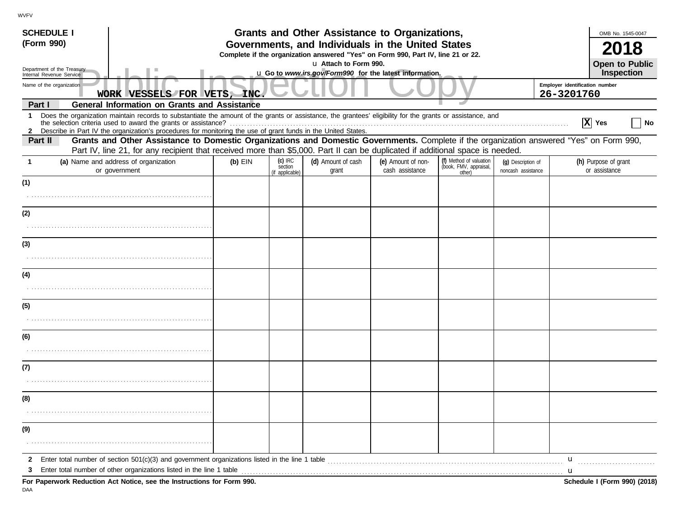| <b>SCHEDULE I</b><br>(Form 990)                                                                                                                                                                                                                                                      |                                                                                                                                                                                                                                                                                                                                                 |  |  | Grants and Other Assistance to Organizations,<br>Governments, and Individuals in the United States        |  |  |  |                                              | OMB No. 1545-0047                     |    |
|--------------------------------------------------------------------------------------------------------------------------------------------------------------------------------------------------------------------------------------------------------------------------------------|-------------------------------------------------------------------------------------------------------------------------------------------------------------------------------------------------------------------------------------------------------------------------------------------------------------------------------------------------|--|--|-----------------------------------------------------------------------------------------------------------|--|--|--|----------------------------------------------|---------------------------------------|----|
|                                                                                                                                                                                                                                                                                      |                                                                                                                                                                                                                                                                                                                                                 |  |  | Complete if the organization answered "Yes" on Form 990, Part IV, line 21 or 22.<br>u Attach to Form 990. |  |  |  |                                              | <b>Open to Public</b>                 |    |
| Department of the Treasury<br>Internal Revenue Service                                                                                                                                                                                                                               |                                                                                                                                                                                                                                                                                                                                                 |  |  | u Go to www.irs.gov/Form990 for the latest information.                                                   |  |  |  |                                              | Inspection                            |    |
| Name of the organization                                                                                                                                                                                                                                                             | WORK VESSELS FOR VETS, INC.                                                                                                                                                                                                                                                                                                                     |  |  |                                                                                                           |  |  |  | Employer identification number<br>26-3201760 |                                       |    |
| Part I                                                                                                                                                                                                                                                                               | <b>General Information on Grants and Assistance</b>                                                                                                                                                                                                                                                                                             |  |  |                                                                                                           |  |  |  |                                              |                                       |    |
| $\mathbf{1}$                                                                                                                                                                                                                                                                         | Does the organization maintain records to substantiate the amount of the grants or assistance, the grantees' eligibility for the grants or assistance, and<br>the selection criteria used to award the grants or assistance?<br>2 Describe in Part IV the organization's procedures for monitoring the use of grant funds in the United States. |  |  |                                                                                                           |  |  |  |                                              | $ X $ Yes                             | No |
| Grants and Other Assistance to Domestic Organizations and Domestic Governments. Complete if the organization answered "Yes" on Form 990,<br>Part II<br>Part IV, line 21, for any recipient that received more than \$5,000. Part II can be duplicated if additional space is needed. |                                                                                                                                                                                                                                                                                                                                                 |  |  |                                                                                                           |  |  |  |                                              |                                       |    |
| -1                                                                                                                                                                                                                                                                                   | $(c)$ IRC<br>(f) Method of valuation<br>(d) Amount of cash<br>(e) Amount of non-<br>(a) Name and address of organization<br>$(b)$ EIN<br>(q) Description of<br>(book, FMV, appraisal,<br>section<br>cash assistance<br>or government<br>grant<br>noncash assistance<br>(if applicable)<br>other)                                                |  |  |                                                                                                           |  |  |  |                                              | (h) Purpose of grant<br>or assistance |    |
| (1)                                                                                                                                                                                                                                                                                  |                                                                                                                                                                                                                                                                                                                                                 |  |  |                                                                                                           |  |  |  |                                              |                                       |    |
|                                                                                                                                                                                                                                                                                      |                                                                                                                                                                                                                                                                                                                                                 |  |  |                                                                                                           |  |  |  |                                              |                                       |    |
| (2)                                                                                                                                                                                                                                                                                  |                                                                                                                                                                                                                                                                                                                                                 |  |  |                                                                                                           |  |  |  |                                              |                                       |    |
|                                                                                                                                                                                                                                                                                      |                                                                                                                                                                                                                                                                                                                                                 |  |  |                                                                                                           |  |  |  |                                              |                                       |    |
| (3)                                                                                                                                                                                                                                                                                  |                                                                                                                                                                                                                                                                                                                                                 |  |  |                                                                                                           |  |  |  |                                              |                                       |    |
|                                                                                                                                                                                                                                                                                      |                                                                                                                                                                                                                                                                                                                                                 |  |  |                                                                                                           |  |  |  |                                              |                                       |    |
| (4)                                                                                                                                                                                                                                                                                  |                                                                                                                                                                                                                                                                                                                                                 |  |  |                                                                                                           |  |  |  |                                              |                                       |    |
|                                                                                                                                                                                                                                                                                      |                                                                                                                                                                                                                                                                                                                                                 |  |  |                                                                                                           |  |  |  |                                              |                                       |    |
| (5)                                                                                                                                                                                                                                                                                  |                                                                                                                                                                                                                                                                                                                                                 |  |  |                                                                                                           |  |  |  |                                              |                                       |    |
|                                                                                                                                                                                                                                                                                      |                                                                                                                                                                                                                                                                                                                                                 |  |  |                                                                                                           |  |  |  |                                              |                                       |    |
| (6)                                                                                                                                                                                                                                                                                  |                                                                                                                                                                                                                                                                                                                                                 |  |  |                                                                                                           |  |  |  |                                              |                                       |    |
|                                                                                                                                                                                                                                                                                      |                                                                                                                                                                                                                                                                                                                                                 |  |  |                                                                                                           |  |  |  |                                              |                                       |    |
| (7)                                                                                                                                                                                                                                                                                  |                                                                                                                                                                                                                                                                                                                                                 |  |  |                                                                                                           |  |  |  |                                              |                                       |    |
|                                                                                                                                                                                                                                                                                      |                                                                                                                                                                                                                                                                                                                                                 |  |  |                                                                                                           |  |  |  |                                              |                                       |    |
| (8)                                                                                                                                                                                                                                                                                  |                                                                                                                                                                                                                                                                                                                                                 |  |  |                                                                                                           |  |  |  |                                              |                                       |    |
|                                                                                                                                                                                                                                                                                      |                                                                                                                                                                                                                                                                                                                                                 |  |  |                                                                                                           |  |  |  |                                              |                                       |    |
| (9)                                                                                                                                                                                                                                                                                  |                                                                                                                                                                                                                                                                                                                                                 |  |  |                                                                                                           |  |  |  |                                              |                                       |    |
|                                                                                                                                                                                                                                                                                      |                                                                                                                                                                                                                                                                                                                                                 |  |  |                                                                                                           |  |  |  |                                              |                                       |    |
| 3                                                                                                                                                                                                                                                                                    | Enter total number of other organizations listed in the line 1 table <i>manufacture in the content of the line</i> 1 table manufacture in the line 1 table                                                                                                                                                                                      |  |  |                                                                                                           |  |  |  | $\mathbf{u}$                                 |                                       |    |
|                                                                                                                                                                                                                                                                                      | For Paperwork Reduction Act Notice, see the Instructions for Form 990.                                                                                                                                                                                                                                                                          |  |  |                                                                                                           |  |  |  |                                              | Schedule I (Form 990) (2018)          |    |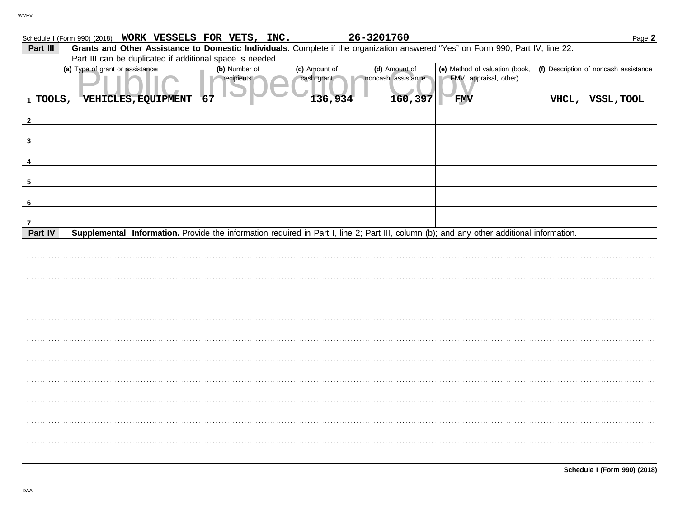| Schedule I (Form 990) (2018) WORK VESSELS FOR VETS, INC.                                                                                             |               |               | 26-3201760         |                                | Page 2                                |
|------------------------------------------------------------------------------------------------------------------------------------------------------|---------------|---------------|--------------------|--------------------------------|---------------------------------------|
| Grants and Other Assistance to Domestic Individuals. Complete if the organization answered "Yes" on Form 990, Part IV, line 22.<br>Part III          |               |               |                    |                                |                                       |
| Part III can be duplicated if additional space is needed.                                                                                            |               |               |                    |                                |                                       |
| (a) Type of grant or assistance                                                                                                                      | (b) Number of | (c) Amount of | (d) Amount of      | (e) Method of valuation (book, | (f) Description of noncash assistance |
|                                                                                                                                                      | recipients    | cash grant    | noncash assistance | FMV, appraisal, other)         |                                       |
| 1 TOOLS,<br>VEHICLES, EQUIPMENT                                                                                                                      | 67            | 136,934       | 160,397            | <b>FMV</b>                     | VHCL, VSSL, TOOL                      |
| $\mathbf{2}$                                                                                                                                         |               |               |                    |                                |                                       |
| $\mathbf{3}$                                                                                                                                         |               |               |                    |                                |                                       |
|                                                                                                                                                      |               |               |                    |                                |                                       |
| -5                                                                                                                                                   |               |               |                    |                                |                                       |
| -6                                                                                                                                                   |               |               |                    |                                |                                       |
| 7                                                                                                                                                    |               |               |                    |                                |                                       |
| Supplemental Information. Provide the information required in Part I, line 2; Part III, column (b); and any other additional information.<br>Part IV |               |               |                    |                                |                                       |
|                                                                                                                                                      |               |               |                    |                                |                                       |
|                                                                                                                                                      |               |               |                    |                                |                                       |
|                                                                                                                                                      |               |               |                    |                                |                                       |
|                                                                                                                                                      |               |               |                    |                                |                                       |
|                                                                                                                                                      |               |               |                    |                                |                                       |
|                                                                                                                                                      |               |               |                    |                                |                                       |
|                                                                                                                                                      |               |               |                    |                                |                                       |
|                                                                                                                                                      |               |               |                    |                                |                                       |
|                                                                                                                                                      |               |               |                    |                                |                                       |
|                                                                                                                                                      |               |               |                    |                                |                                       |
|                                                                                                                                                      |               |               |                    |                                |                                       |

26-3201760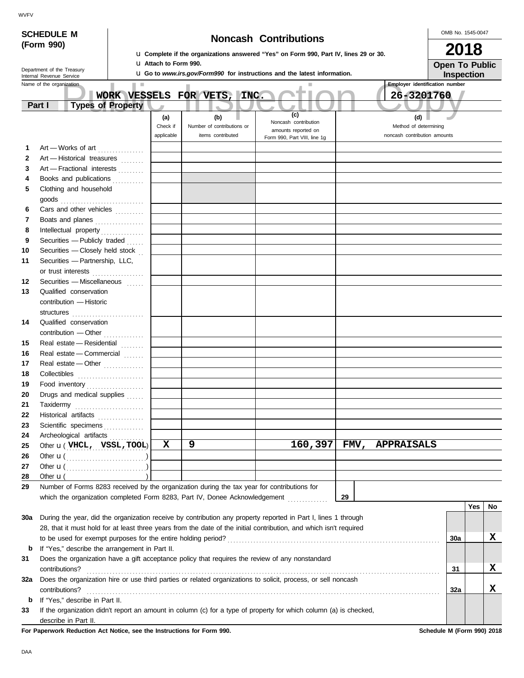|              | <b>SCHEDULE M</b>                                      |                                |                                                                                                                    |                                                                                 |   |                                                                                             |                              |  |                                             |         |    |  |                                       | OMB No. 1545-0047     |      |    |
|--------------|--------------------------------------------------------|--------------------------------|--------------------------------------------------------------------------------------------------------------------|---------------------------------------------------------------------------------|---|---------------------------------------------------------------------------------------------|------------------------------|--|---------------------------------------------|---------|----|--|---------------------------------------|-----------------------|------|----|
|              | (Form 990)                                             |                                |                                                                                                                    |                                                                                 |   | <b>u</b> Complete if the organizations answered "Yes" on Form 990, Part IV, lines 29 or 30. | <b>Noncash Contributions</b> |  |                                             |         |    |  |                                       |                       | 2018 |    |
|              |                                                        |                                |                                                                                                                    | <b>U Attach to Form 990.</b>                                                    |   |                                                                                             |                              |  |                                             |         |    |  |                                       | <b>Open To Public</b> |      |    |
|              | Department of the Treasury<br>Internal Revenue Service |                                |                                                                                                                    | <b>u</b> Go to www.irs.gov/Form990 for instructions and the latest information. |   |                                                                                             |                              |  |                                             |         |    |  | Inspection                            |                       |      |    |
|              | Name of the organization                               |                                | <b>In</b>                                                                                                          |                                                                                 |   |                                                                                             |                              |  |                                             |         |    |  | <b>Employer identification number</b> |                       |      |    |
|              |                                                        |                                | WORK VESSELS FOR VETS, INC.                                                                                        |                                                                                 |   |                                                                                             |                              |  |                                             |         |    |  | 26-3201760                            |                       |      |    |
|              | Part I                                                 |                                | <b>Types of Property</b>                                                                                           |                                                                                 |   |                                                                                             |                              |  |                                             |         |    |  |                                       |                       |      |    |
|              |                                                        |                                |                                                                                                                    | (a)                                                                             |   | (b)                                                                                         |                              |  | (c)                                         |         |    |  | (d)                                   |                       |      |    |
|              |                                                        |                                |                                                                                                                    | Check if                                                                        |   | Number of contributions or                                                                  |                              |  | Noncash contribution<br>amounts reported on |         |    |  | Method of determining                 |                       |      |    |
|              |                                                        |                                |                                                                                                                    | applicable                                                                      |   | items contributed                                                                           |                              |  | Form 990, Part VIII, line 1g                |         |    |  | noncash contribution amounts          |                       |      |    |
| 1            |                                                        |                                | Art - Works of art                                                                                                 |                                                                                 |   |                                                                                             |                              |  |                                             |         |    |  |                                       |                       |      |    |
| $\mathbf{2}$ |                                                        |                                | Art - Historical treasures                                                                                         |                                                                                 |   |                                                                                             |                              |  |                                             |         |    |  |                                       |                       |      |    |
| 3            |                                                        |                                | Art - Fractional interests                                                                                         |                                                                                 |   |                                                                                             |                              |  |                                             |         |    |  |                                       |                       |      |    |
| 4            |                                                        |                                | Books and publications                                                                                             |                                                                                 |   |                                                                                             |                              |  |                                             |         |    |  |                                       |                       |      |    |
| 5            |                                                        | Clothing and household         |                                                                                                                    |                                                                                 |   |                                                                                             |                              |  |                                             |         |    |  |                                       |                       |      |    |
|              | goods                                                  |                                |                                                                                                                    |                                                                                 |   |                                                                                             |                              |  |                                             |         |    |  |                                       |                       |      |    |
| 6            |                                                        |                                | Cars and other vehicles                                                                                            |                                                                                 |   |                                                                                             |                              |  |                                             |         |    |  |                                       |                       |      |    |
| 7            |                                                        |                                | Boats and planes                                                                                                   |                                                                                 |   |                                                                                             |                              |  |                                             |         |    |  |                                       |                       |      |    |
| 8            |                                                        |                                |                                                                                                                    |                                                                                 |   |                                                                                             |                              |  |                                             |         |    |  |                                       |                       |      |    |
| 9            |                                                        |                                | Securities - Publicly traded                                                                                       |                                                                                 |   |                                                                                             |                              |  |                                             |         |    |  |                                       |                       |      |    |
| 10           |                                                        |                                | Securities - Closely held stock                                                                                    |                                                                                 |   |                                                                                             |                              |  |                                             |         |    |  |                                       |                       |      |    |
| 11           |                                                        |                                | Securities - Partnership, LLC,                                                                                     |                                                                                 |   |                                                                                             |                              |  |                                             |         |    |  |                                       |                       |      |    |
|              |                                                        |                                | or trust interests                                                                                                 |                                                                                 |   |                                                                                             |                              |  |                                             |         |    |  |                                       |                       |      |    |
| 12           |                                                        |                                | Securities - Miscellaneous                                                                                         |                                                                                 |   |                                                                                             |                              |  |                                             |         |    |  |                                       |                       |      |    |
| 13           |                                                        | Qualified conservation         |                                                                                                                    |                                                                                 |   |                                                                                             |                              |  |                                             |         |    |  |                                       |                       |      |    |
|              |                                                        | contribution - Historic        |                                                                                                                    |                                                                                 |   |                                                                                             |                              |  |                                             |         |    |  |                                       |                       |      |    |
|              |                                                        |                                |                                                                                                                    |                                                                                 |   |                                                                                             |                              |  |                                             |         |    |  |                                       |                       |      |    |
| 14           |                                                        | Qualified conservation         |                                                                                                                    |                                                                                 |   |                                                                                             |                              |  |                                             |         |    |  |                                       |                       |      |    |
|              |                                                        |                                | contribution - Other                                                                                               |                                                                                 |   |                                                                                             |                              |  |                                             |         |    |  |                                       |                       |      |    |
| 15           |                                                        |                                | Real estate - Residential                                                                                          |                                                                                 |   |                                                                                             |                              |  |                                             |         |    |  |                                       |                       |      |    |
| 16           |                                                        |                                | Real estate - Commercial                                                                                           |                                                                                 |   |                                                                                             |                              |  |                                             |         |    |  |                                       |                       |      |    |
| 17           |                                                        |                                | Real estate - Other                                                                                                |                                                                                 |   |                                                                                             |                              |  |                                             |         |    |  |                                       |                       |      |    |
| 18<br>19     |                                                        |                                |                                                                                                                    |                                                                                 |   |                                                                                             |                              |  |                                             |         |    |  |                                       |                       |      |    |
| 20           |                                                        |                                | Food inventory<br>Drugs and medical supplies                                                                       |                                                                                 |   |                                                                                             |                              |  |                                             |         |    |  |                                       |                       |      |    |
| 21           |                                                        |                                |                                                                                                                    |                                                                                 |   |                                                                                             |                              |  |                                             |         |    |  |                                       |                       |      |    |
| 22           | Taxidermy                                              |                                | Historical artifacts                                                                                               |                                                                                 |   |                                                                                             |                              |  |                                             |         |    |  |                                       |                       |      |    |
| 23           |                                                        |                                | Scientific specimens                                                                                               |                                                                                 |   |                                                                                             |                              |  |                                             |         |    |  |                                       |                       |      |    |
| 24           |                                                        |                                | Archeological artifacts                                                                                            |                                                                                 |   |                                                                                             |                              |  |                                             |         |    |  |                                       |                       |      |    |
| 25           |                                                        |                                | Other $\mathbf{u}$ (VHCL, VSSL, TOOL)                                                                              | $\mathbf x$                                                                     | 9 |                                                                                             |                              |  |                                             | 160,397 |    |  | FMV, APPRAISALS                       |                       |      |    |
| 26           |                                                        |                                |                                                                                                                    |                                                                                 |   |                                                                                             |                              |  |                                             |         |    |  |                                       |                       |      |    |
| 27           |                                                        |                                |                                                                                                                    |                                                                                 |   |                                                                                             |                              |  |                                             |         |    |  |                                       |                       |      |    |
| 28           | Other $\mathbf{u}$ (                                   |                                |                                                                                                                    |                                                                                 |   |                                                                                             |                              |  |                                             |         |    |  |                                       |                       |      |    |
| 29           |                                                        |                                | Number of Forms 8283 received by the organization during the tax year for contributions for                        |                                                                                 |   |                                                                                             |                              |  |                                             |         |    |  |                                       |                       |      |    |
|              |                                                        |                                | which the organization completed Form 8283, Part IV, Donee Acknowledgement                                         |                                                                                 |   |                                                                                             |                              |  |                                             |         | 29 |  |                                       |                       |      |    |
|              |                                                        |                                |                                                                                                                    |                                                                                 |   |                                                                                             |                              |  |                                             |         |    |  |                                       |                       | Yes  | No |
| 30a          |                                                        |                                | During the year, did the organization receive by contribution any property reported in Part I, lines 1 through     |                                                                                 |   |                                                                                             |                              |  |                                             |         |    |  |                                       |                       |      |    |
|              |                                                        |                                | 28, that it must hold for at least three years from the date of the initial contribution, and which isn't required |                                                                                 |   |                                                                                             |                              |  |                                             |         |    |  |                                       |                       |      |    |
|              |                                                        |                                |                                                                                                                    |                                                                                 |   |                                                                                             |                              |  |                                             |         |    |  |                                       | 30a                   |      | x  |
| b            |                                                        |                                | If "Yes," describe the arrangement in Part II.                                                                     |                                                                                 |   |                                                                                             |                              |  |                                             |         |    |  |                                       |                       |      |    |
| 31           |                                                        |                                | Does the organization have a gift acceptance policy that requires the review of any nonstandard                    |                                                                                 |   |                                                                                             |                              |  |                                             |         |    |  |                                       |                       |      |    |
|              | contributions?                                         |                                |                                                                                                                    |                                                                                 |   |                                                                                             |                              |  |                                             |         |    |  |                                       | 31                    |      | x  |
| 32a          |                                                        |                                | Does the organization hire or use third parties or related organizations to solicit, process, or sell noncash      |                                                                                 |   |                                                                                             |                              |  |                                             |         |    |  |                                       |                       |      |    |
|              | contributions?                                         |                                |                                                                                                                    |                                                                                 |   |                                                                                             |                              |  |                                             |         |    |  |                                       | 32a                   |      | x  |
| b            |                                                        | If "Yes," describe in Part II. |                                                                                                                    |                                                                                 |   |                                                                                             |                              |  |                                             |         |    |  |                                       |                       |      |    |
| 33           |                                                        |                                | If the organization didn't report an amount in column (c) for a type of property for which column (a) is checked,  |                                                                                 |   |                                                                                             |                              |  |                                             |         |    |  |                                       |                       |      |    |

describe in Part II.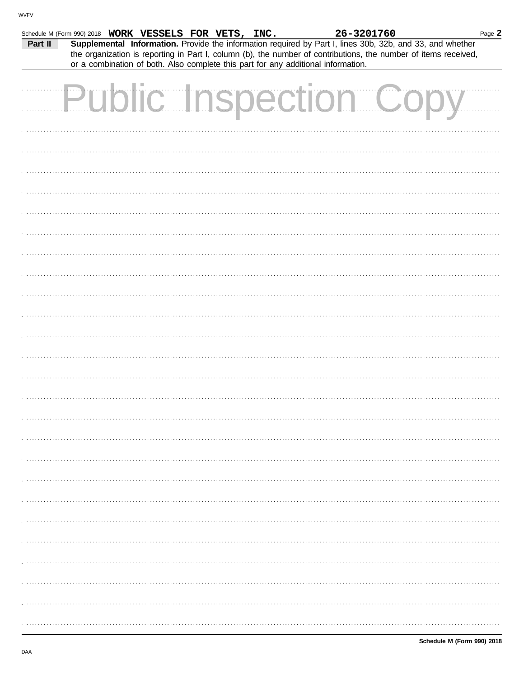|         | Schedule M (Form 990) 2018 WORK VESSELS FOR VETS, INC.                                                                                                                                                                       |  |  | 26-3201760 |  | Page 2 |
|---------|------------------------------------------------------------------------------------------------------------------------------------------------------------------------------------------------------------------------------|--|--|------------|--|--------|
| Part II | Supplemental Information. Provide the information required by Part I, lines 30b, 32b, and 33, and whether<br>the organization is reporting in Part I, column (b), the number of contributions, the number of items received, |  |  |            |  |        |
|         | or a combination of both. Also complete this part for any additional information.                                                                                                                                            |  |  |            |  |        |
|         | <b>Public Inspection Coo</b>                                                                                                                                                                                                 |  |  |            |  |        |
|         |                                                                                                                                                                                                                              |  |  |            |  |        |
|         |                                                                                                                                                                                                                              |  |  |            |  |        |
|         |                                                                                                                                                                                                                              |  |  |            |  |        |
|         |                                                                                                                                                                                                                              |  |  |            |  |        |
|         |                                                                                                                                                                                                                              |  |  |            |  |        |
|         |                                                                                                                                                                                                                              |  |  |            |  |        |
|         |                                                                                                                                                                                                                              |  |  |            |  |        |
|         |                                                                                                                                                                                                                              |  |  |            |  |        |
|         |                                                                                                                                                                                                                              |  |  |            |  |        |
|         |                                                                                                                                                                                                                              |  |  |            |  |        |
|         |                                                                                                                                                                                                                              |  |  |            |  |        |
|         |                                                                                                                                                                                                                              |  |  |            |  |        |
|         |                                                                                                                                                                                                                              |  |  |            |  |        |
|         |                                                                                                                                                                                                                              |  |  |            |  |        |
|         |                                                                                                                                                                                                                              |  |  |            |  |        |
|         |                                                                                                                                                                                                                              |  |  |            |  |        |
|         |                                                                                                                                                                                                                              |  |  |            |  |        |
|         |                                                                                                                                                                                                                              |  |  |            |  |        |
|         |                                                                                                                                                                                                                              |  |  |            |  |        |
|         |                                                                                                                                                                                                                              |  |  |            |  |        |
|         |                                                                                                                                                                                                                              |  |  |            |  |        |
|         |                                                                                                                                                                                                                              |  |  |            |  |        |
|         |                                                                                                                                                                                                                              |  |  |            |  |        |
|         |                                                                                                                                                                                                                              |  |  |            |  |        |
|         |                                                                                                                                                                                                                              |  |  |            |  |        |
|         |                                                                                                                                                                                                                              |  |  |            |  |        |
|         |                                                                                                                                                                                                                              |  |  |            |  |        |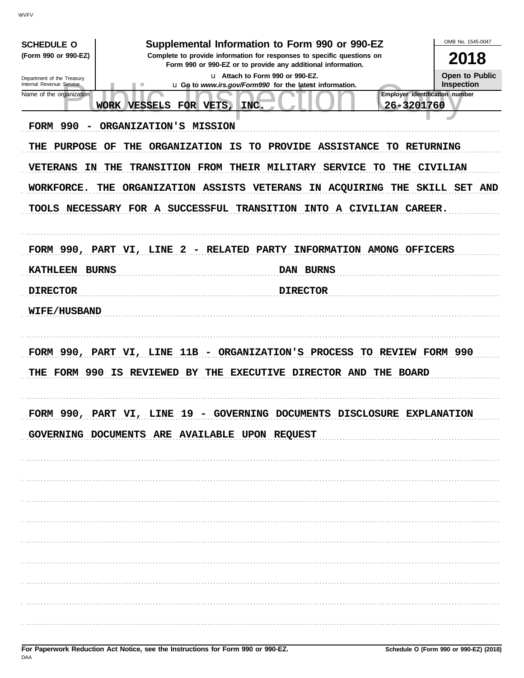| <b>SCHEDULE O</b>                                      | Supplemental Information to Form 990 or 990-EZ                                                                                         | OMB No. 1545-0047            |
|--------------------------------------------------------|----------------------------------------------------------------------------------------------------------------------------------------|------------------------------|
| (Form 990 or 990-EZ)                                   | Complete to provide information for responses to specific questions on<br>Form 990 or 990-EZ or to provide any additional information. | 2018                         |
| Department of the Treasury<br>Internal Revenue Service | u Attach to Form 990 or 990-EZ.<br>u Go to www.irs.gov/Form990 for the latest information.<br>٠                                        | Open to Public<br>Inspection |
| Name of the organization                               | Employer identification number                                                                                                         |                              |
|                                                        | 26-3201760<br>FOR VETS,<br>WORK VESSELS<br>INC.                                                                                        |                              |
| <b>FORM 990</b>                                        | ORGANIZATION'S MISSION                                                                                                                 |                              |
| <b>THE</b><br>PURPOSE                                  | <b>ORGANIZATION</b><br>OF<br>THE<br>IS<br>PROVIDE ASSISTANCE TO RETURNING<br>TO.                                                       |                              |
| <b>VETERANS</b><br><b>IN</b>                           | THE<br>THEIR MILITARY SERVICE<br><b>TRANSITION FROM</b><br>THE<br>TО                                                                   | <b>CIVILIAN</b>              |
| WORKFORCE.                                             | ORGANIZATION ASSISTS<br>VETERANS<br>THE<br>IN ACQUIRING<br>THE                                                                         | SKILL SET<br><b>AND</b>      |
|                                                        | TOOLS NECESSARY FOR A SUCCESSFUL TRANSITION INTO A CIVILIAN CAREER.                                                                    |                              |
|                                                        |                                                                                                                                        |                              |
|                                                        |                                                                                                                                        |                              |
|                                                        | FORM 990, PART VI, LINE 2 - RELATED PARTY INFORMATION AMONG OFFICERS                                                                   |                              |
| <b>KATHLEEN BURNS</b>                                  | DAN BURNS                                                                                                                              |                              |
| <b>DIRECTOR</b>                                        | <b>DIRECTOR</b>                                                                                                                        |                              |
| <b>WIFE/HUSBAND</b>                                    |                                                                                                                                        |                              |
|                                                        |                                                                                                                                        |                              |
|                                                        | FORM 990, PART VI, LINE 11B - ORGANIZATION'S PROCESS TO REVIEW FORM 990                                                                |                              |
|                                                        | THE FORM 990 IS REVIEWED BY<br>THE EXECUTIVE DIRECTOR AND THE BOARD                                                                    |                              |
|                                                        |                                                                                                                                        |                              |
| <b>DODM 990</b>                                        | DAPT WT<br><b>19</b><br>COVERNING DOCUMENTS<br><b>DISCLOSITRE</b><br>T.TNR                                                             | <b>EXPLANATION</b>           |
|                                                        |                                                                                                                                        |                              |
|                                                        | GOVERNING DOCUMENTS ARE AVAILABLE UPON REQUEST                                                                                         |                              |
|                                                        |                                                                                                                                        |                              |
|                                                        |                                                                                                                                        |                              |
|                                                        |                                                                                                                                        |                              |
|                                                        |                                                                                                                                        |                              |
|                                                        |                                                                                                                                        |                              |
|                                                        |                                                                                                                                        |                              |
|                                                        |                                                                                                                                        |                              |
|                                                        |                                                                                                                                        |                              |
|                                                        |                                                                                                                                        |                              |
|                                                        |                                                                                                                                        |                              |